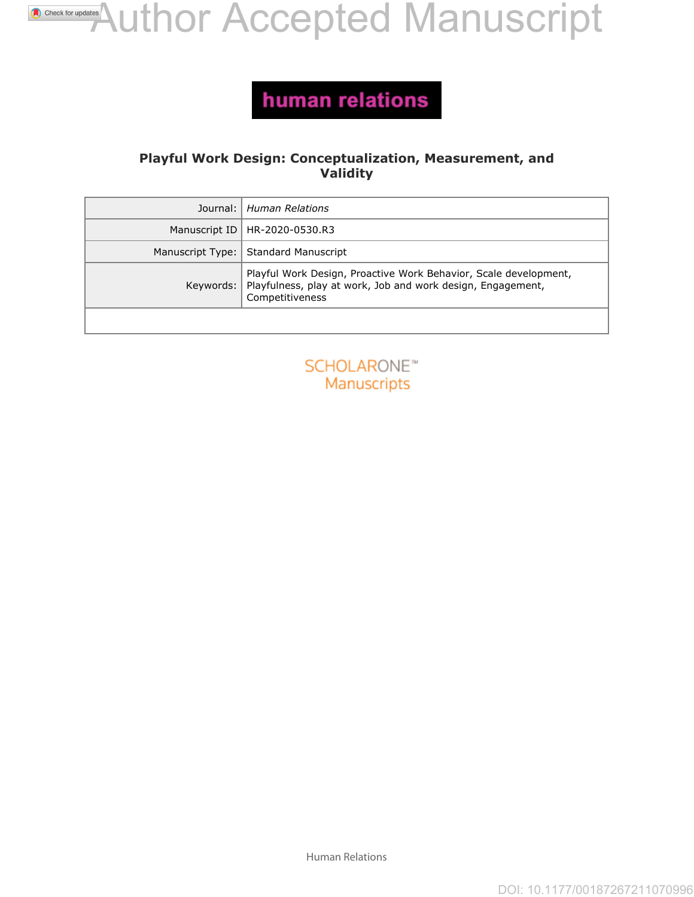# **[A](http://crossmark.crossref.org/dialog/?doi=10.1177%2F00187267211070996&domain=pdf&date_stamp=2021-12-21)uthor Accepted Manuscript**

### human relations

#### **Playful Work Design: Conceptualization, Measurement, and Validity**

| Journal:           | <b>Human Relations</b>                                                                                                                             |
|--------------------|----------------------------------------------------------------------------------------------------------------------------------------------------|
| Manuscript ID      | HR-2020-0530.R3                                                                                                                                    |
| Manuscript Type:   | Standard Manuscript                                                                                                                                |
| Keywords:          | Playful Work Design, Proactive Work Behavior, Scale development,<br>Playfulness, play at work, Job and work design, Engagement,<br>Competitiveness |
|                    |                                                                                                                                                    |
|                    |                                                                                                                                                    |
| <b>SCHOLARONE™</b> |                                                                                                                                                    |
| Manuscripts        |                                                                                                                                                    |
|                    |                                                                                                                                                    |
|                    |                                                                                                                                                    |
|                    |                                                                                                                                                    |
|                    |                                                                                                                                                    |
|                    |                                                                                                                                                    |
|                    |                                                                                                                                                    |
|                    |                                                                                                                                                    |
|                    |                                                                                                                                                    |
|                    |                                                                                                                                                    |
|                    |                                                                                                                                                    |
|                    |                                                                                                                                                    |



Human Relations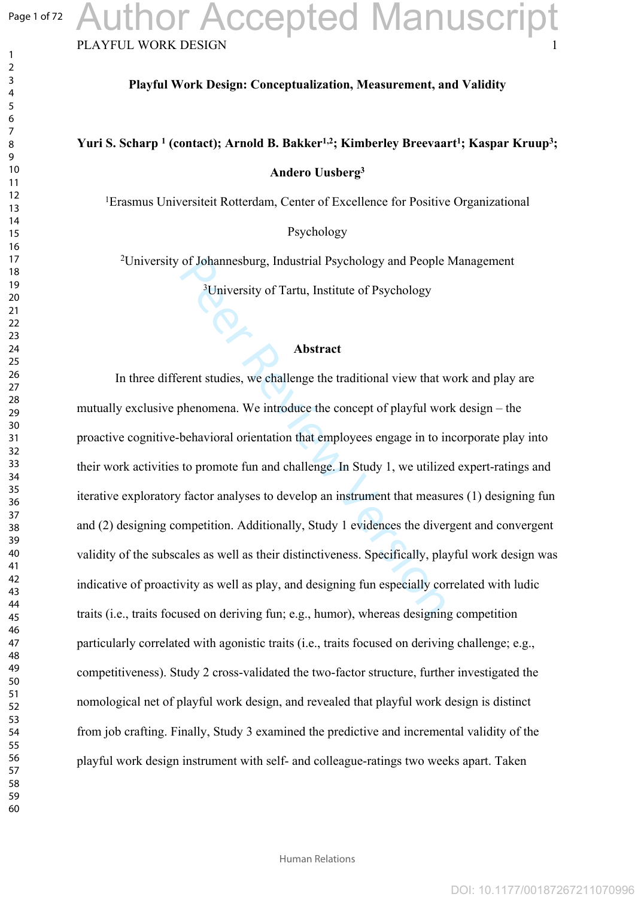#### Page 1 of 72

 $\mathbf{1}$  $\overline{2}$ 

### **Playful Work Design: Conceptualization, Measurement, and Validity**

### **Yuri S. Scharp 1 (contact); Arnold B. Bakker1,2; Kimberley Breevaart 1 ; Kaspar Kruup 3 ; Andero Uusberg 3**

Erasmus Universiteit Rotterdam, Center of Excellence for Positive Organizational

Psychology

University of Johannesburg, Industrial Psychology and People Management

University of Tartu, Institute of Psychology

#### **Abstract**

of Johannesburg, Industrial Psychology and People<br><sup>3</sup>University of Tartu, Institute of Psychology<br>**Abstract**<br>**Abstract**<br>**Peer Additional view that v**<br>**Abstract**<br>**Peer Additional view that v**<br>phenomena. We introduce the con In three different studies, we challenge the traditional view that work and play are mutually exclusive phenomena. We introduce the concept of playful work design – the proactive cognitive-behavioral orientation that employees engage in to incorporate play into their work activities to promote fun and challenge. In Study 1, we utilized expert-ratings and iterative exploratory factor analyses to develop an instrument that measures (1) designing fun and (2) designing competition. Additionally, Study 1 evidences the divergent and convergent validity of the subscales as well as their distinctiveness. Specifically, playful work design was indicative of proactivity as well as play, and designing fun especially correlated with ludic traits (i.e., traits focused on deriving fun; e.g., humor), whereas designing competition particularly correlated with agonistic traits (i.e., traits focused on deriving challenge; e.g., competitiveness). Study 2 cross-validated the two-factor structure, further investigated the nomological net of playful work design, and revealed that playful work design is distinct from job crafting. Finally, Study 3 examined the predictive and incremental validity of the playful work design instrument with self- and colleague-ratings two weeks apart. Taken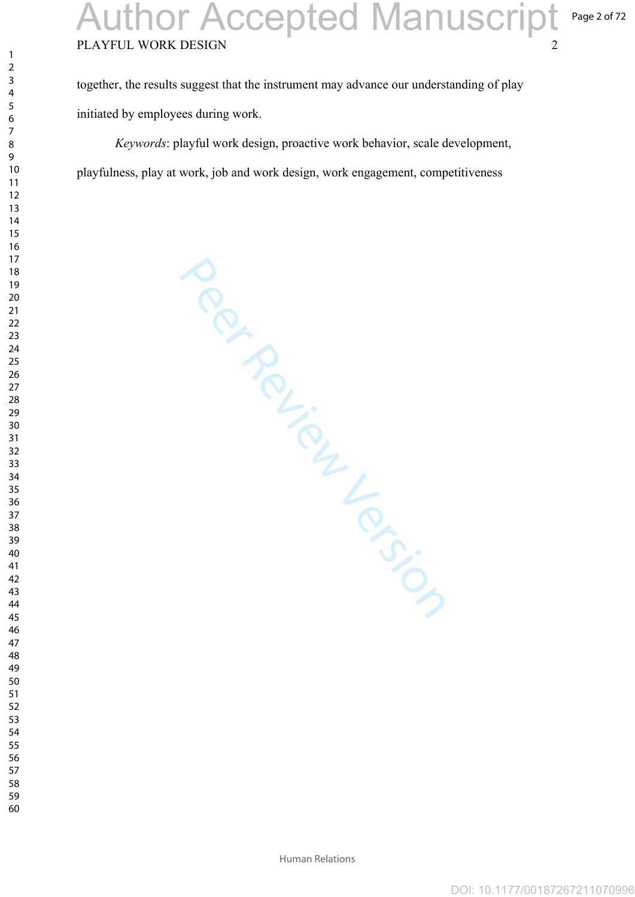# PLAYFUL WORK DESIGN Author Accepted Manuscript

together, the results suggest that the instrument may advance our understanding of play initiated by employees during work.

*Keywords*: playful work design, proactive work behavior, scale development, playfulness, play at work, job and work design, work engagement, competitiveness

Per Review Version

 $\mathbf{1}$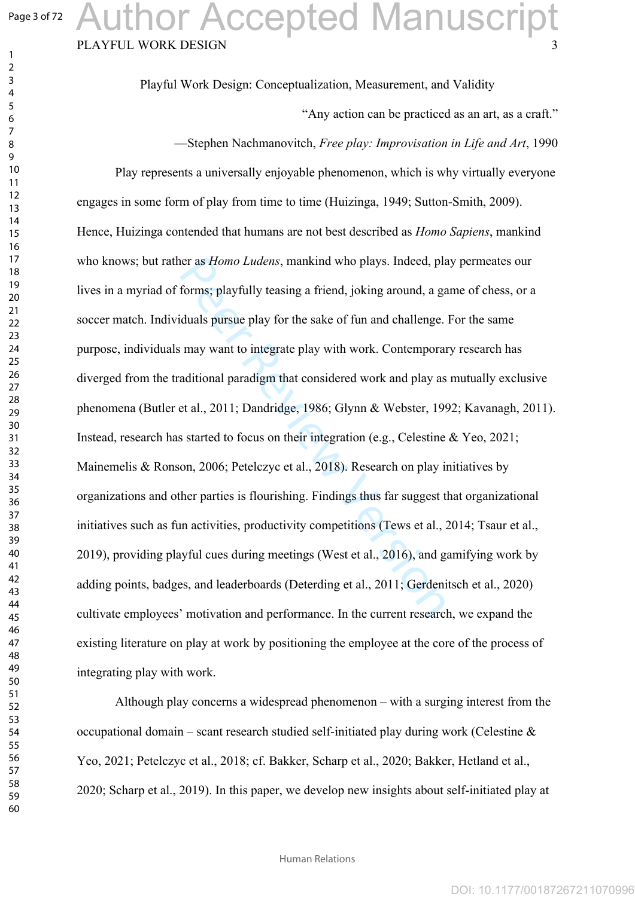$\mathbf{1}$  $\overline{2}$  $\overline{4}$  $\overline{7}$ 

 

# PLAYFUL WORK DESIGN Author Accepted Manuscript

Playful Work Design: Conceptualization, Measurement, and Validity

"Any action can be practiced as an art, as a craft."

—Stephen Nachmanovitch, *Free play: Improvisation in Life and Art*, 1990

er as *Homo Ludens*, mankind who plays. Indeed, placed, placed and forms; playfully teasing a friend, joking around, a gainting a given by for the sake of fun and challenge.<br>
Imay want to integrate play with work. Contempo Play represents a universally enjoyable phenomenon, which is why virtually everyone engages in some form of play from time to time (Huizinga, 1949; Sutton-Smith, 2009). Hence, Huizinga contended that humans are not best described as *Homo Sapiens*, mankind who knows; but rather as *Homo Ludens*, mankind who plays. Indeed, play permeates our lives in a myriad of forms; playfully teasing a friend, joking around, a game of chess, or a soccer match. Individuals pursue play for the sake of fun and challenge. For the same purpose, individuals may want to integrate play with work. Contemporary research has diverged from the traditional paradigm that considered work and play as mutually exclusive phenomena (Butler et al., 2011; Dandridge, 1986; Glynn & Webster, 1992; Kavanagh, 2011). Instead, research has started to focus on their integration (e.g., Celestine & Yeo, 2021; Mainemelis & Ronson, 2006; Petelczyc et al., 2018). Research on play initiatives by organizations and other parties is flourishing. Findings thus far suggest that organizational initiatives such as fun activities, productivity competitions (Tews et al., 2014; Tsaur et al., 2019), providing playful cues during meetings (West et al., 2016), and gamifying work by adding points, badges, and leaderboards (Deterding et al., 2011; Gerdenitsch et al., 2020) cultivate employees' motivation and performance. In the current research, we expand the existing literature on play at work by positioning the employee at the core of the process of integrating play with work.

Although play concerns a widespread phenomenon – with a surging interest from the occupational domain – scant research studied self-initiated play during work (Celestine  $\&$ Yeo, 2021; Petelczyc et al., 2018; cf. Bakker, Scharp et al., 2020; Bakker, Hetland et al., 2020; Scharp et al., 2019). In this paper, we develop new insights about self-initiated play at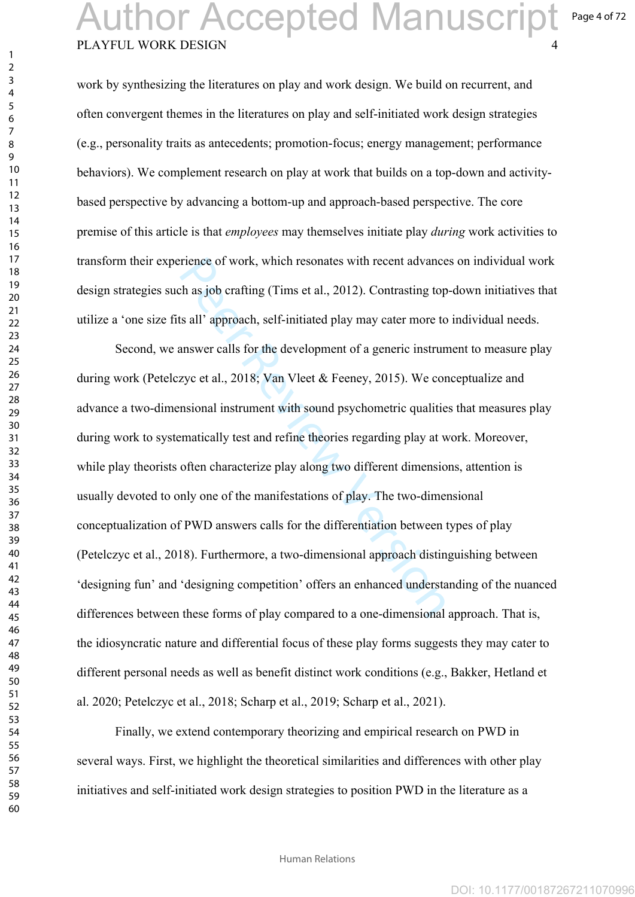## PLAYFUL WORK DESIGN Author Accepted Manuscript

 $\mathbf{1}$  $\overline{2}$  $\overline{4}$  $\overline{7}$ 

Page 4 of 72

DOI: 10.1177/00187267211070996

work by synthesizing the literatures on play and work design. We build on recurrent, and often convergent themes in the literatures on play and self-initiated work design strategies (e.g., personality traits as antecedents; promotion-focus; energy management; performance behaviors). We complement research on play at work that builds on a top-down and activitybased perspective by advancing a bottom-up and approach-based perspective. The core premise of this article is that *employees* may themselves initiate play *during* work activities to transform their experience of work, which resonates with recent advances on individual work design strategies such as job crafting (Tims et al., 2012). Contrasting top-down initiatives that utilize a 'one size fits all' approach, self-initiated play may cater more to individual needs.

rience of work, which resonates with recent advance<br>ch as job crafting (Tims et al., 2012). Contrasting top<br>ts all' approach, self-initiated play may cater more to<br>answer calls for the development of a generic instrun<br>zyc Second, we answer calls for the development of a generic instrument to measure play during work (Petelczyc et al., 2018; Van Vleet & Feeney, 2015). We conceptualize and advance a two-dimensional instrument with sound psychometric qualities that measures play during work to systematically test and refine theories regarding play at work. Moreover, while play theorists often characterize play along two different dimensions, attention is usually devoted to only one of the manifestations of play. The two-dimensional conceptualization of PWD answers calls for the differentiation between types of play (Petelczyc et al., 2018). Furthermore, a two-dimensional approach distinguishing between 'designing fun' and 'designing competition' offers an enhanced understanding of the nuanced differences between these forms of play compared to a one-dimensional approach. That is, the idiosyncratic nature and differential focus of these play forms suggests they may cater to different personal needs as well as benefit distinct work conditions (e.g., Bakker, Hetland et al. 2020; Petelczyc et al., 2018; Scharp et al., 2019; Scharp et al., 2021).

Finally, we extend contemporary theorizing and empirical research on PWD in several ways. First, we highlight the theoretical similarities and differences with other play initiatives and self-initiated work design strategies to position PWD in the literature as a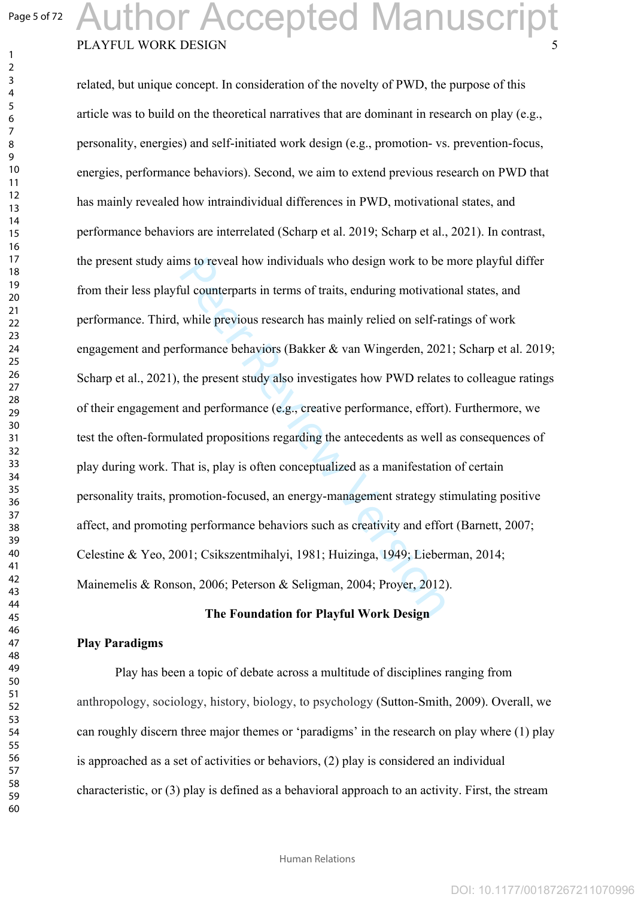$\mathbf{1}$  $\overline{2}$  $\overline{4}$  $\overline{7}$ 

# PLAYFUL WORK DESIGN Author Accepted Manuscript

ms to reveal how individuals who design work to be<br>
dil counterparts in terms of traits, enduring motivatio<br>
while previous research has mainly relied on self-ra<br>
formance behaviors (Bakker & van Wingerden, 202<br>
the presen related, but unique concept. In consideration of the novelty of PWD, the purpose of this article was to build on the theoretical narratives that are dominant in research on play (e.g., personality, energies) and self-initiated work design (e.g., promotion- vs. prevention-focus, energies, performance behaviors). Second, we aim to extend previous research on PWD that has mainly revealed how intraindividual differences in PWD, motivational states, and performance behaviors are interrelated (Scharp et al. 2019; Scharp et al., 2021). In contrast, the present study aims to reveal how individuals who design work to be more playful differ from their less playful counterparts in terms of traits, enduring motivational states, and performance. Third, while previous research has mainly relied on self-ratings of work engagement and performance behaviors (Bakker & van Wingerden, 2021; Scharp et al. 2019; Scharp et al., 2021), the present study also investigates how PWD relates to colleague ratings of their engagement and performance (e.g., creative performance, effort). Furthermore, we test the often-formulated propositions regarding the antecedents as well as consequences of play during work. That is, play is often conceptualized as a manifestation of certain personality traits, promotion-focused, an energy-management strategy stimulating positive affect, and promoting performance behaviors such as creativity and effort (Barnett, 2007; Celestine & Yeo, 2001; Csikszentmihalyi, 1981; Huizinga, 1949; Lieberman, 2014; Mainemelis & Ronson, 2006; Peterson & Seligman, 2004; Proyer, 2012).

#### **The Foundation for Playful Work Design**

#### **Play Paradigms**

Play has been a topic of debate across a multitude of disciplines ranging from anthropology, sociology, history, biology, to psychology (Sutton-Smith, 2009). Overall, we can roughly discern three major themes or 'paradigms' in the research on play where (1) play is approached as a set of activities or behaviors, (2) play is considered an individual characteristic, or (3) play is defined as a behavioral approach to an activity. First, the stream

Human Relations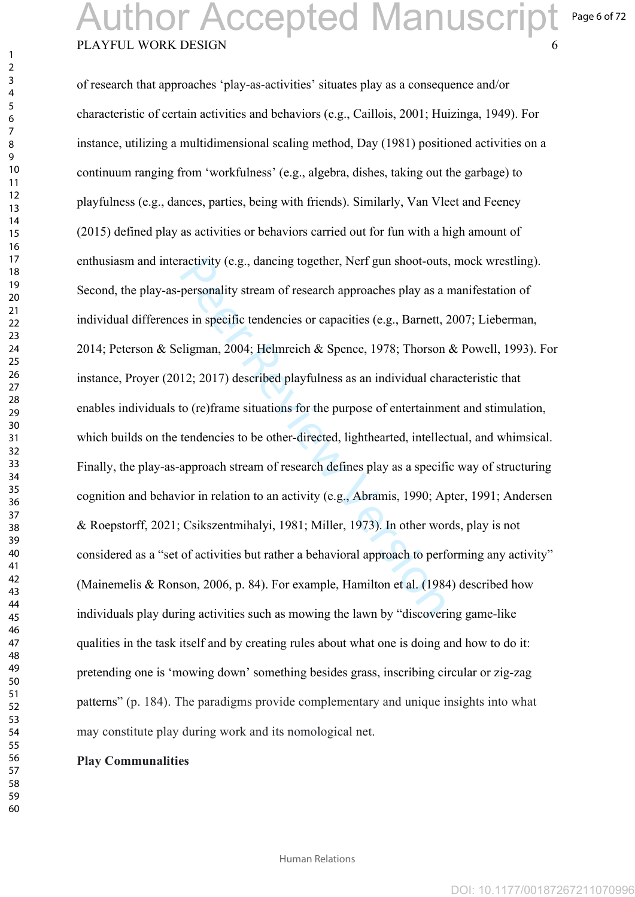## PLAYFUL WORK DESIGN Author Accepted Manuscript

Page 6 of 72

ractivity (e.g., dancing together, Nerf gun shoot-outs<br>personality stream of research approaches play as a<br>es in specific tendencies or capacities (e.g., Barnett, :<br>eligman, 2004; Helmreich & Spence, 1978; Thorson<br>12; 2017 of research that approaches 'play-as-activities' situates play as a consequence and/or characteristic of certain activities and behaviors (e.g., Caillois, 2001; Huizinga, 1949). For instance, utilizing a multidimensional scaling method, Day (1981) positioned activities on a continuum ranging from 'workfulness' (e.g., algebra, dishes, taking out the garbage) to playfulness (e.g., dances, parties, being with friends). Similarly, Van Vleet and Feeney (2015) defined play as activities or behaviors carried out for fun with a high amount of enthusiasm and interactivity (e.g., dancing together, Nerf gun shoot-outs, mock wrestling). Second, the play-as-personality stream of research approaches play as a manifestation of individual differences in specific tendencies or capacities (e.g., Barnett, 2007; Lieberman, 2014; Peterson & Seligman, 2004; Helmreich & Spence, 1978; Thorson & Powell, 1993). For instance, Proyer (2012; 2017) described playfulness as an individual characteristic that enables individuals to (re)frame situations for the purpose of entertainment and stimulation, which builds on the tendencies to be other-directed, lighthearted, intellectual, and whimsical. Finally, the play-as-approach stream of research defines play as a specific way of structuring cognition and behavior in relation to an activity (e.g., Abramis, 1990; Apter, 1991; Andersen & Roepstorff, 2021; Csikszentmihalyi, 1981; Miller, 1973). In other words, play is not considered as a "set of activities but rather a behavioral approach to performing any activity" (Mainemelis & Ronson, 2006, p. 84). For example, Hamilton et al. (1984) described how individuals play during activities such as mowing the lawn by "discovering game-like qualities in the task itself and by creating rules about what one is doing and how to do it: pretending one is 'mowing down' something besides grass, inscribing circular or zig-zag patterns" (p. 184). The paradigms provide complementary and unique insights into what may constitute play during work and its nomological net.

#### **Play Communalities**

 $\mathbf{1}$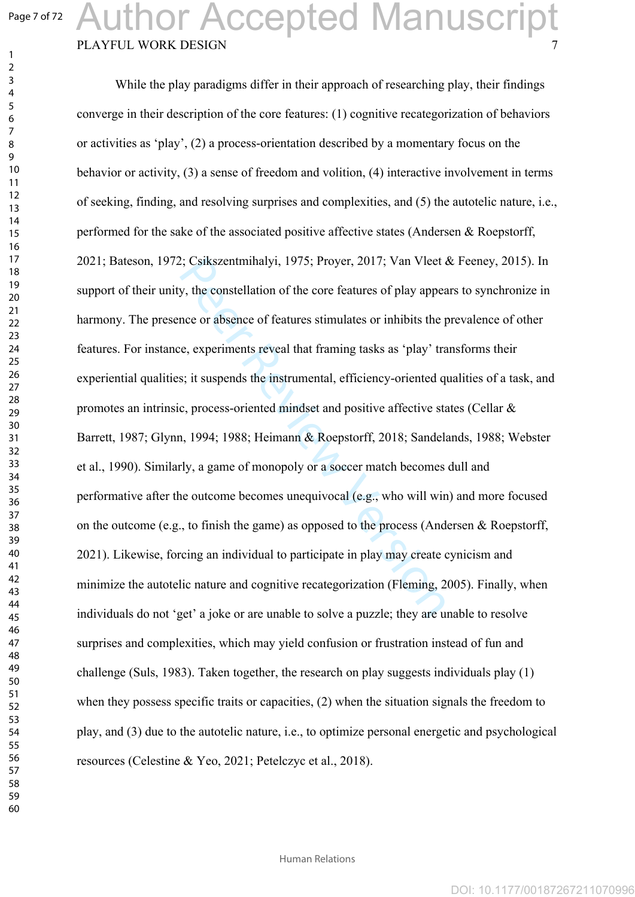$\mathbf{1}$  $\overline{2}$  $\overline{3}$ 

# PLAYFUL WORK DESIGN Author Accepted Manuscript

2; Csikszentmihalyi, 1975; Proyer, 2017; Van Vleet a<br>y, the constellation of the core features of play appea<br>nee or absence of features stimulates or inhibits the p<br>e, experiments reveal that framing tasks as 'play' tra<br>s; While the play paradigms differ in their approach of researching play, their findings converge in their description of the core features: (1) cognitive recategorization of behaviors or activities as 'play', (2) a process-orientation described by a momentary focus on the behavior or activity, (3) a sense of freedom and volition, (4) interactive involvement in terms of seeking, finding, and resolving surprises and complexities, and (5) the autotelic nature, i.e., performed for the sake of the associated positive affective states (Andersen & Roepstorff, 2021; Bateson, 1972; Csikszentmihalyi, 1975; Proyer, 2017; Van Vleet & Feeney, 2015). In support of their unity, the constellation of the core features of play appears to synchronize in harmony. The presence or absence of features stimulates or inhibits the prevalence of other features. For instance, experiments reveal that framing tasks as 'play' transforms their experiential qualities; it suspends the instrumental, efficiency-oriented qualities of a task, and promotes an intrinsic, process-oriented mindset and positive affective states (Cellar & Barrett, 1987; Glynn, 1994; 1988; Heimann & Roepstorff, 2018; Sandelands, 1988; Webster et al., 1990). Similarly, a game of monopoly or a soccer match becomes dull and performative after the outcome becomes unequivocal (e.g., who will win) and more focused on the outcome (e.g., to finish the game) as opposed to the process (Andersen & Roepstorff, 2021). Likewise, forcing an individual to participate in play may create cynicism and minimize the autotelic nature and cognitive recategorization (Fleming, 2005). Finally, when individuals do not 'get' a joke or are unable to solve a puzzle; they are unable to resolve surprises and complexities, which may yield confusion or frustration instead of fun and challenge (Suls, 1983). Taken together, the research on play suggests individuals play  $(1)$ when they possess specific traits or capacities, (2) when the situation signals the freedom to play, and (3) due to the autotelic nature, i.e., to optimize personal energetic and psychological resources (Celestine & Yeo, 2021; Petelczyc et al., 2018).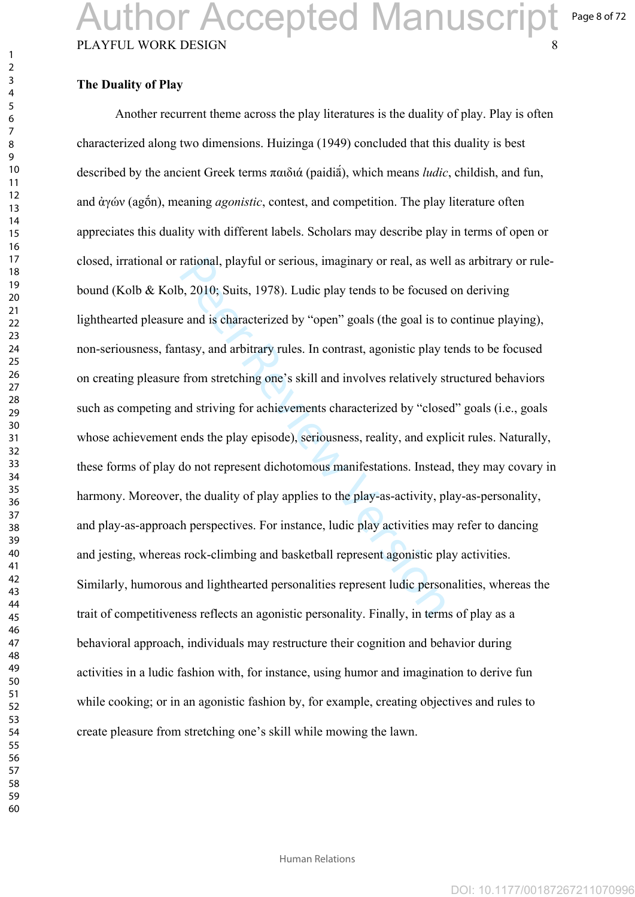#### **The Duality of Play**

rational, playful or serious, imaginary or real, as welp, 2010; Suits, 1978). Ludic play tends to be focused<br>e and is characterized by "open" goals (the goal is to<br>tasy, and arbitrary rules. In contrast, agonistic play t<br>f Another recurrent theme across the play literatures is the duality of play. Play is often characterized along two dimensions. Huizinga (1949) concluded that this duality is best described by the ancient Greek terms παιδιά (paidiā́), which means *ludic*, childish, and fun, and ἀγών (agṓn), meaning *agonistic*, contest, and competition. The play literature often appreciates this duality with different labels. Scholars may describe play in terms of open or closed, irrational or rational, playful or serious, imaginary or real, as well as arbitrary or rulebound (Kolb & Kolb, 2010; Suits, 1978). Ludic play tends to be focused on deriving lighthearted pleasure and is characterized by "open" goals (the goal is to continue playing), non-seriousness, fantasy, and arbitrary rules. In contrast, agonistic play tends to be focused on creating pleasure from stretching one's skill and involves relatively structured behaviors such as competing and striving for achievements characterized by "closed" goals (i.e., goals whose achievement ends the play episode), seriousness, reality, and explicit rules. Naturally, these forms of play do not represent dichotomous manifestations. Instead, they may covary in harmony. Moreover, the duality of play applies to the play-as-activity, play-as-personality, and play-as-approach perspectives. For instance, ludic play activities may refer to dancing and jesting, whereas rock-climbing and basketball represent agonistic play activities. Similarly, humorous and lighthearted personalities represent ludic personalities, whereas the trait of competitiveness reflects an agonistic personality. Finally, in terms of play as a behavioral approach, individuals may restructure their cognition and behavior during activities in a ludic fashion with, for instance, using humor and imagination to derive fun while cooking; or in an agonistic fashion by, for example, creating objectives and rules to create pleasure from stretching one's skill while mowing the lawn.

 $\mathbf{1}$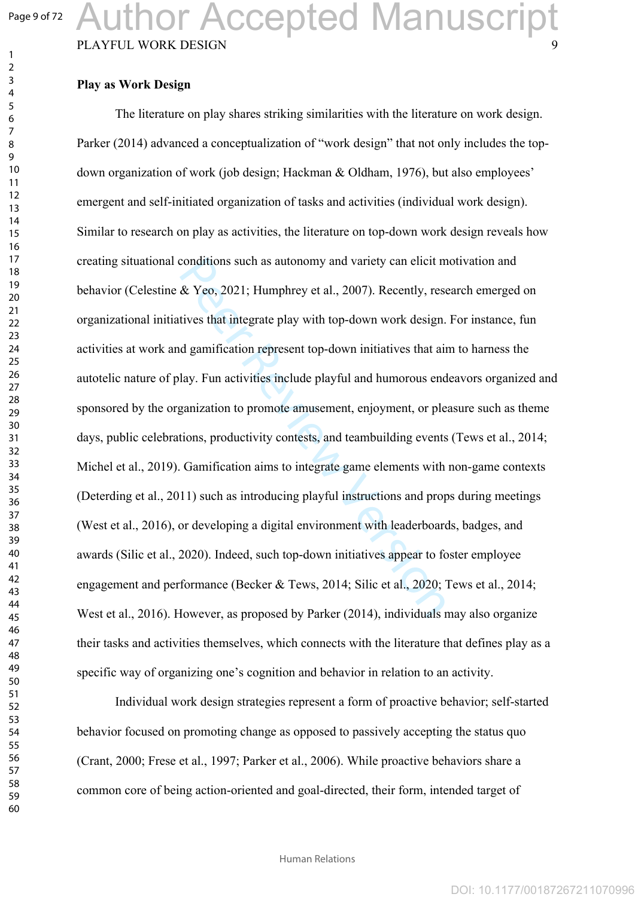$\mathbf{1}$  $\overline{2}$  Author Accepted Manuscript

#### PLAYFUL WORK DESIGN

#### **Play as Work Design**

conditions such as autonomy and variety can elicit m<br>
& Yeo, 2021; Humphrey et al., 2007). Recently, rest<br>
tives that integrate play with top-down work design.<br>
d gamification represent top-down initiatives that ai<br>
lay. F The literature on play shares striking similarities with the literature on work design. Parker (2014) advanced a conceptualization of "work design" that not only includes the topdown organization of work (job design; Hackman & Oldham, 1976), but also employees' emergent and self-initiated organization of tasks and activities (individual work design). Similar to research on play as activities, the literature on top-down work design reveals how creating situational conditions such as autonomy and variety can elicit motivation and behavior (Celestine & Yeo, 2021; Humphrey et al., 2007). Recently, research emerged on organizational initiatives that integrate play with top-down work design. For instance, fun activities at work and gamification represent top-down initiatives that aim to harness the autotelic nature of play. Fun activities include playful and humorous endeavors organized and sponsored by the organization to promote amusement, enjoyment, or pleasure such as theme days, public celebrations, productivity contests, and teambuilding events (Tews et al., 2014; Michel et al., 2019). Gamification aims to integrate game elements with non-game contexts (Deterding et al., 2011) such as introducing playful instructions and props during meetings (West et al., 2016), or developing a digital environment with leaderboards, badges, and awards (Silic et al., 2020). Indeed, such top-down initiatives appear to foster employee engagement and performance (Becker & Tews, 2014; Silic et al., 2020; Tews et al., 2014; West et al., 2016). However, as proposed by Parker (2014), individuals may also organize their tasks and activities themselves, which connects with the literature that defines play as a specific way of organizing one's cognition and behavior in relation to an activity.

Individual work design strategies represent a form of proactive behavior; self-started behavior focused on promoting change as opposed to passively accepting the status quo (Crant, 2000; Frese et al., 1997; Parker et al., 2006). While proactive behaviors share a common core of being action-oriented and goal-directed, their form, intended target of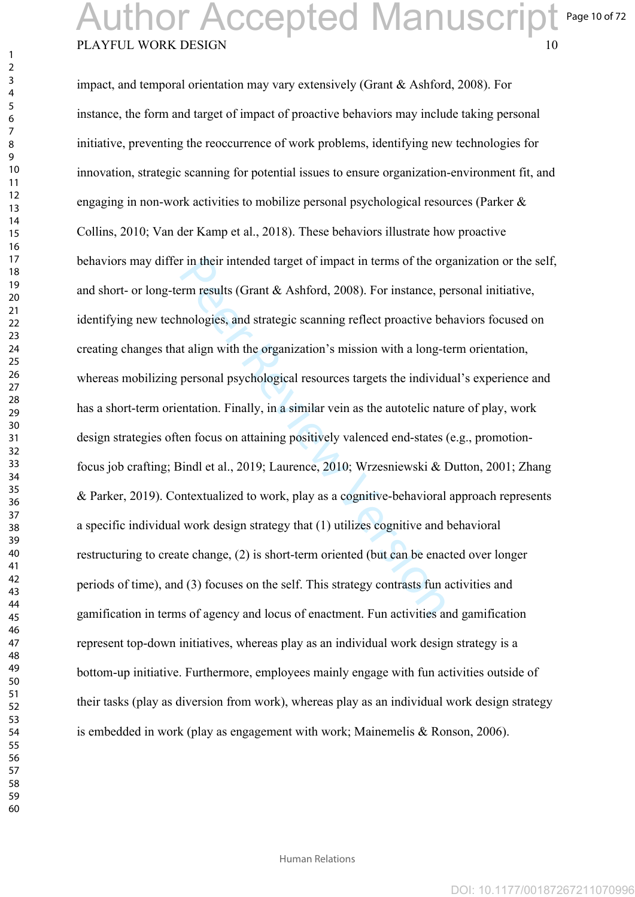Page 10 of 72

### PLAYFUL WORK DESIGN Author Accepted Manuscript

r in their intended target of impact in terms of the orgent perm results (Grant & Ashford, 2008). For instance, permologies, and strategic scanning reflect proactive be to align with the organization's mission with a longimpact, and temporal orientation may vary extensively (Grant & Ashford, 2008). For instance, the form and target of impact of proactive behaviors may include taking personal initiative, preventing the reoccurrence of work problems, identifying new technologies for innovation, strategic scanning for potential issues to ensure organization-environment fit, and engaging in non-work activities to mobilize personal psychological resources (Parker & Collins, 2010; Van der Kamp et al., 2018). These behaviors illustrate how proactive behaviors may differ in their intended target of impact in terms of the organization or the self, and short- or long-term results (Grant & Ashford, 2008). For instance, personal initiative, identifying new technologies, and strategic scanning reflect proactive behaviors focused on creating changes that align with the organization's mission with a long-term orientation, whereas mobilizing personal psychological resources targets the individual's experience and has a short-term orientation. Finally, in a similar vein as the autotelic nature of play, work design strategies often focus on attaining positively valenced end-states (e.g., promotionfocus job crafting; Bindl et al., 2019; Laurence, 2010; Wrzesniewski & Dutton, 2001; Zhang & Parker, 2019). Contextualized to work, play as a cognitive-behavioral approach represents a specific individual work design strategy that (1) utilizes cognitive and behavioral restructuring to create change, (2) is short-term oriented (but can be enacted over longer periods of time), and (3) focuses on the self. This strategy contrasts fun activities and gamification in terms of agency and locus of enactment. Fun activities and gamification represent top-down initiatives, whereas play as an individual work design strategy is a bottom-up initiative. Furthermore, employees mainly engage with fun activities outside of their tasks (play as diversion from work), whereas play as an individual work design strategy is embedded in work (play as engagement with work; Mainemelis & Ronson, 2006).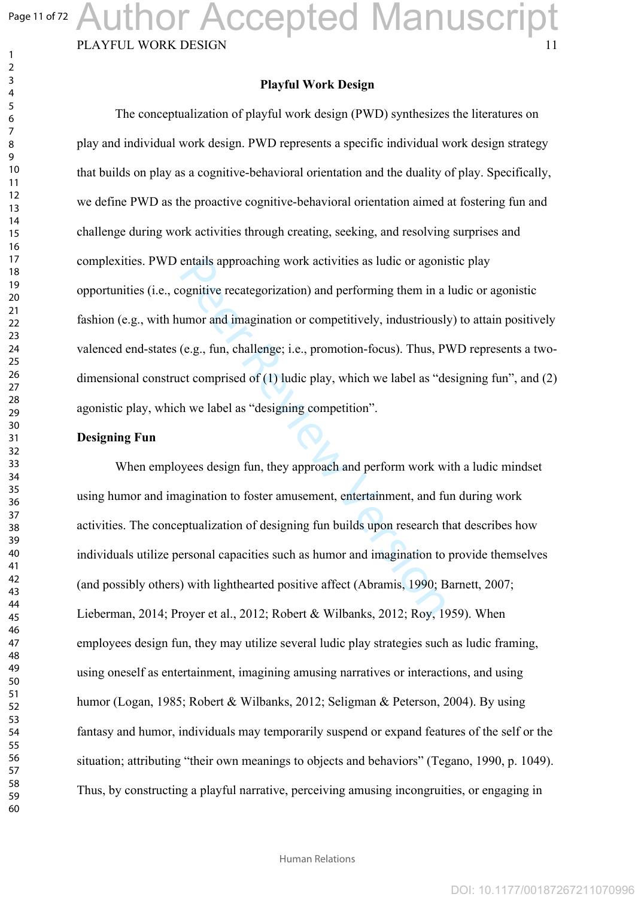Page 11 of 72

 $\mathbf{1}$  $\overline{2}$ 

# Author Accepted Manuscript

#### PLAYFUL WORK DESIGN

#### **Playful Work Design**

entails approaching work activities as ludic or agoni<br>ognitive recategorization) and performing them in a<br>umor and imagination or competitively, industrious!<br>(e.g., fun, challenge; i.e., promotion-focus). Thus, P'<br>or compr The conceptualization of playful work design (PWD) synthesizes the literatures on play and individual work design. PWD represents a specific individual work design strategy that builds on play as a cognitive-behavioral orientation and the duality of play. Specifically, we define PWD as the proactive cognitive-behavioral orientation aimed at fostering fun and challenge during work activities through creating, seeking, and resolving surprises and complexities. PWD entails approaching work activities as ludic or agonistic play opportunities (i.e., cognitive recategorization) and performing them in a ludic or agonistic fashion (e.g., with humor and imagination or competitively, industriously) to attain positively valenced end-states (e.g., fun, challenge; i.e., promotion-focus). Thus, PWD represents a twodimensional construct comprised of  $(1)$  ludic play, which we label as "designing fun", and  $(2)$ agonistic play, which we label as "designing competition".

#### **Designing Fun**

When employees design fun, they approach and perform work with a ludic mindset using humor and imagination to foster amusement, entertainment, and fun during work activities. The conceptualization of designing fun builds upon research that describes how individuals utilize personal capacities such as humor and imagination to provide themselves (and possibly others) with lighthearted positive affect (Abramis, 1990; Barnett, 2007; Lieberman, 2014; Proyer et al., 2012; Robert & Wilbanks, 2012; Roy, 1959). When employees design fun, they may utilize several ludic play strategies such as ludic framing, using oneself as entertainment, imagining amusing narratives or interactions, and using humor (Logan, 1985; Robert & Wilbanks, 2012; Seligman & Peterson, 2004). By using fantasy and humor, individuals may temporarily suspend or expand features of the self or the situation; attributing "their own meanings to objects and behaviors" (Tegano, 1990, p. 1049). Thus, by constructing a playful narrative, perceiving amusing incongruities, or engaging in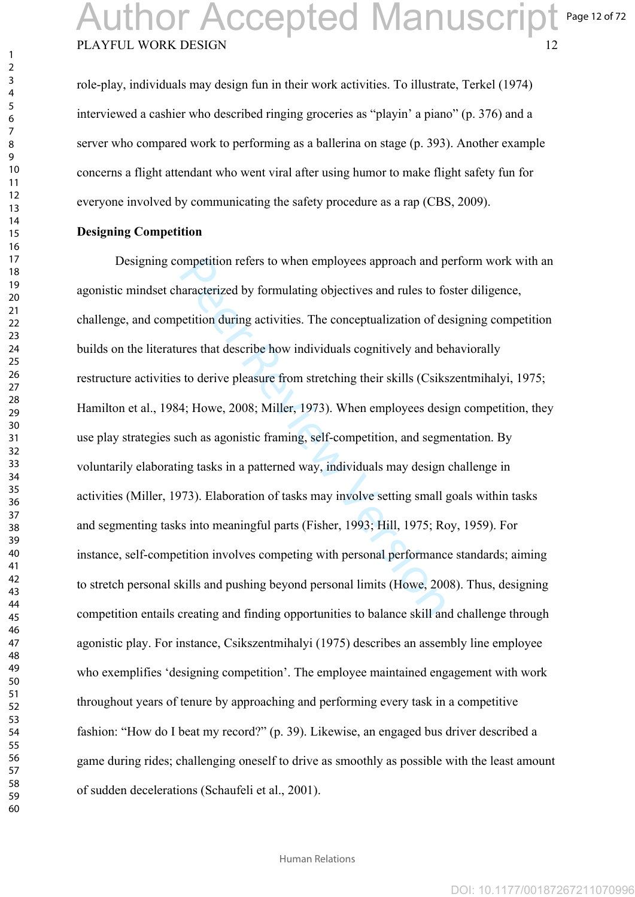role-play, individuals may design fun in their work activities. To illustrate, Terkel (1974) interviewed a cashier who described ringing groceries as "playin' a piano" (p. 376) and a server who compared work to performing as a ballerina on stage (p. 393). Another example concerns a flight attendant who went viral after using humor to make flight safety fun for everyone involved by communicating the safety procedure as a rap (CBS, 2009).

#### **Designing Competition**

mpetition refers to when employees approach and p<br>naracterized by formulating objectives and rules to fo<br>betition during activities. The conceptualization of de<br>ares that describe how individuals cognitively and be<br>to deri Designing competition refers to when employees approach and perform work with an agonistic mindset characterized by formulating objectives and rules to foster diligence, challenge, and competition during activities. The conceptualization of designing competition builds on the literatures that describe how individuals cognitively and behaviorally restructure activities to derive pleasure from stretching their skills (Csikszentmihalyi, 1975; Hamilton et al., 1984; Howe, 2008; Miller, 1973). When employees design competition, they use play strategies such as agonistic framing, self-competition, and segmentation. By voluntarily elaborating tasks in a patterned way, individuals may design challenge in activities (Miller, 1973). Elaboration of tasks may involve setting small goals within tasks and segmenting tasks into meaningful parts (Fisher, 1993; Hill, 1975; Roy, 1959). For instance, self-competition involves competing with personal performance standards; aiming to stretch personal skills and pushing beyond personal limits (Howe, 2008). Thus, designing competition entails creating and finding opportunities to balance skill and challenge through agonistic play. For instance, Csikszentmihalyi (1975) describes an assembly line employee who exemplifies 'designing competition'. The employee maintained engagement with work throughout years of tenure by approaching and performing every task in a competitive fashion: "How do I beat my record?" (p. 39). Likewise, an engaged bus driver described a game during rides; challenging oneself to drive as smoothly as possible with the least amount of sudden decelerations (Schaufeli et al., 2001).

 $\mathbf{1}$  $\overline{2}$  $\overline{4}$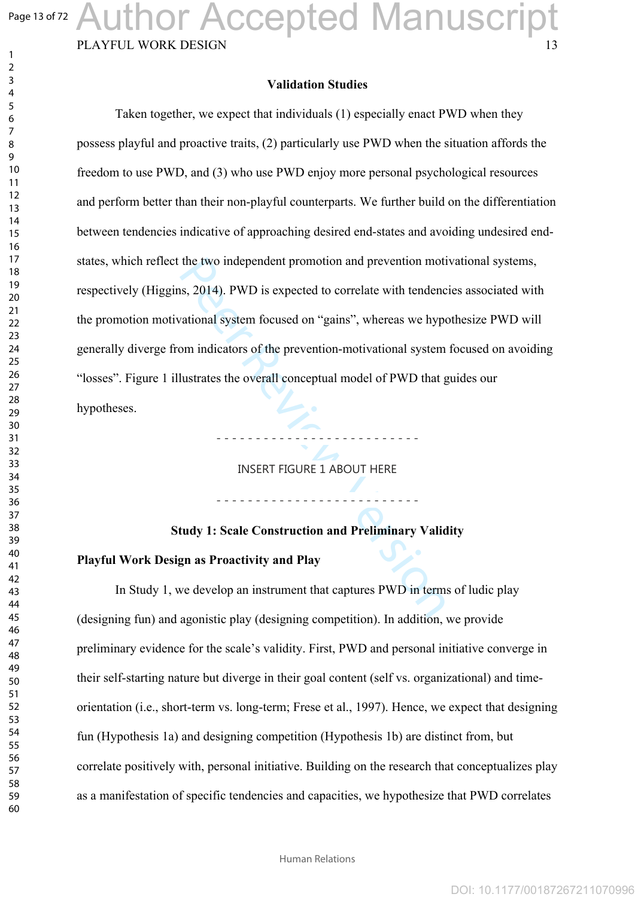Page 13 of 72

 $\mathbf{1}$  $\overline{2}$  $\overline{3}$ 

# Author Accepted Manuscript

PLAYFUL WORK DESIGN

#### **Validation Studies**

the two independent promotion and prevention motions, 2014). PWD is expected to correlate with tendence attional system focused on "gains", whereas we hypom indicators of the prevention-motivational system lustrates the ov Taken together, we expect that individuals (1) especially enact PWD when they possess playful and proactive traits, (2) particularly use PWD when the situation affords the freedom to use PWD, and (3) who use PWD enjoy more personal psychological resources and perform better than their non-playful counterparts. We further build on the differentiation between tendencies indicative of approaching desired end-states and avoiding undesired endstates, which reflect the two independent promotion and prevention motivational systems, respectively (Higgins, 2014). PWD is expected to correlate with tendencies associated with the promotion motivational system focused on "gains", whereas we hypothesize PWD will generally diverge from indicators of the prevention-motivational system focused on avoiding "losses". Figure 1 illustrates the overall conceptual model of PWD that guides our hypotheses.

INSERT FIGURE 1 ABOUT HERE

- - - - - - - - - - - - - - - - - - - - - - - - - -

- - - - - - - - - - - - - - - - - - - - - - - - - -

#### **Study 1: Scale Construction and Preliminary Validity**

#### **Playful Work Design as Proactivity and Play**

In Study 1, we develop an instrument that captures PWD in terms of ludic play (designing fun) and agonistic play (designing competition). In addition, we provide preliminary evidence for the scale's validity. First, PWD and personal initiative converge in their self-starting nature but diverge in their goal content (self vs. organizational) and timeorientation (i.e., short-term vs. long-term; Frese et al., 1997). Hence, we expect that designing fun (Hypothesis 1a) and designing competition (Hypothesis 1b) are distinct from, but correlate positively with, personal initiative. Building on the research that conceptualizes play as a manifestation of specific tendencies and capacities, we hypothesize that PWD correlates

Human Relations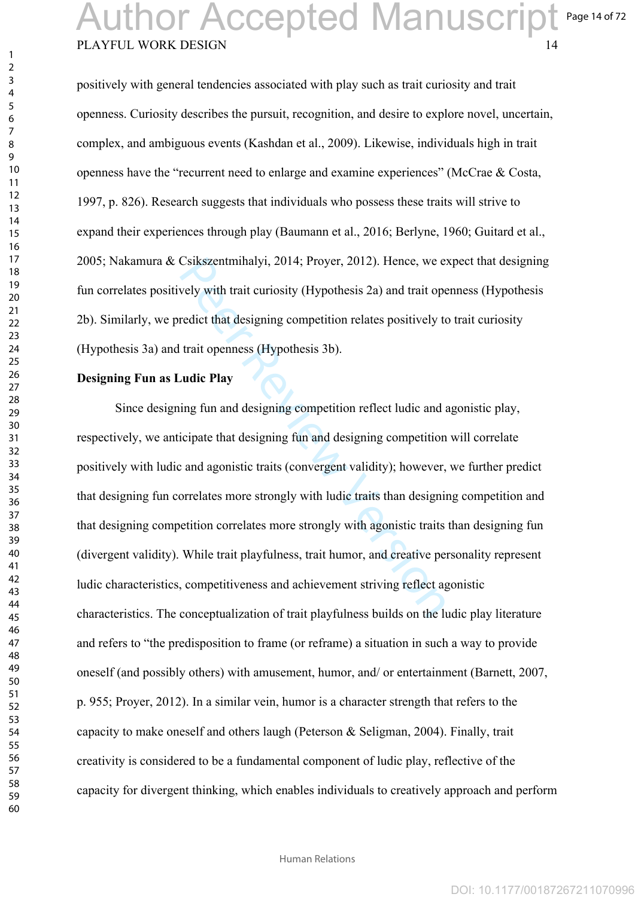### PLAYFUL WORK DESIGN Page 14 of 72 Author Accepted Manuscript

positively with general tendencies associated with play such as trait curiosity and trait openness. Curiosity describes the pursuit, recognition, and desire to explore novel, uncertain, complex, and ambiguous events (Kashdan et al., 2009). Likewise, individuals high in trait openness have the "recurrent need to enlarge and examine experiences" (McCrae & Costa, 1997, p. 826). Research suggests that individuals who possess these traits will strive to expand their experiences through play (Baumann et al., 2016; Berlyne, 1960; Guitard et al., 2005; Nakamura & Csikszentmihalyi, 2014; Proyer, 2012). Hence, we expect that designing fun correlates positively with trait curiosity (Hypothesis 2a) and trait openness (Hypothesis 2b). Similarly, we predict that designing competition relates positively to trait curiosity (Hypothesis 3a) and trait openness (Hypothesis 3b).

#### **Designing Fun as Ludic Play**

Csikszentmihalyi, 2014; Proyer, 2012). Hence, we experent Unit and the version of the version of that designing competition relates positively to trait openness (Hypothesis 3b).<br> **And in the version of the version of the v** Since designing fun and designing competition reflect ludic and agonistic play, respectively, we anticipate that designing fun and designing competition will correlate positively with ludic and agonistic traits (convergent validity); however, we further predict that designing fun correlates more strongly with ludic traits than designing competition and that designing competition correlates more strongly with agonistic traits than designing fun (divergent validity). While trait playfulness, trait humor, and creative personality represent ludic characteristics, competitiveness and achievement striving reflect agonistic characteristics. The conceptualization of trait playfulness builds on the ludic play literature and refers to "the predisposition to frame (or reframe) a situation in such a way to provide oneself (and possibly others) with amusement, humor, and/ or entertainment (Barnett, 2007, p. 955; Proyer, 2012). In a similar vein, humor is a character strength that refers to the capacity to make oneself and others laugh (Peterson & Seligman, 2004). Finally, trait creativity is considered to be a fundamental component of ludic play, reflective of the capacity for divergent thinking, which enables individuals to creatively approach and perform

 $\mathbf{1}$  $\overline{2}$  $\overline{4}$  $\overline{7}$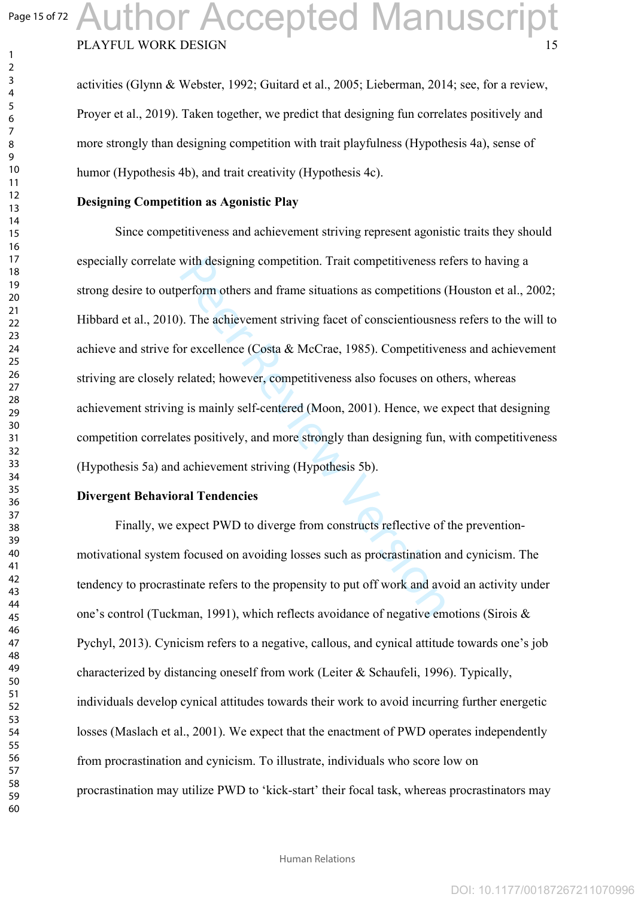$\mathbf{1}$  $\overline{2}$  $\overline{3}$  $\overline{4}$  $\overline{7}$ 

 

## PLAYFUL WORK DESIGN Author Accepted Manuscript

activities (Glynn & Webster, 1992; Guitard et al., 2005; Lieberman, 2014; see, for a review, Proyer et al., 2019). Taken together, we predict that designing fun correlates positively and more strongly than designing competition with trait playfulness (Hypothesis 4a), sense of humor (Hypothesis 4b), and trait creativity (Hypothesis 4c).

#### **Designing Competition as Agonistic Play**

with designing competition. Trait competitiveness re<br>
berform others and frame situations as competitions (<br>
). The achievement striving facet of conscientiousnes<br>
or excellence (Costa & McCrae, 1985). Competitive<br>
related Since competitiveness and achievement striving represent agonistic traits they should especially correlate with designing competition. Trait competitiveness refers to having a strong desire to outperform others and frame situations as competitions (Houston et al., 2002; Hibbard et al., 2010). The achievement striving facet of conscientiousness refers to the will to achieve and strive for excellence (Costa & McCrae, 1985). Competitiveness and achievement striving are closely related; however, competitiveness also focuses on others, whereas achievement striving is mainly self-centered (Moon, 2001). Hence, we expect that designing competition correlates positively, and more strongly than designing fun, with competitiveness (Hypothesis 5a) and achievement striving (Hypothesis 5b).

#### **Divergent Behavioral Tendencies**

Finally, we expect PWD to diverge from constructs reflective of the preventionmotivational system focused on avoiding losses such as procrastination and cynicism. The tendency to procrastinate refers to the propensity to put off work and avoid an activity under one's control (Tuckman, 1991), which reflects avoidance of negative emotions (Sirois & Pychyl, 2013). Cynicism refers to a negative, callous, and cynical attitude towards one's job characterized by distancing oneself from work (Leiter & Schaufeli, 1996). Typically, individuals develop cynical attitudes towards their work to avoid incurring further energetic losses (Maslach et al., 2001). We expect that the enactment of PWD operates independently from procrastination and cynicism. To illustrate, individuals who score low on procrastination may utilize PWD to 'kick-start' their focal task, whereas procrastinators may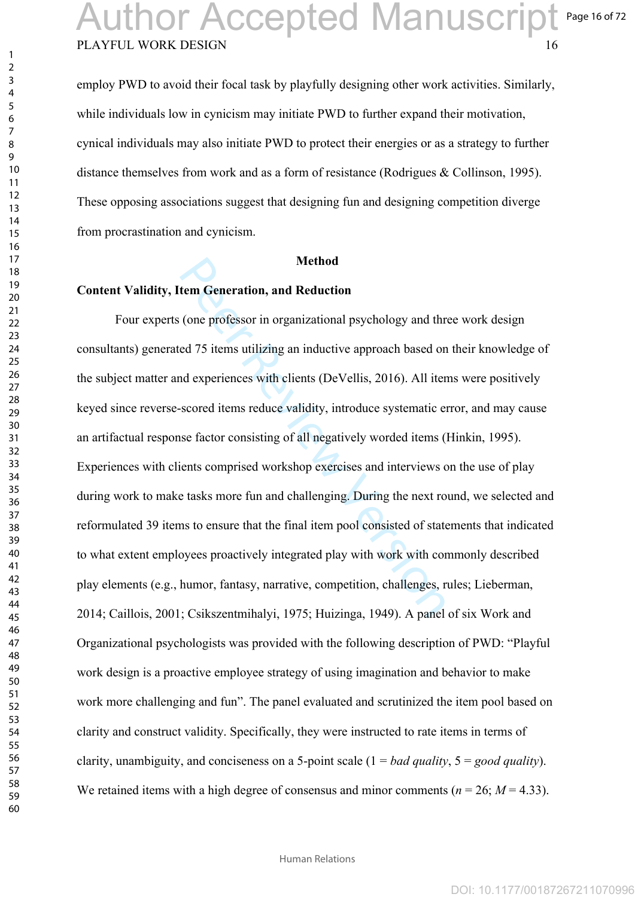employ PWD to avoid their focal task by playfully designing other work activities. Similarly, while individuals low in cynicism may initiate PWD to further expand their motivation, cynical individuals may also initiate PWD to protect their energies or as a strategy to further distance themselves from work and as a form of resistance (Rodrigues & Collinson, 1995). These opposing associations suggest that designing fun and designing competition diverge from procrastination and cynicism.

#### **Method**

#### **Content Validity, Item Generation, and Reduction**

Method<br>
tem Generation, and Reduction<br>
(one professor in organizational psychology and thr<br>
ed 75 items utilizing an inductive approach based on<br>
ad experiences with clients (DeVellis, 2016). All iter<br>
scored items reduce Four experts (one professor in organizational psychology and three work design consultants) generated 75 items utilizing an inductive approach based on their knowledge of the subject matter and experiences with clients (DeVellis, 2016). All items were positively keyed since reverse-scored items reduce validity, introduce systematic error, and may cause an artifactual response factor consisting of all negatively worded items (Hinkin, 1995). Experiences with clients comprised workshop exercises and interviews on the use of play during work to make tasks more fun and challenging. During the next round, we selected and reformulated 39 items to ensure that the final item pool consisted of statements that indicated to what extent employees proactively integrated play with work with commonly described play elements (e.g., humor, fantasy, narrative, competition, challenges, rules; Lieberman, 2014; Caillois, 2001; Csikszentmihalyi, 1975; Huizinga, 1949). A panel of six Work and Organizational psychologists was provided with the following description of PWD: "Playful work design is a proactive employee strategy of using imagination and behavior to make work more challenging and fun". The panel evaluated and scrutinized the item pool based on clarity and construct validity. Specifically, they were instructed to rate items in terms of clarity, unambiguity, and conciseness on a 5-point scale (1 = *bad quality*, 5 = *good quality*). We retained items with a high degree of consensus and minor comments ( $n = 26$ ;  $M = 4.33$ ).

 $\mathbf{1}$  $\overline{2}$  $\overline{4}$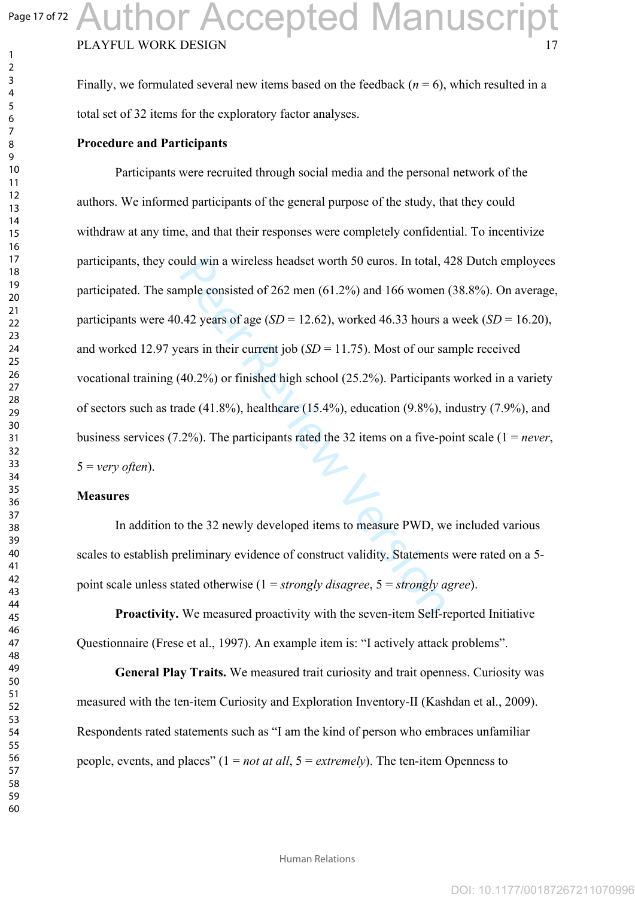$\mathbf{1}$  $\overline{2}$  $\overline{4}$ 

## PLAYFUL WORK DESIGN Author Accepted Manuscript

Finally, we formulated several new items based on the feedback  $(n = 6)$ , which resulted in a total set of 32 items for the exploratory factor analyses.

#### **Procedure and Participants**

uld win a wireless headset worth 50 euros. In total, 4<br>mple consisted of 262 men (61.2%) and 166 women<br>142 years of age (*SD* = 12.62), worked 46.33 hours a<br>ears in their current job (*SD* = 11.75). Most of our sa<br>40.2%) Participants were recruited through social media and the personal network of the authors. We informed participants of the general purpose of the study, that they could withdraw at any time, and that their responses were completely confidential. To incentivize participants, they could win a wireless headset worth 50 euros. In total, 428 Dutch employees participated. The sample consisted of 262 men (61.2%) and 166 women (38.8%). On average, participants were 40.42 years of age  $(SD = 12.62)$ , worked 46.33 hours a week  $(SD = 16.20)$ , and worked 12.97 years in their current job  $(SD = 11.75)$ . Most of our sample received vocational training (40.2%) or finished high school (25.2%). Participants worked in a variety of sectors such as trade (41.8%), healthcare (15.4%), education (9.8%), industry (7.9%), and business services (7.2%). The participants rated the 32 items on a five-point scale (1 = *never*,  $5 = \text{very often}$ .

#### **Measures**

In addition to the 32 newly developed items to measure PWD, we included various scales to establish preliminary evidence of construct validity. Statements were rated on a 5 point scale unless stated otherwise (1 = *strongly disagree*, 5 = *strongly agree*).

**Proactivity.** We measured proactivity with the seven-item Self-reported Initiative Questionnaire (Frese et al., 1997). An example item is: "I actively attack problems".

**General Play Traits.** We measured trait curiosity and trait openness. Curiosity was measured with the ten-item Curiosity and Exploration Inventory-II (Kashdan et al., 2009). Respondents rated statements such as "I am the kind of person who embraces unfamiliar people, events, and places" (1 = *not at all*, 5 = *extremely*). The ten-item Openness to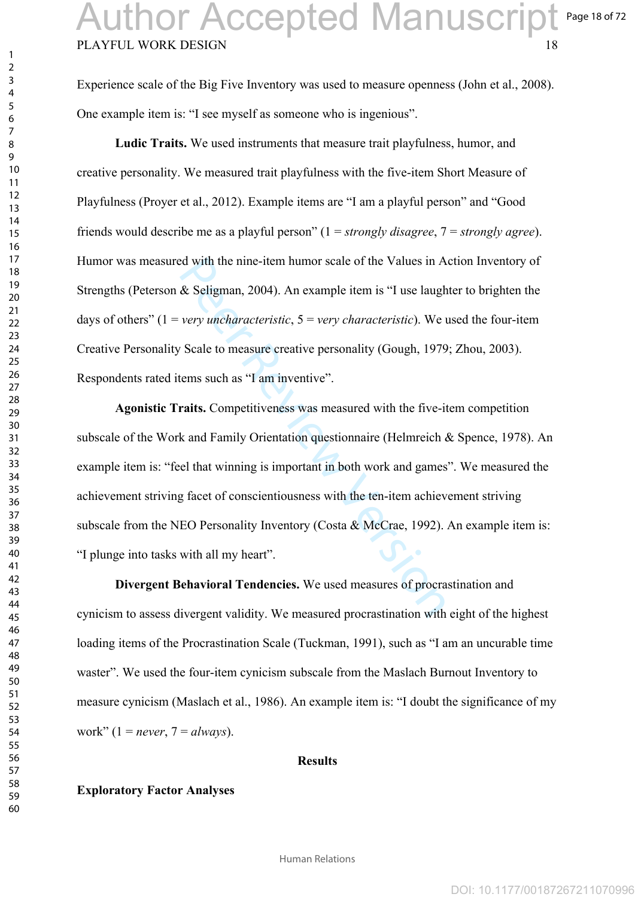Experience scale of the Big Five Inventory was used to measure openness (John et al., 2008). One example item is: "I see myself as someone who is ingenious".

**Ludic Traits.** We used instruments that measure trait playfulness, humor, and creative personality. We measured trait playfulness with the five-item Short Measure of Playfulness (Proyer et al., 2012). Example items are "I am a playful person" and "Good friends would describe me as a playful person" (1 = *strongly disagree*, 7 = *strongly agree*). Humor was measured with the nine-item humor scale of the Values in Action Inventory of Strengths (Peterson & Seligman, 2004). An example item is "I use laughter to brighten the days of others" (1 = *very uncharacteristic*, 5 = *very characteristic*). We used the four-item Creative Personality Scale to measure creative personality (Gough, 1979; Zhou, 2003). Respondents rated items such as "I am inventive".

Example 1992). An example item is "I use laugh wery uncharacteristic, 5 = very characteristic). We also very uncharacteristic, 5 = very characteristic). We also Scale to measure creative personality (Gough, 1979 tems such **Agonistic Traits.** Competitiveness was measured with the five-item competition subscale of the Work and Family Orientation questionnaire (Helmreich & Spence, 1978). An example item is: "feel that winning is important in both work and games". We measured the achievement striving facet of conscientiousness with the ten-item achievement striving subscale from the NEO Personality Inventory (Costa  $\&$  McCrae, 1992). An example item is: "I plunge into tasks with all my heart".

**Divergent Behavioral Tendencies.** We used measures of procrastination and cynicism to assess divergent validity. We measured procrastination with eight of the highest loading items of the Procrastination Scale (Tuckman, 1991), such as "I am an uncurable time waster". We used the four-item cynicism subscale from the Maslach Burnout Inventory to measure cynicism (Maslach et al., 1986). An example item is: "I doubt the significance of my work" (1 = *never*, 7 = *always*).

#### **Results**

#### **Exploratory Factor Analyses**

 $\mathbf{1}$  $\overline{2}$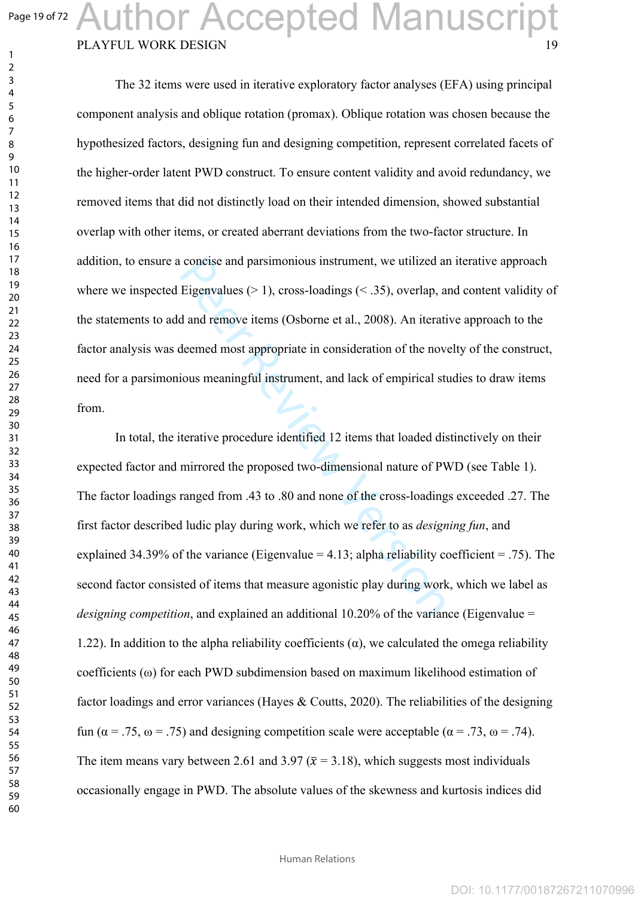$\mathbf{1}$  $\overline{2}$  $\overline{3}$  $\overline{4}$  $\overline{7}$ 

## PLAYFUL WORK DESIGN Author Accepted Manuscript

The 32 items were used in iterative exploratory factor analyses (EFA) using principal component analysis and oblique rotation (promax). Oblique rotation was chosen because the hypothesized factors, designing fun and designing competition, represent correlated facets of the higher-order latent PWD construct. To ensure content validity and avoid redundancy, we removed items that did not distinctly load on their intended dimension, showed substantial overlap with other items, or created aberrant deviations from the two-factor structure. In addition, to ensure a concise and parsimonious instrument, we utilized an iterative approach where we inspected Eigenvalues ( $> 1$ ), cross-loadings ( $\leq$  .35), overlap, and content validity of the statements to add and remove items (Osborne et al., 2008). An iterative approach to the factor analysis was deemed most appropriate in consideration of the novelty of the construct, need for a parsimonious meaningful instrument, and lack of empirical studies to draw items from.

concise and parsimonious instrument, we utilized an Eigenvalues ( $> 1$ ), cross-loadings ( $< .35$ ), overlap, a d and remove items (Osborne et al., 2008). An iterationed most appropriate in consideration of the novious meani In total, the iterative procedure identified 12 items that loaded distinctively on their expected factor and mirrored the proposed two-dimensional nature of PWD (see Table 1). The factor loadings ranged from .43 to .80 and none of the cross-loadings exceeded .27. The first factor described ludic play during work, which we refer to as *designing fun*, and explained 34.39% of the variance (Eigenvalue = 4.13; alpha reliability coefficient = .75). The second factor consisted of items that measure agonistic play during work, which we label as *designing competition*, and explained an additional 10.20% of the variance (Eigenvalue = 1.22). In addition to the alpha reliability coefficients  $(\alpha)$ , we calculated the omega reliability coefficients ( $\omega$ ) for each PWD subdimension based on maximum likelihood estimation of factor loadings and error variances (Hayes & Coutts, 2020). The reliabilities of the designing fun ( $\alpha$  = .75,  $\omega$  = .75) and designing competition scale were acceptable ( $\alpha$  = .73,  $\omega$  = .74). The item means vary between 2.61 and 3.97 ( $\bar{x}$  = 3.18), which suggests most individuals occasionally engage in PWD. The absolute values of the skewness and kurtosis indices did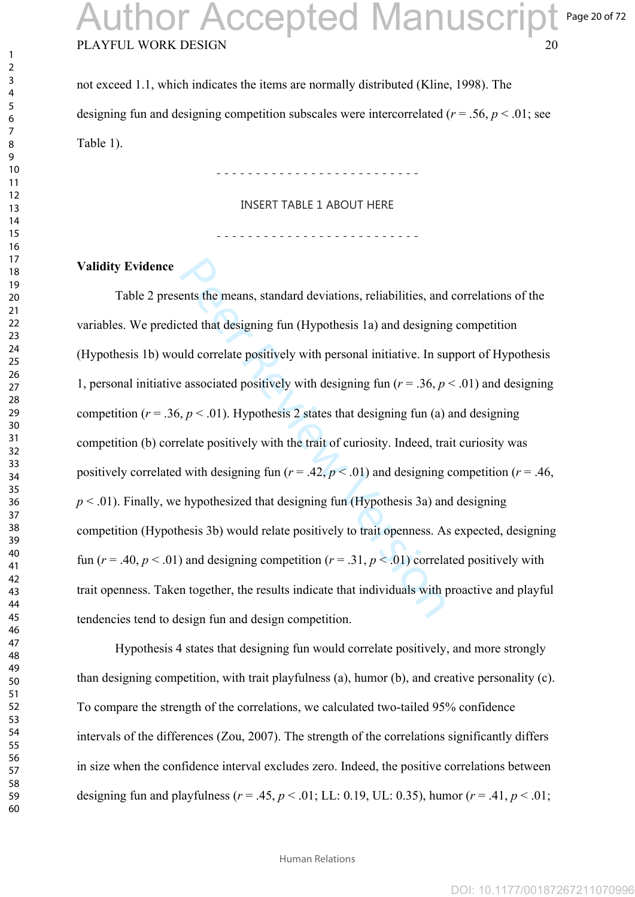### PLAYFUL WORK DESIGN 20 Page 20 of 72 uthor Accepted Manuscript

not exceed 1.1, which indicates the items are normally distributed (Kline, 1998). The designing fun and designing competition subscales were intercorrelated ( $r = .56$ ,  $p < .01$ ; see Table 1).

- - - - - - - - - - - - - - - - - - - - - - - - - -

INSERT TABLE 1 ABOUT HERE

- - - - - - - - - - - - - - - - - - - - - - - - - -

#### **Validity Evidence**

ents the means, standard deviations, reliabilities, and<br>ted that designing fun (Hypothesis 1a) and designing<br>uld correlate positively with personal initiative. In su<br>exesociated positively with designing fun  $(r = .36, p$ <br>, Table 2 presents the means, standard deviations, reliabilities, and correlations of the variables. We predicted that designing fun (Hypothesis 1a) and designing competition (Hypothesis 1b) would correlate positively with personal initiative. In support of Hypothesis 1, personal initiative associated positively with designing fun ( $r = .36$ ,  $p < .01$ ) and designing competition ( $r = .36$ ,  $p < .01$ ). Hypothesis 2 states that designing fun (a) and designing competition (b) correlate positively with the trait of curiosity. Indeed, trait curiosity was positively correlated with designing fun ( $r = .42$ ,  $p < .01$ ) and designing competition ( $r = .46$ ,  $p < .01$ ). Finally, we hypothesized that designing fun (Hypothesis 3a) and designing competition (Hypothesis 3b) would relate positively to trait openness. As expected, designing fun ( $r = .40$ ,  $p < .01$ ) and designing competition ( $r = .31$ ,  $p < .01$ ) correlated positively with trait openness. Taken together, the results indicate that individuals with proactive and playful tendencies tend to design fun and design competition.

Hypothesis 4 states that designing fun would correlate positively, and more strongly than designing competition, with trait playfulness (a), humor (b), and creative personality (c). To compare the strength of the correlations, we calculated two-tailed 95% confidence intervals of the differences (Zou, 2007). The strength of the correlations significantly differs in size when the confidence interval excludes zero. Indeed, the positive correlations between designing fun and playfulness ( $r = .45$ ,  $p < .01$ ; LL: 0.19, UL: 0.35), humor ( $r = .41$ ,  $p < .01$ ;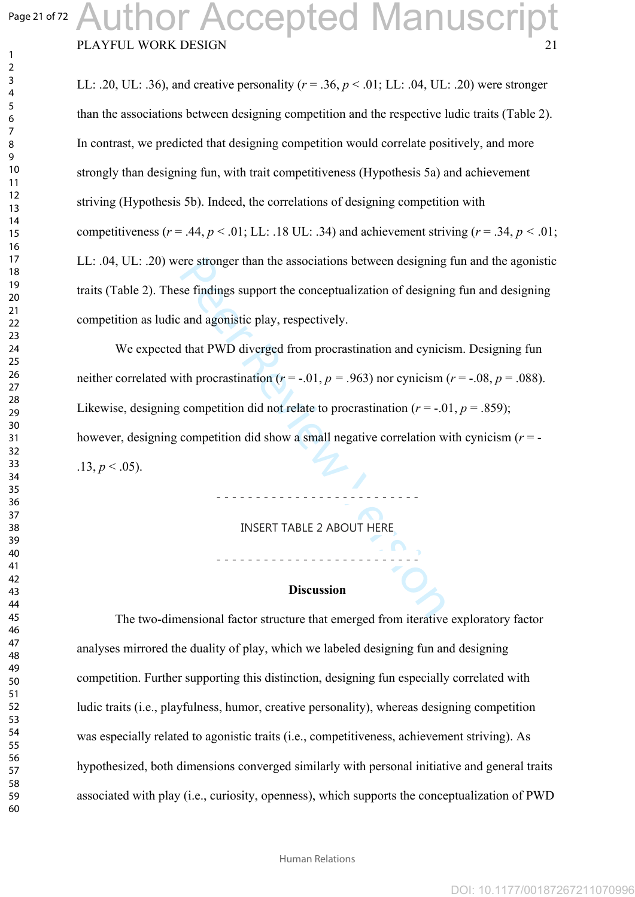$\mathbf{1}$  $\overline{2}$ 

### PLAYFUL WORK DESIGN Author Accepted Manuscript

LL: .20, UL: .36), and creative personality ( $r = .36$ ,  $p < .01$ ; LL: .04, UL: .20) were stronger than the associations between designing competition and the respective ludic traits (Table 2). In contrast, we predicted that designing competition would correlate positively, and more strongly than designing fun, with trait competitiveness (Hypothesis 5a) and achievement striving (Hypothesis 5b). Indeed, the correlations of designing competition with competitiveness ( $r = .44$ ,  $p < .01$ ; LL: .18 UL: .34) and achievement striving ( $r = .34$ ,  $p < .01$ ; LL: .04, UL: .20) were stronger than the associations between designing fun and the agonistic traits (Table 2). These findings support the conceptualization of designing fun and designing competition as ludic and agonistic play, respectively.

ere stronger than the associations between designing<br>se findings support the conceptualization of designing<br>and agonistic play, respectively.<br>I that PWD diverged from procrastination and cynicism<br>ith procrastination  $(r = -.0$ We expected that PWD diverged from procrastination and cynicism. Designing fun neither correlated with procrastination ( $r = -0.01$ ,  $p = 0.963$ ) nor cynicism ( $r = -0.08$ ,  $p = 0.088$ ). Likewise, designing competition did not relate to procrastination  $(r = -0.01, p = 0.859)$ ; however, designing competition did show a small negative correlation with cynicism (*r* = -  $.13, p \leq .05$ ).

INSERT TABLE 2 ABOUT HERE

- - - - - - - - - - - - - - - - - - - - - - - - - -

#### **Discussion**

- - - - - - - - - - - - - - - - - - - - - - - - - -

The two-dimensional factor structure that emerged from iterative exploratory factor analyses mirrored the duality of play, which we labeled designing fun and designing competition. Further supporting this distinction, designing fun especially correlated with ludic traits (i.e., playfulness, humor, creative personality), whereas designing competition was especially related to agonistic traits (i.e., competitiveness, achievement striving). As hypothesized, both dimensions converged similarly with personal initiative and general traits associated with play (i.e., curiosity, openness), which supports the conceptualization of PWD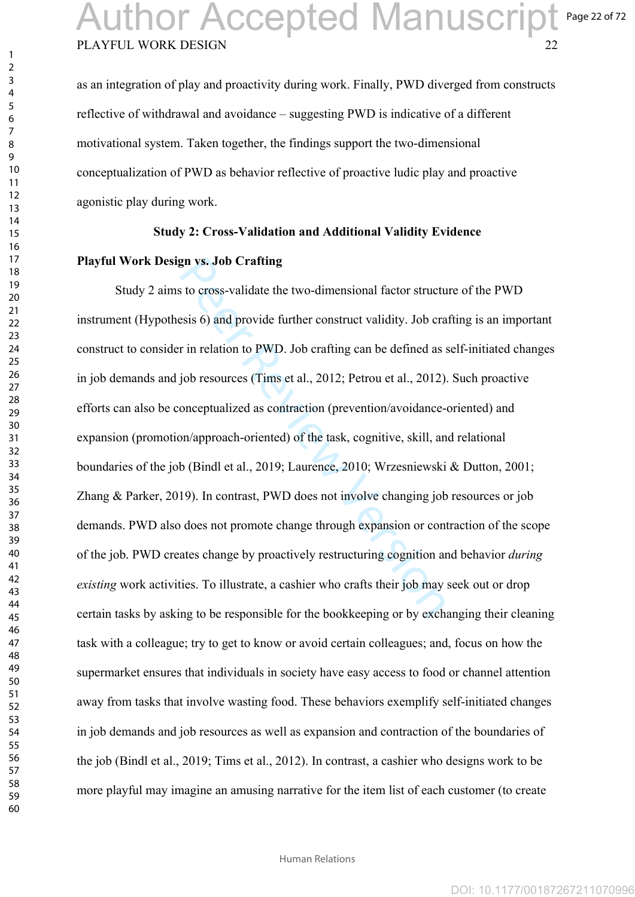### PLAYFUL WORK DESIGN Page 22 of 72 Author Accepted Manuscript

as an integration of play and proactivity during work. Finally, PWD diverged from constructs reflective of withdrawal and avoidance – suggesting PWD is indicative of a different motivational system. Taken together, the findings support the two-dimensional conceptualization of PWD as behavior reflective of proactive ludic play and proactive agonistic play during work.

#### **Study 2: Cross-Validation and Additional Validity Evidence**

#### **Playful Work Design vs. Job Crafting**

gn vs. Job Crafting<br>sto cross-validate the two-dimensional factor structu<br>esis 6) and provide further construct validity. Job cra<br>r in relation to PWD. Job crafting can be defined as s<br>job resources (Tims et al., 2012; Pet Study 2 aims to cross-validate the two-dimensional factor structure of the PWD instrument (Hypothesis 6) and provide further construct validity. Job crafting is an important construct to consider in relation to PWD. Job crafting can be defined as self-initiated changes in job demands and job resources (Tims et al., 2012; Petrou et al., 2012). Such proactive efforts can also be conceptualized as contraction (prevention/avoidance-oriented) and expansion (promotion/approach-oriented) of the task, cognitive, skill, and relational boundaries of the job (Bindl et al., 2019; Laurence, 2010; Wrzesniewski & Dutton, 2001; Zhang & Parker, 2019). In contrast, PWD does not involve changing job resources or job demands. PWD also does not promote change through expansion or contraction of the scope of the job. PWD creates change by proactively restructuring cognition and behavior *during existing* work activities. To illustrate, a cashier who crafts their job may seek out or drop certain tasks by asking to be responsible for the bookkeeping or by exchanging their cleaning task with a colleague; try to get to know or avoid certain colleagues; and, focus on how the supermarket ensures that individuals in society have easy access to food or channel attention away from tasks that involve wasting food. These behaviors exemplify self-initiated changes in job demands and job resources as well as expansion and contraction of the boundaries of the job (Bindl et al., 2019; Tims et al., 2012). In contrast, a cashier who designs work to be more playful may imagine an amusing narrative for the item list of each customer (to create

 $\mathbf{1}$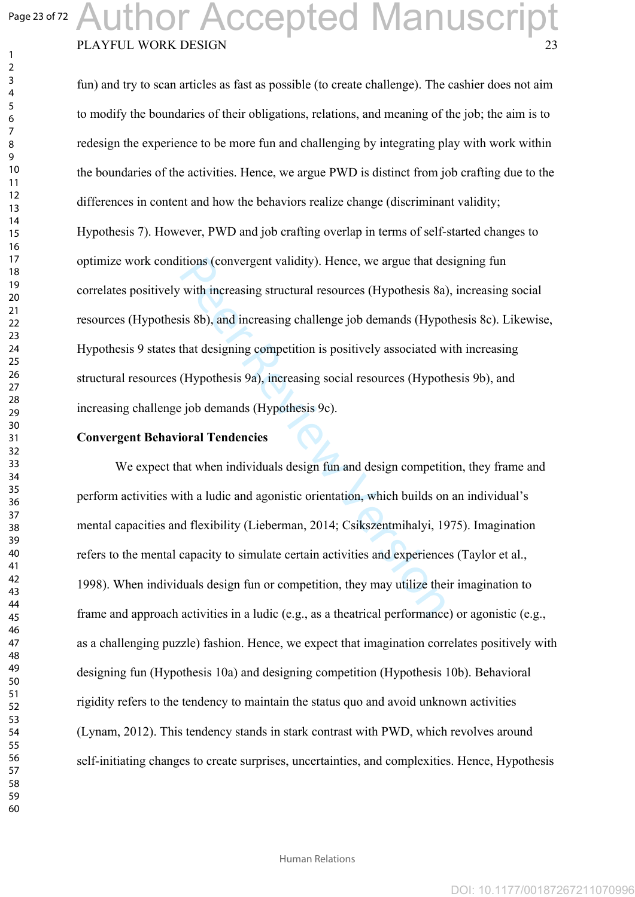#### Author Accepted Manuscript Page 23 of 72 PLAYFUL WORK DESIGN  $\mathbf{1}$

fun) and try to scan articles as fast as possible (to create challenge). The cashier does not aim to modify the boundaries of their obligations, relations, and meaning of the job; the aim is to redesign the experience to be more fun and challenging by integrating play with work within the boundaries of the activities. Hence, we argue PWD is distinct from job crafting due to the differences in content and how the behaviors realize change (discriminant validity; Hypothesis 7). However, PWD and job crafting overlap in terms of self-started changes to optimize work conditions (convergent validity). Hence, we argue that designing fun correlates positively with increasing structural resources (Hypothesis 8a), increasing social resources (Hypothesis 8b), and increasing challenge job demands (Hypothesis 8c). Likewise, Hypothesis 9 states that designing competition is positively associated with increasing structural resources (Hypothesis 9a), increasing social resources (Hypothesis 9b), and increasing challenge job demands (Hypothesis 9c).

#### **Convergent Behavioral Tendencies**

itions (convergent validity). Hence, we argue that de<br>
with increasing structural resources (Hypothesis 8a)<br>
sis 8b), and increasing challenge job demands (Hypot<br>
that designing competition is positively associated w<br>
(Hyp We expect that when individuals design fun and design competition, they frame and perform activities with a ludic and agonistic orientation, which builds on an individual's mental capacities and flexibility (Lieberman, 2014; Csikszentmihalyi, 1975). Imagination refers to the mental capacity to simulate certain activities and experiences (Taylor et al., 1998). When individuals design fun or competition, they may utilize their imagination to frame and approach activities in a ludic (e.g., as a theatrical performance) or agonistic (e.g., as a challenging puzzle) fashion. Hence, we expect that imagination correlates positively with designing fun (Hypothesis 10a) and designing competition (Hypothesis 10b). Behavioral rigidity refers to the tendency to maintain the status quo and avoid unknown activities (Lynam, 2012). This tendency stands in stark contrast with PWD, which revolves around self-initiating changes to create surprises, uncertainties, and complexities. Hence, Hypothesis

 $\overline{2}$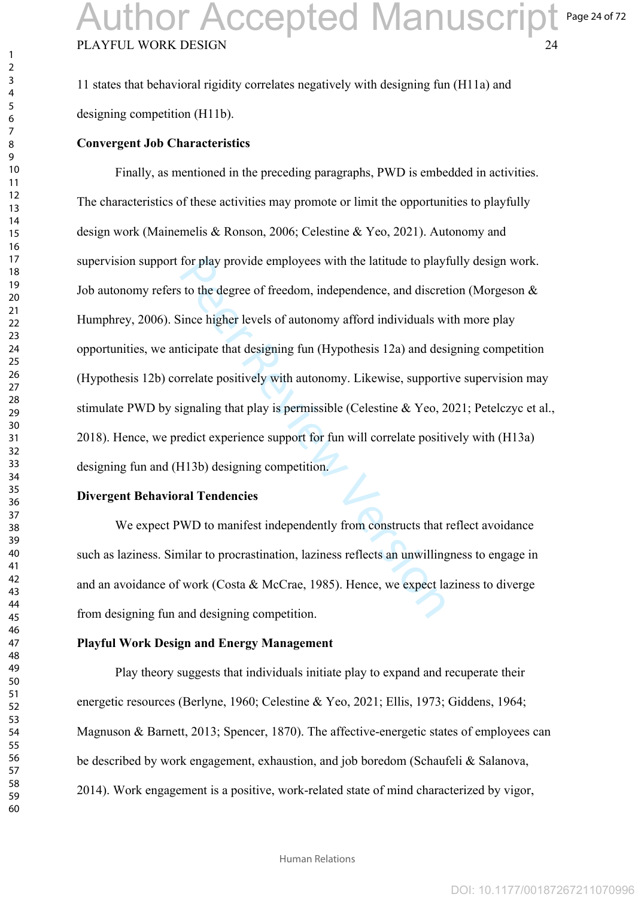11 states that behavioral rigidity correlates negatively with designing fun (H11a) and designing competition (H11b).

#### **Convergent Job Characteristics**

for play provide employees with the latitude to plays<br>to the degree of freedom, independence, and discret<br>lince higher levels of autonomy afford individuals w<br>ticipate that designing fun (Hypothesis 12a) and des<br>rrelate po Finally, as mentioned in the preceding paragraphs, PWD is embedded in activities. The characteristics of these activities may promote or limit the opportunities to playfully design work (Mainemelis & Ronson, 2006; Celestine & Yeo, 2021). Autonomy and supervision support for play provide employees with the latitude to playfully design work. Job autonomy refers to the degree of freedom, independence, and discretion (Morgeson & Humphrey, 2006). Since higher levels of autonomy afford individuals with more play opportunities, we anticipate that designing fun (Hypothesis 12a) and designing competition (Hypothesis 12b) correlate positively with autonomy. Likewise, supportive supervision may stimulate PWD by signaling that play is permissible (Celestine & Yeo, 2021; Petelczyc et al., 2018). Hence, we predict experience support for fun will correlate positively with (H13a) designing fun and (H13b) designing competition.

#### **Divergent Behavioral Tendencies**

We expect PWD to manifest independently from constructs that reflect avoidance such as laziness. Similar to procrastination, laziness reflects an unwillingness to engage in and an avoidance of work (Costa & McCrae, 1985). Hence, we expect laziness to diverge from designing fun and designing competition.

#### **Playful Work Design and Energy Management**

Play theory suggests that individuals initiate play to expand and recuperate their energetic resources (Berlyne, 1960; Celestine & Yeo, 2021; Ellis, 1973; Giddens, 1964; Magnuson & Barnett, 2013; Spencer, 1870). The affective-energetic states of employees can be described by work engagement, exhaustion, and job boredom (Schaufeli & Salanova, 2014). Work engagement is a positive, work-related state of mind characterized by vigor,

 $\mathbf{1}$  $\overline{2}$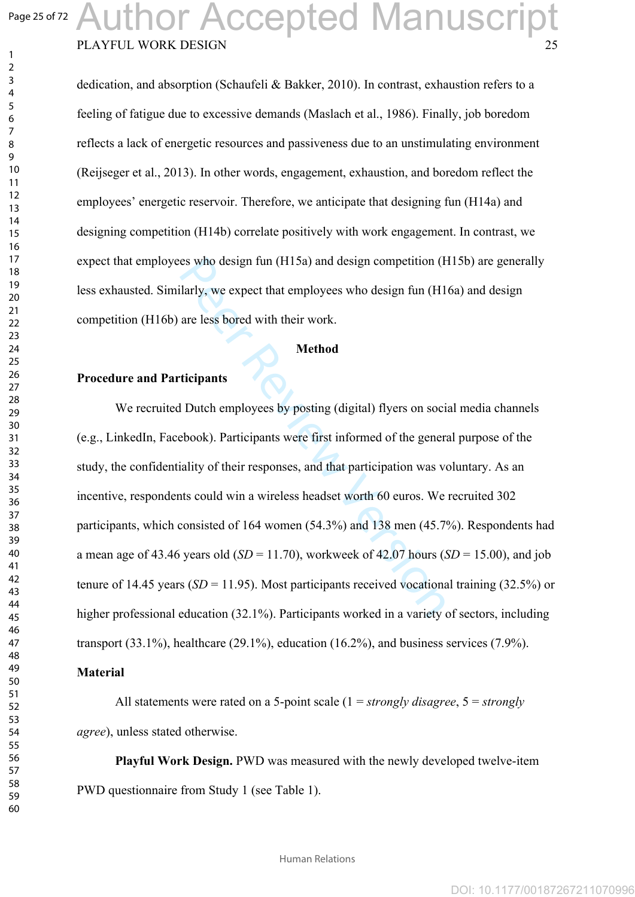$\mathbf{1}$  $\overline{2}$ 

### PLAYFUL WORK DESIGN Author Accepted Manuscript

dedication, and absorption (Schaufeli & Bakker, 2010). In contrast, exhaustion refers to a feeling of fatigue due to excessive demands (Maslach et al., 1986). Finally, job boredom reflects a lack of energetic resources and passiveness due to an unstimulating environment (Reijseger et al., 2013). In other words, engagement, exhaustion, and boredom reflect the employees' energetic reservoir. Therefore, we anticipate that designing fun (H14a) and designing competition (H14b) correlate positively with work engagement. In contrast, we expect that employees who design fun (H15a) and design competition (H15b) are generally less exhausted. Similarly, we expect that employees who design fun (H16a) and design competition (H16b) are less bored with their work.

#### **Method**

#### **Procedure and Participants**

es who design fun (H15a) and design competition (F<br>
ilarly, we expect that employees who design fun (H1<br>
are less bored with their work.<br> **Method**<br> **CEPER REVIEVALES**<br> **Method**<br> **CEPER REVIEVALES**<br> **CEPER REVIEVALES**<br> **CE** We recruited Dutch employees by posting (digital) flyers on social media channels (e.g., LinkedIn, Facebook). Participants were first informed of the general purpose of the study, the confidentiality of their responses, and that participation was voluntary. As an incentive, respondents could win a wireless headset worth 60 euros. We recruited 302 participants, which consisted of 164 women (54.3%) and 138 men (45.7%). Respondents had a mean age of 43.46 years old  $(SD = 11.70)$ , workweek of 42.07 hours  $(SD = 15.00)$ , and job tenure of 14.45 years ( $SD = 11.95$ ). Most participants received vocational training (32.5%) or higher professional education (32.1%). Participants worked in a variety of sectors, including transport (33.1%), healthcare (29.1%), education (16.2%), and business services (7.9%).

#### **Material**

All statements were rated on a 5-point scale (1 = *strongly disagree*, 5 = *strongly agree*), unless stated otherwise.

**Playful Work Design.** PWD was measured with the newly developed twelve-item PWD questionnaire from Study 1 (see Table 1).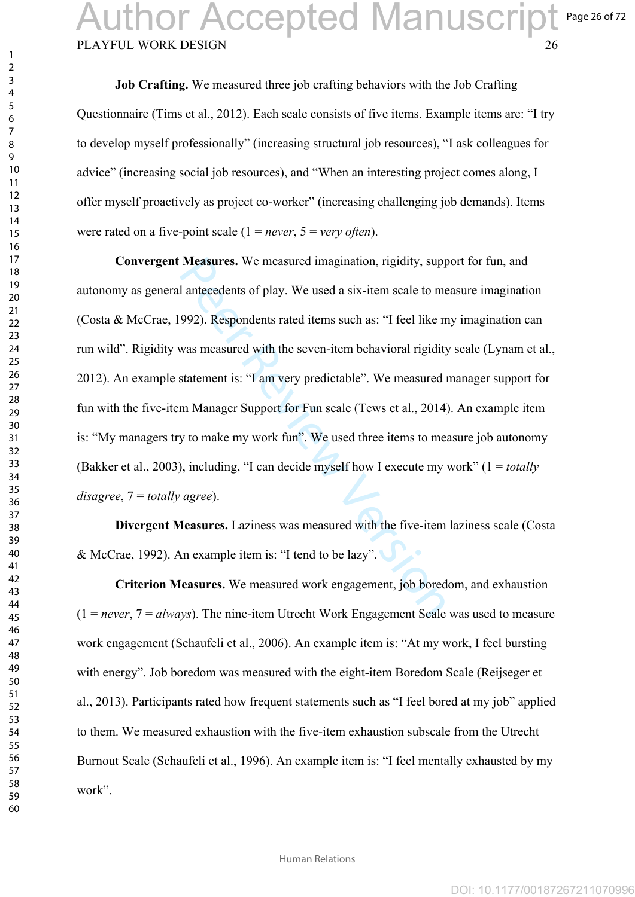### PLAYFUL WORK DESIGN 26 Page 26 of 72 **Author Accepted Manuscript**

**Job Crafting.** We measured three job crafting behaviors with the Job Crafting Questionnaire (Tims et al., 2012). Each scale consists of five items. Example items are: "I try to develop myself professionally" (increasing structural job resources), "I ask colleagues for advice" (increasing social job resources), and "When an interesting project comes along, I offer myself proactively as project co-worker" (increasing challenging job demands). Items were rated on a five-point scale (1 = *never*, 5 = *very often*).

Measures. We measured imagination, rigidity, supplement and a six-item scale to measured interedents of play. We used a six-item scale to measured 992). Respondents rated items such as: "I feel like measured with the seven **Convergent Measures.** We measured imagination, rigidity, support for fun, and autonomy as general antecedents of play. We used a six-item scale to measure imagination (Costa & McCrae, 1992). Respondents rated items such as: "I feel like my imagination can run wild". Rigidity was measured with the seven-item behavioral rigidity scale (Lynam et al., 2012). An example statement is: "I am very predictable". We measured manager support for fun with the five-item Manager Support for Fun scale (Tews et al., 2014). An example item is: "My managers try to make my work fun". We used three items to measure job autonomy (Bakker et al., 2003), including, "I can decide myself how I execute my work" (1 = *totally disagree*, 7 = *totally agree*).

**Divergent Measures.** Laziness was measured with the five-item laziness scale (Costa & McCrae, 1992). An example item is: "I tend to be lazy".

**Criterion Measures.** We measured work engagement, job boredom, and exhaustion  $(1 = never, 7 = always)$ . The nine-item Utrecht Work Engagement Scale was used to measure work engagement (Schaufeli et al., 2006). An example item is: "At my work, I feel bursting with energy". Job boredom was measured with the eight-item Boredom Scale (Reijseger et al., 2013). Participants rated how frequent statements such as "I feel bored at my job" applied to them. We measured exhaustion with the five-item exhaustion subscale from the Utrecht Burnout Scale (Schaufeli et al., 1996). An example item is: "I feel mentally exhausted by my work".

 $\mathbf{1}$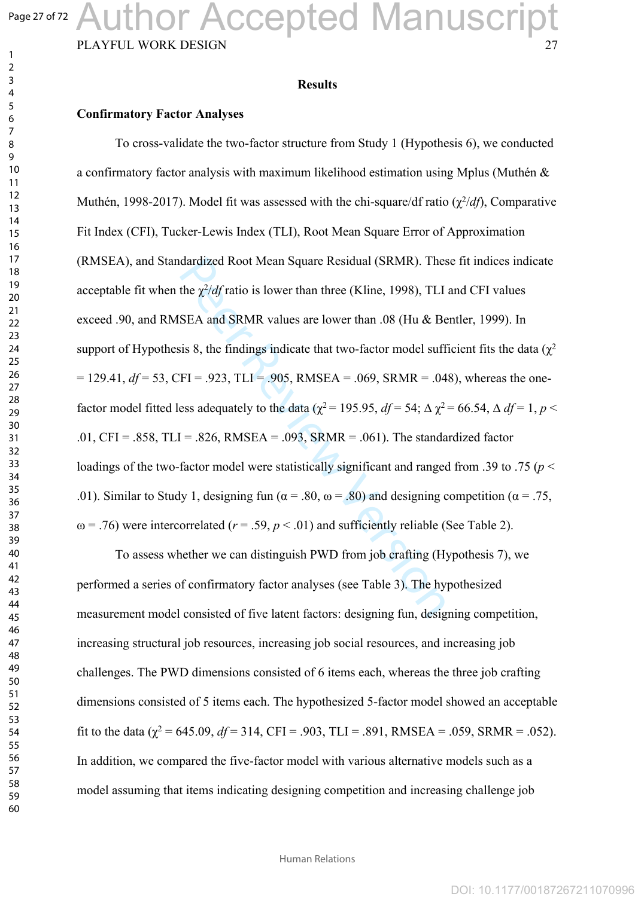# Author Accepted Manuscript

PLAYFUL WORK DESIGN

#### **Results**

#### **Confirmatory Factor Analyses**

dardized Root Mean Square Residual (SRMR). Thes<br>the  $\chi^2/df$  ratio is lower than three (Kline, 1998), TLI<br>SEA and SRMR values are lower than .08 (Hu & Be<br>sis 8, the findings indicate that two-factor model suff<br>FI = .923, To cross-validate the two-factor structure from Study 1 (Hypothesis 6), we conducted a confirmatory factor analysis with maximum likelihood estimation using Mplus (Muthén & Muthén, 1998-2017). Model fit was assessed with the chi-square/df ratio (χ<sup>2</sup>/df), Comparative Fit Index (CFI), Tucker-Lewis Index (TLI), Root Mean Square Error of Approximation (RMSEA), and Standardized Root Mean Square Residual (SRMR). These fit indices indicate acceptable fit when the  $\chi^2$ /*df* ratio is lower than three (Kline, 1998), TLI and CFI values exceed .90, and RMSEA and SRMR values are lower than .08 (Hu & Bentler, 1999). In support of Hypothesis 8, the findings indicate that two-factor model sufficient fits the data ( $\chi^2$ )  $= 129.41$ ,  $df = 53$ , CFI = .923, TLI = .905, RMSEA = .069, SRMR = .048), whereas the onefactor model fitted less adequately to the data ( $\chi^2$  = 195.95, *df* = 54;  $\Delta \chi^2$  = 66.54,  $\Delta df$  = 1, *p* < .01, CFI = .858, TLI = .826, RMSEA = .093, SRMR = .061). The standardized factor loadings of the two-factor model were statistically significant and ranged from .39 to .75 ( $p$  < .01). Similar to Study 1, designing fun ( $\alpha$  = .80,  $\omega$  = .80) and designing competition ( $\alpha$  = .75,  $\omega$  = .76) were intercorrelated ( $r = .59$ ,  $p < .01$ ) and sufficiently reliable (See Table 2).

To assess whether we can distinguish PWD from job crafting (Hypothesis 7), we performed a series of confirmatory factor analyses (see Table 3). The hypothesized measurement model consisted of five latent factors: designing fun, designing competition, increasing structural job resources, increasing job social resources, and increasing job challenges. The PWD dimensions consisted of 6 items each, whereas the three job crafting dimensions consisted of 5 items each. The hypothesized 5-factor model showed an acceptable fit to the data ( $\chi^2$  = 645.09, *df* = 314, CFI = .903, TLI = .891, RMSEA = .059, SRMR = .052). In addition, we compared the five-factor model with various alternative models such as a model assuming that items indicating designing competition and increasing challenge job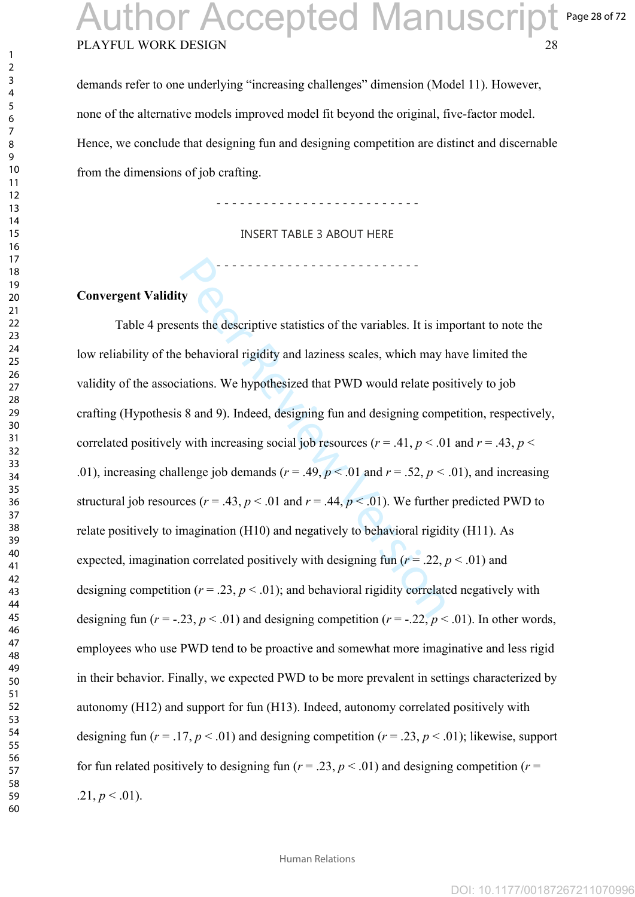### PLAYFUL WORK DESIGN 28 Page 28 of 72 **Author Accepted Manuscript**

demands refer to one underlying "increasing challenges" dimension (Model 11). However, none of the alternative models improved model fit beyond the original, five-factor model. Hence, we conclude that designing fun and designing competition are distinct and discernable from the dimensions of job crafting.

- - - - - - - - - - - - - - - - - - - - - - - - - -

INSERT TABLE 3 ABOUT HERE

- - - - - - - - - - - - - - - - - - - - - - - - - -

### **Convergent Validity**

by<br>ty<br>the descriptive statistics of the variables. It is im<br>the descriptive statistics of the variables. It is im<br>the behavioral rigidity and laziness scales, which may l<br>iations. We hypothesized that PWD would relate pos Table 4 presents the descriptive statistics of the variables. It is important to note the low reliability of the behavioral rigidity and laziness scales, which may have limited the validity of the associations. We hypothesized that PWD would relate positively to job crafting (Hypothesis 8 and 9). Indeed, designing fun and designing competition, respectively, correlated positively with increasing social job resources ( $r = .41$ ,  $p < .01$  and  $r = .43$ ,  $p <$ .01), increasing challenge job demands ( $r = .49$ ,  $p < .01$  and  $r = .52$ ,  $p < .01$ ), and increasing structural job resources ( $r = .43$ ,  $p < .01$  and  $r = .44$ ,  $p < .01$ ). We further predicted PWD to relate positively to imagination (H10) and negatively to behavioral rigidity (H11). As expected, imagination correlated positively with designing fun ( $r = .22$ ,  $p < .01$ ) and designing competition ( $r = .23$ ,  $p < .01$ ); and behavioral rigidity correlated negatively with designing fun ( $r = -0.23$ ,  $p < 0.01$ ) and designing competition ( $r = -0.22$ ,  $p < 0.01$ ). In other words, employees who use PWD tend to be proactive and somewhat more imaginative and less rigid in their behavior. Finally, we expected PWD to be more prevalent in settings characterized by autonomy (H12) and support for fun (H13). Indeed, autonomy correlated positively with designing fun ( $r = .17$ ,  $p < .01$ ) and designing competition ( $r = .23$ ,  $p < .01$ ); likewise, support for fun related positively to designing fun ( $r = .23$ ,  $p < .01$ ) and designing competition ( $r =$  $.21, p \leq .01$ ).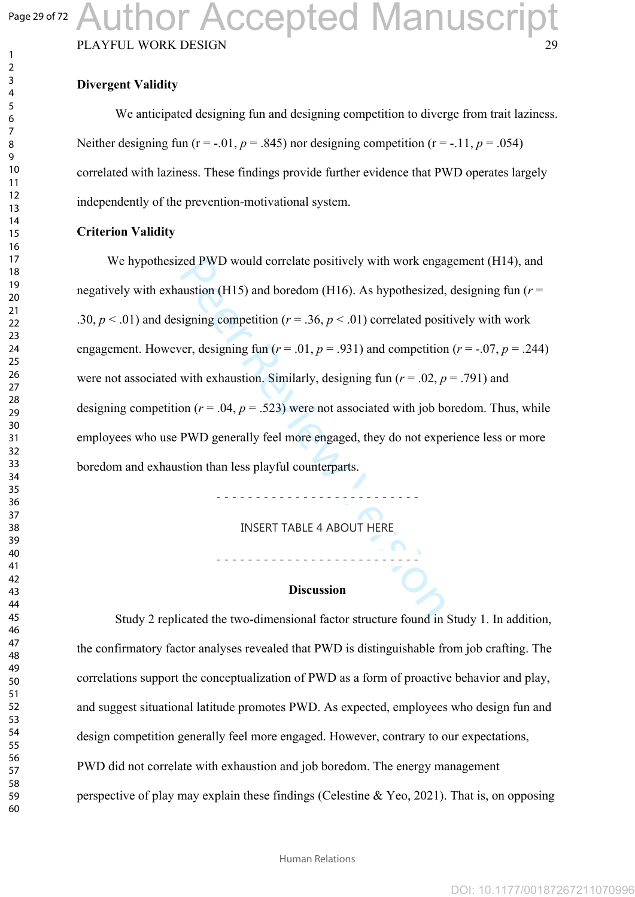# Author Accepted Manuscript

PLAYFUL WORK DESIGN

### **Divergent Validity**

We anticipated designing fun and designing competition to diverge from trait laziness. Neither designing fun ( $r = -0.01$ ,  $p = 0.845$ ) nor designing competition ( $r = -0.11$ ,  $p = 0.054$ ) correlated with laziness. These findings provide further evidence that PWD operates largely independently of the prevention-motivational system.

#### **Criterion Validity**

eed PWD would correlate positively with work engation (H15) and boredom (H16). As hypothesized,<br>signing competition  $(r = .36, p < .01)$  correlated positiver, designing fun  $(r = .01, p = .931)$  and competition<br>with exhaustion. Simil We hypothesized PWD would correlate positively with work engagement (H14), and negatively with exhaustion (H15) and boredom (H16). As hypothesized, designing fun (*r* = .30,  $p < .01$ ) and designing competition ( $r = .36$ ,  $p < .01$ ) correlated positively with work engagement. However, designing fun ( $r = .01$ ,  $p = .931$ ) and competition ( $r = .07$ ,  $p = .244$ ) were not associated with exhaustion. Similarly, designing fun ( $r = .02$ ,  $p = .791$ ) and designing competition ( $r = .04$ ,  $p = .523$ ) were not associated with job boredom. Thus, while employees who use PWD generally feel more engaged, they do not experience less or more boredom and exhaustion than less playful counterparts.

INSERT TABLE 4 ABOUT HERE

- - - - - - - - - - - - - - - - - - - - - - - - - -

- - - - - - - - - - - - - - - - - - - - - - - - - -

#### **Discussion**

Study 2 replicated the two-dimensional factor structure found in Study 1. In addition, the confirmatory factor analyses revealed that PWD is distinguishable from job crafting. The correlations support the conceptualization of PWD as a form of proactive behavior and play, and suggest situational latitude promotes PWD. As expected, employees who design fun and design competition generally feel more engaged. However, contrary to our expectations, PWD did not correlate with exhaustion and job boredom. The energy management perspective of play may explain these findings (Celestine & Yeo, 2021). That is, on opposing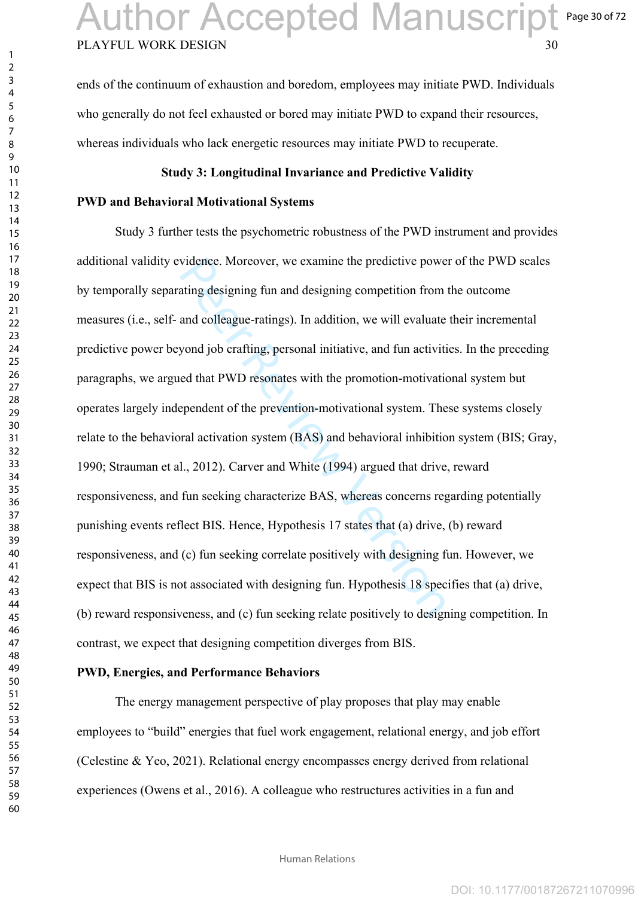ends of the continuum of exhaustion and boredom, employees may initiate PWD. Individuals who generally do not feel exhausted or bored may initiate PWD to expand their resources, whereas individuals who lack energetic resources may initiate PWD to recuperate.

#### **Study 3: Longitudinal Invariance and Predictive Validity**

#### **PWD and Behavioral Motivational Systems**

vidence. Moreover, we examine the predictive powerting designing fun and designing competition from and colleague-ratings). In addition, we will evaluate yond job crafting, personal initiative, and fun activities and that Study 3 further tests the psychometric robustness of the PWD instrument and provides additional validity evidence. Moreover, we examine the predictive power of the PWD scales by temporally separating designing fun and designing competition from the outcome measures (i.e., self- and colleague-ratings). In addition, we will evaluate their incremental predictive power beyond job crafting, personal initiative, and fun activities. In the preceding paragraphs, we argued that PWD resonates with the promotion-motivational system but operates largely independent of the prevention-motivational system. These systems closely relate to the behavioral activation system (BAS) and behavioral inhibition system (BIS; Gray, 1990; Strauman et al., 2012). Carver and White (1994) argued that drive, reward responsiveness, and fun seeking characterize BAS, whereas concerns regarding potentially punishing events reflect BIS. Hence, Hypothesis 17 states that (a) drive, (b) reward responsiveness, and (c) fun seeking correlate positively with designing fun. However, we expect that BIS is not associated with designing fun. Hypothesis 18 specifies that (a) drive, (b) reward responsiveness, and (c) fun seeking relate positively to designing competition. In contrast, we expect that designing competition diverges from BIS.

#### **PWD, Energies, and Performance Behaviors**

The energy management perspective of play proposes that play may enable employees to "build" energies that fuel work engagement, relational energy, and job effort (Celestine & Yeo, 2021). Relational energy encompasses energy derived from relational experiences (Owens et al., 2016). A colleague who restructures activities in a fun and

 $\mathbf{1}$  $\overline{2}$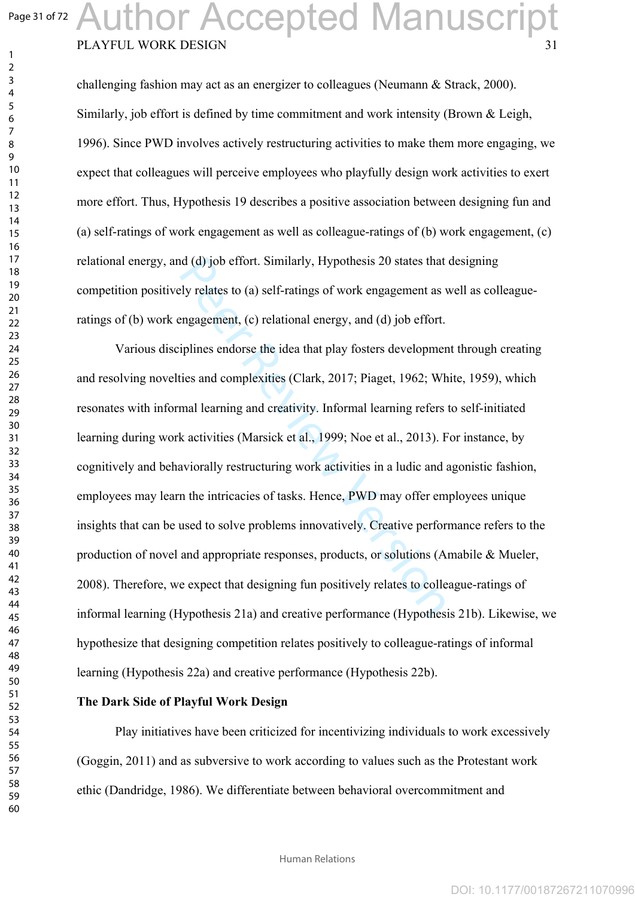$\mathbf{1}$  $\overline{2}$ 

### PLAYFUL WORK DESIGN Author Accepted Manuscript

challenging fashion may act as an energizer to colleagues (Neumann & Strack, 2000). Similarly, job effort is defined by time commitment and work intensity (Brown & Leigh, 1996). Since PWD involves actively restructuring activities to make them more engaging, we expect that colleagues will perceive employees who playfully design work activities to exert more effort. Thus, Hypothesis 19 describes a positive association between designing fun and (a) self-ratings of work engagement as well as colleague-ratings of (b) work engagement, (c) relational energy, and (d) job effort. Similarly, Hypothesis 20 states that designing competition positively relates to (a) self-ratings of work engagement as well as colleagueratings of (b) work engagement, (c) relational energy, and (d) job effort.

d (d) job effort. Similarly, Hypothesis 20 states that<br>ely relates to (a) self-ratings of work engagement as v<br>engagement, (c) relational energy, and (d) job effort.<br>iplines endorse the idea that play fosters developmer<br>ti Various disciplines endorse the idea that play fosters development through creating and resolving novelties and complexities (Clark, 2017; Piaget, 1962; White, 1959), which resonates with informal learning and creativity. Informal learning refers to self-initiated learning during work activities (Marsick et al., 1999; Noe et al., 2013). For instance, by cognitively and behaviorally restructuring work activities in a ludic and agonistic fashion, employees may learn the intricacies of tasks. Hence, PWD may offer employees unique insights that can be used to solve problems innovatively. Creative performance refers to the production of novel and appropriate responses, products, or solutions (Amabile & Mueler, 2008). Therefore, we expect that designing fun positively relates to colleague-ratings of informal learning (Hypothesis 21a) and creative performance (Hypothesis 21b). Likewise, we hypothesize that designing competition relates positively to colleague-ratings of informal learning (Hypothesis 22a) and creative performance (Hypothesis 22b).

#### **The Dark Side of Playful Work Design**

Play initiatives have been criticized for incentivizing individuals to work excessively (Goggin, 2011) and as subversive to work according to values such as the Protestant work ethic (Dandridge, 1986). We differentiate between behavioral overcommitment and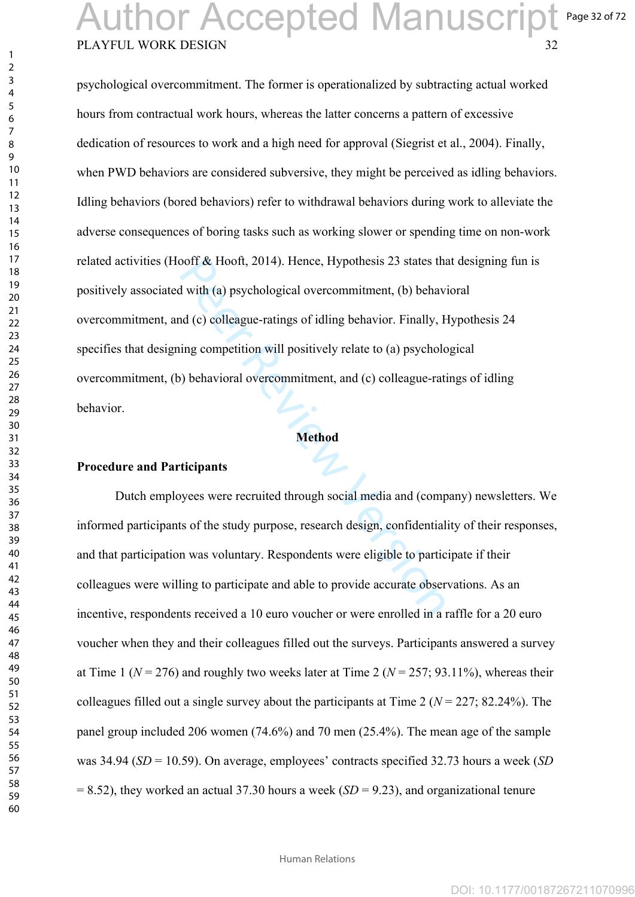### PLAYFUL WORK DESIGN 32 Page 32 of 72 Author Accepted Manuscript

ooff & Hooft, 2014). Hence, Hypothesis 23 states that<br>
if with (a) psychological overcommitment, (b) behave<br>
ind (c) colleague-ratings of idling behavior. Finally, F<br>
ing competition will positively relate to (a) psycholor psychological overcommitment. The former is operationalized by subtracting actual worked hours from contractual work hours, whereas the latter concerns a pattern of excessive dedication of resources to work and a high need for approval (Siegrist et al., 2004). Finally, when PWD behaviors are considered subversive, they might be perceived as idling behaviors. Idling behaviors (bored behaviors) refer to withdrawal behaviors during work to alleviate the adverse consequences of boring tasks such as working slower or spending time on non-work related activities (Hooff & Hooft, 2014). Hence, Hypothesis 23 states that designing fun is positively associated with (a) psychological overcommitment, (b) behavioral overcommitment, and (c) colleague-ratings of idling behavior. Finally, Hypothesis 24 specifies that designing competition will positively relate to (a) psychological overcommitment, (b) behavioral overcommitment, and (c) colleague-ratings of idling behavior.

#### **Method**

#### **Procedure and Participants**

Dutch employees were recruited through social media and (company) newsletters. We informed participants of the study purpose, research design, confidentiality of their responses, and that participation was voluntary. Respondents were eligible to participate if their colleagues were willing to participate and able to provide accurate observations. As an incentive, respondents received a 10 euro voucher or were enrolled in a raffle for a 20 euro voucher when they and their colleagues filled out the surveys. Participants answered a survey at Time 1 ( $N = 276$ ) and roughly two weeks later at Time 2 ( $N = 257$ ; 93.11%), whereas their colleagues filled out a single survey about the participants at Time 2 (*N* = 227; 82.24%). The panel group included 206 women (74.6%) and 70 men (25.4%). The mean age of the sample was 34.94 (*SD* = 10.59). On average, employees' contracts specified 32.73 hours a week (*SD* = 8.52), they worked an actual 37.30 hours a week (*SD* = 9.23), and organizational tenure

Human Relations

 $\mathbf{1}$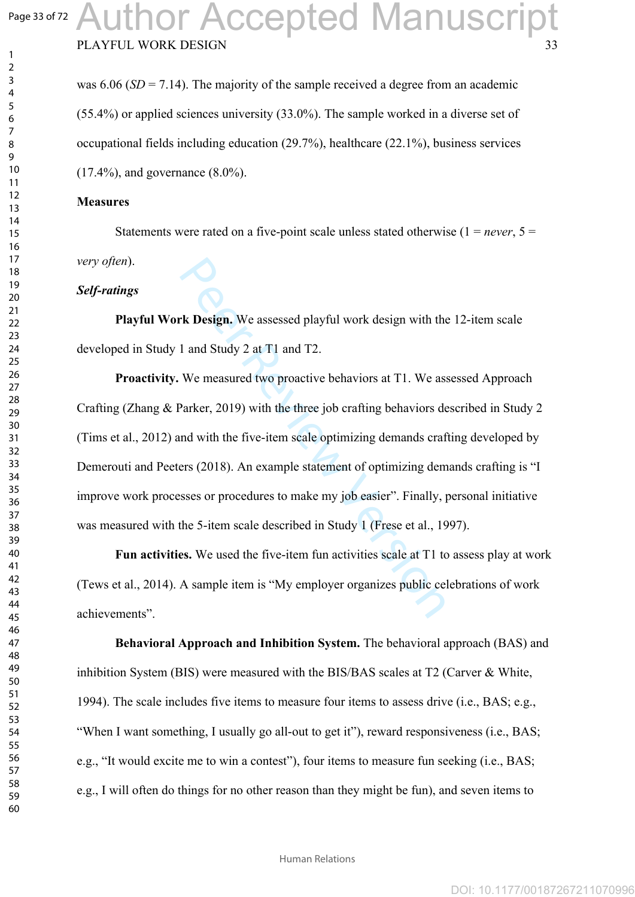$\mathbf{1}$  $\overline{2}$  $\overline{4}$ 

### PLAYFUL WORK DESIGN uthor Accepted Manuscript

was 6.06 (*SD* = 7.14). The majority of the sample received a degree from an academic (55.4%) or applied sciences university (33.0%). The sample worked in a diverse set of occupational fields including education (29.7%), healthcare (22.1%), business services (17.4%), and governance (8.0%).

#### **Measures**

Statements were rated on a five-point scale unless stated otherwise  $(1 = never, 5 =$ *very often*).

#### *Self-ratings*

**Playful Work Design.** We assessed playful work design with the 12-item scale developed in Study 1 and Study 2 at T1 and T2.

**Example 12** and Study 2 at T1 and T2.<br>
We measured two proactive behaviors at T1. We assessed playful work design with the 1 and Study 2 at T1 and T2.<br>
We measured two proactive behaviors at T1. We asses Parker, 2019) wi **Proactivity.** We measured two proactive behaviors at T1. We assessed Approach Crafting (Zhang & Parker, 2019) with the three job crafting behaviors described in Study 2 (Tims et al., 2012) and with the five-item scale optimizing demands crafting developed by Demerouti and Peeters (2018). An example statement of optimizing demands crafting is "I improve work processes or procedures to make my job easier". Finally, personal initiative was measured with the 5-item scale described in Study 1 (Frese et al., 1997).

**Fun activities.** We used the five-item fun activities scale at T1 to assess play at work (Tews et al., 2014). A sample item is "My employer organizes public celebrations of work achievements".

**Behavioral Approach and Inhibition System.** The behavioral approach (BAS) and inhibition System (BIS) were measured with the BIS/BAS scales at T2 (Carver & White, 1994). The scale includes five items to measure four items to assess drive (i.e., BAS; e.g., "When I want something, I usually go all-out to get it"), reward responsiveness (i.e., BAS; e.g., "It would excite me to win a contest"), four items to measure fun seeking (i.e., BAS; e.g., I will often do things for no other reason than they might be fun), and seven items to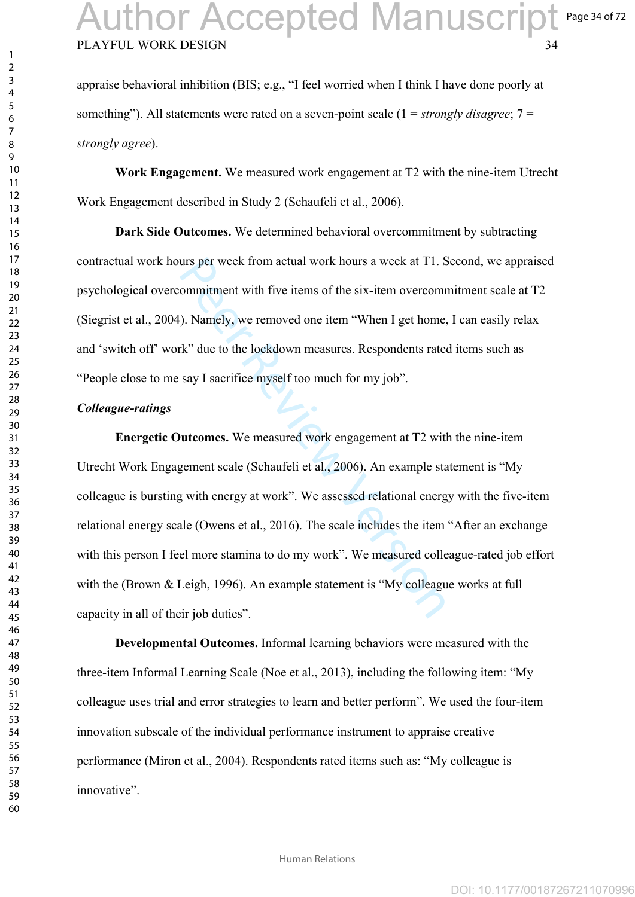appraise behavioral inhibition (BIS; e.g., "I feel worried when I think I have done poorly at something"). All statements were rated on a seven-point scale (1 = *strongly disagree*; 7 = *strongly agree*).

**Work Engagement.** We measured work engagement at T2 with the nine-item Utrecht Work Engagement described in Study 2 (Schaufeli et al., 2006).

**Dark Side Outcomes.** We determined behavioral overcommitment by subtracting contractual work hours per week from actual work hours a week at T1. Second, we appraised psychological overcommitment with five items of the six-item overcommitment scale at T2 (Siegrist et al., 2004). Namely, we removed one item "When I get home, I can easily relax and 'switch off' work" due to the lockdown measures. Respondents rated items such as "People close to me say I sacrifice myself too much for my job".

#### *Colleague-ratings*

urs per week from actual work hours a week at T1. Sommitment with five items of the six-item overcomm<br>
). Namely, we removed one item "When I get home,<br>
k" due to the lockdown measures. Respondents rate<br>
say I sacrifice my **Energetic Outcomes.** We measured work engagement at T2 with the nine-item Utrecht Work Engagement scale (Schaufeli et al., 2006). An example statement is "My colleague is bursting with energy at work". We assessed relational energy with the five-item relational energy scale (Owens et al., 2016). The scale includes the item "After an exchange with this person I feel more stamina to do my work". We measured colleague-rated job effort with the (Brown & Leigh, 1996). An example statement is "My colleague works at full capacity in all of their job duties".

**Developmental Outcomes.** Informal learning behaviors were measured with the three-item Informal Learning Scale (Noe et al., 2013), including the following item: "My colleague uses trial and error strategies to learn and better perform". We used the four-item innovation subscale of the individual performance instrument to appraise creative performance (Miron et al., 2004). Respondents rated items such as: "My colleague is innovative".

 $\mathbf{1}$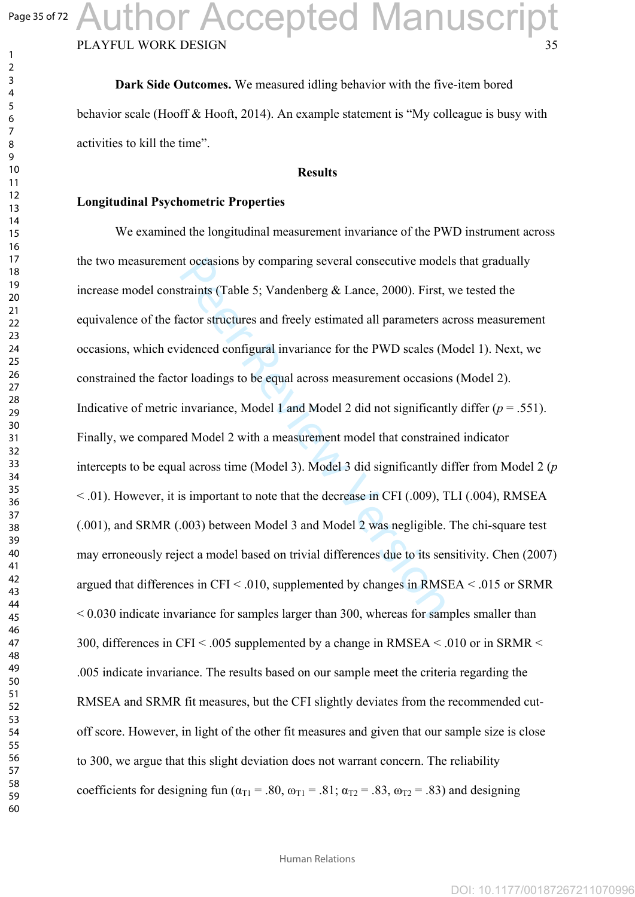$\mathbf{1}$  $\overline{2}$  $\overline{4}$ 

### PLAYFUL WORK DESIGN Author Accepted Manuscript

**Dark Side Outcomes.** We measured idling behavior with the five-item bored behavior scale (Hooff & Hooft, 2014). An example statement is "My colleague is busy with activities to kill the time".

#### **Results**

#### **Longitudinal Psychometric Properties**

is to coasions by comparing several consecutive mode<br>traints (Table 5; Vandenberg & Lance, 2000). First,<br>actor structures and freely estimated all parameters a<br>idenced configural invariance for the PWD scales (N<br>or loading We examined the longitudinal measurement invariance of the PWD instrument across the two measurement occasions by comparing several consecutive models that gradually increase model constraints (Table 5; Vandenberg & Lance, 2000). First, we tested the equivalence of the factor structures and freely estimated all parameters across measurement occasions, which evidenced configural invariance for the PWD scales (Model 1). Next, we constrained the factor loadings to be equal across measurement occasions (Model 2). Indicative of metric invariance, Model 1 and Model 2 did not significantly differ  $(p = .551)$ . Finally, we compared Model 2 with a measurement model that constrained indicator intercepts to be equal across time (Model 3). Model 3 did significantly differ from Model 2 (*p*   $\leq$  0.01). However, it is important to note that the decrease in CFI (.009), TLI (.004), RMSEA (.001), and SRMR (.003) between Model 3 and Model 2 was negligible. The chi-square test may erroneously reject a model based on trivial differences due to its sensitivity. Chen (2007) argued that differences in CFI  $\leq$  0.010, supplemented by changes in RMSEA  $\leq$  0.015 or SRMR < 0.030 indicate invariance for samples larger than 300, whereas for samples smaller than 300, differences in CFI  $\leq$  0.005 supplemented by a change in RMSEA  $\leq$  0.010 or in SRMR  $\leq$ .005 indicate invariance. The results based on our sample meet the criteria regarding the RMSEA and SRMR fit measures, but the CFI slightly deviates from the recommended cutoff score. However, in light of the other fit measures and given that our sample size is close to 300, we argue that this slight deviation does not warrant concern. The reliability coefficients for designing fun ( $\alpha_{T1}$  = .80,  $\omega_{T1}$  = .81;  $\alpha_{T2}$  = .83,  $\omega_{T2}$  = .83) and designing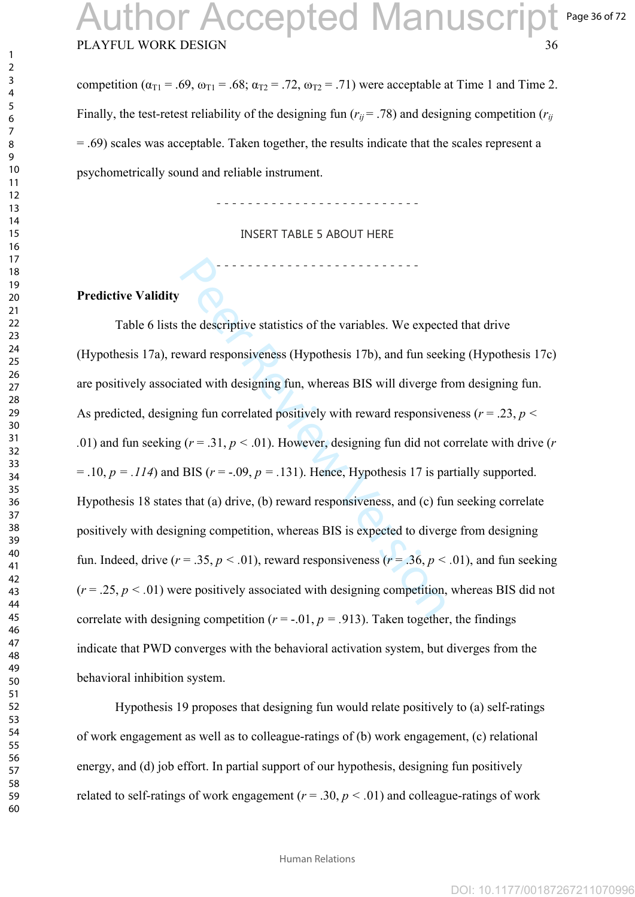## PLAYFUL WORK DESIGN 36 **uthor Accepted Manuscript**

Page 36 of 72

competition ( $\alpha_{T1}$  = .69,  $\omega_{T1}$  = .68;  $\alpha_{T2}$  = .72,  $\omega_{T2}$  = .71) were acceptable at Time 1 and Time 2. Finally, the test-retest reliability of the designing fun ( $r_{ij}$  = .78) and designing competition ( $r_{ij}$ ) = .69) scales was acceptable. Taken together, the results indicate that the scales represent a psychometrically sound and reliable instrument.

- - - - - - - - - - - - - - - - - - - - - - - - - -

INSERT TABLE 5 ABOUT HERE

- - - - - - - - - - - - - - - - - - - - - - - - - -

### **Predictive Validity**

the descriptive statistics of the variables. We expect<br>tward responsiveness (Hypothesis 17b), and fun seek<br>ated with designing fun, whereas BIS will diverge fi<br>ing fun correlated positively with reward responsive<br> $p(r = .31,$ Table 6 lists the descriptive statistics of the variables. We expected that drive (Hypothesis 17a), reward responsiveness (Hypothesis 17b), and fun seeking (Hypothesis 17c) are positively associated with designing fun, whereas BIS will diverge from designing fun. As predicted, designing fun correlated positively with reward responsiveness ( $r = .23$ ,  $p < .01$ ) and fun seeking ( $r = .31$ ,  $p < .01$ ). However, designing fun did not correlate with drive ( $r = .01$ ).  $= .10, p = .114$ ) and BIS ( $r = -.09, p = .131$ ). Hence, Hypothesis 17 is partially supported. Hypothesis 18 states that (a) drive, (b) reward responsiveness, and (c) fun seeking correlate positively with designing competition, whereas BIS is expected to diverge from designing fun. Indeed, drive ( $r = .35$ ,  $p < .01$ ), reward responsiveness ( $r = .36$ ,  $p < .01$ ), and fun seeking<br>( $r = .25$ ,  $p < .01$ ) were positively associated with designing competition, whereas BIS did not correlate with designing competition ( $r = -0.01$ ,  $p = 0.913$ ). Taken together, the findings indicate that PWD converges with the behavioral activation system, but diverges from the behavioral inhibition system.

Hypothesis 19 proposes that designing fun would relate positively to (a) self-ratings of work engagement as well as to colleague-ratings of (b) work engagement, (c) relational energy, and (d) job effort. In partial support of our hypothesis, designing fun positively related to self-ratings of work engagement ( $r = .30$ ,  $p < .01$ ) and colleague-ratings of work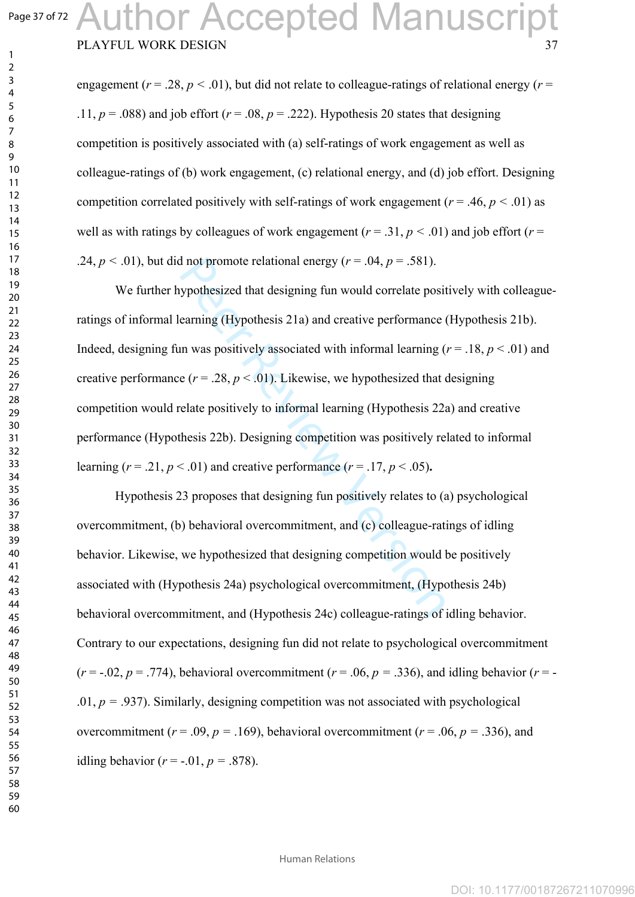$\mathbf{1}$  $\overline{2}$  $\overline{4}$  $\overline{7}$ 

## PLAYFUL WORK DESIGN Author Accepted Manuscript

engagement ( $r = .28$ ,  $p < .01$ ), but did not relate to colleague-ratings of relational energy ( $r =$ .11,  $p = .088$ ) and job effort ( $r = .08$ ,  $p = .222$ ). Hypothesis 20 states that designing competition is positively associated with (a) self-ratings of work engagement as well as colleague-ratings of (b) work engagement, (c) relational energy, and (d) job effort. Designing competition correlated positively with self-ratings of work engagement ( $r = .46$ ,  $p < .01$ ) as well as with ratings by colleagues of work engagement ( $r = .31$ ,  $p < .01$ ) and job effort ( $r =$ .24,  $p < .01$ ), but did not promote relational energy ( $r = .04$ ,  $p = .581$ ).

If not promote relational energy  $(r = .04, p = .581)$ .<br>
sypothesized that designing fun would correlate posit<br>
earning (Hypothesis 21a) and creative performance (<br>
in was positively associated with informal learning ( $e(r = .28, p$ We further hypothesized that designing fun would correlate positively with colleagueratings of informal learning (Hypothesis 21a) and creative performance (Hypothesis 21b). Indeed, designing fun was positively associated with informal learning  $(r = .18, p < .01)$  and creative performance  $(r = .28, p < .01)$ . Likewise, we hypothesized that designing competition would relate positively to informal learning (Hypothesis 22a) and creative performance (Hypothesis 22b). Designing competition was positively related to informal learning  $(r = .21, p < .01)$  and creative performance  $(r = .17, p < .05)$ .

Hypothesis 23 proposes that designing fun positively relates to (a) psychological overcommitment, (b) behavioral overcommitment, and (c) colleague-ratings of idling behavior. Likewise, we hypothesized that designing competition would be positively associated with (Hypothesis 24a) psychological overcommitment, (Hypothesis 24b) behavioral overcommitment, and (Hypothesis 24c) colleague-ratings of idling behavior. Contrary to our expectations, designing fun did not relate to psychological overcommitment ( $r = -0.02$ ,  $p = .774$ ), behavioral overcommitment ( $r = .06$ ,  $p = .336$ ), and idling behavior ( $r = -$ .01,  $p = .937$ ). Similarly, designing competition was not associated with psychological overcommitment ( $r = .09$ ,  $p = .169$ ), behavioral overcommitment ( $r = .06$ ,  $p = .336$ ), and idling behavior ( $r = -0.01$ ,  $p = 0.878$ ).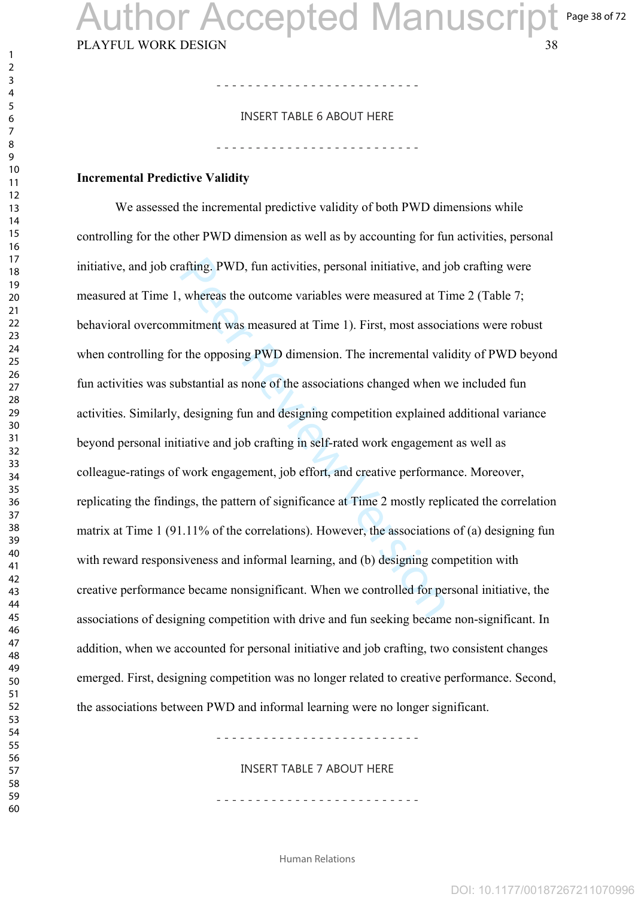Page 38 of 72

### - - - - - - - - - - - - - - - - - - - - - - - - - - INSERT TABLE 6 ABOUT HERE

- - - - - - - - - - - - - - - - - - - - - - - - - -

#### **Incremental Predictive Validity**

afting. PWD, fun activities, personal initiative, and j<br>whereas the outcome variables were measured at Ti<br>mitment was measured at Time 1). First, most associ<br>r the opposing PWD dimension. The incremental val<br>bbstantial as We assessed the incremental predictive validity of both PWD dimensions while controlling for the other PWD dimension as well as by accounting for fun activities, personal initiative, and job crafting. PWD, fun activities, personal initiative, and job crafting were measured at Time 1, whereas the outcome variables were measured at Time 2 (Table 7; behavioral overcommitment was measured at Time 1). First, most associations were robust when controlling for the opposing PWD dimension. The incremental validity of PWD beyond fun activities was substantial as none of the associations changed when we included fun activities. Similarly, designing fun and designing competition explained additional variance beyond personal initiative and job crafting in self-rated work engagement as well as colleague-ratings of work engagement, job effort, and creative performance. Moreover, replicating the findings, the pattern of significance at Time 2 mostly replicated the correlation matrix at Time 1 (91.11% of the correlations). However, the associations of (a) designing fun with reward responsiveness and informal learning, and (b) designing competition with creative performance became nonsignificant. When we controlled for personal initiative, the associations of designing competition with drive and fun seeking became non-significant. In addition, when we accounted for personal initiative and job crafting, two consistent changes emerged. First, designing competition was no longer related to creative performance. Second, the associations between PWD and informal learning were no longer significant.

- - - - - - - - - - - - - - - - - - - - - - - - - -

INSERT TABLE 7 ABOUT HERE

- - - - - - - - - - - - - - - - - - - - - - - - - -

Human Relations

 $\mathbf{1}$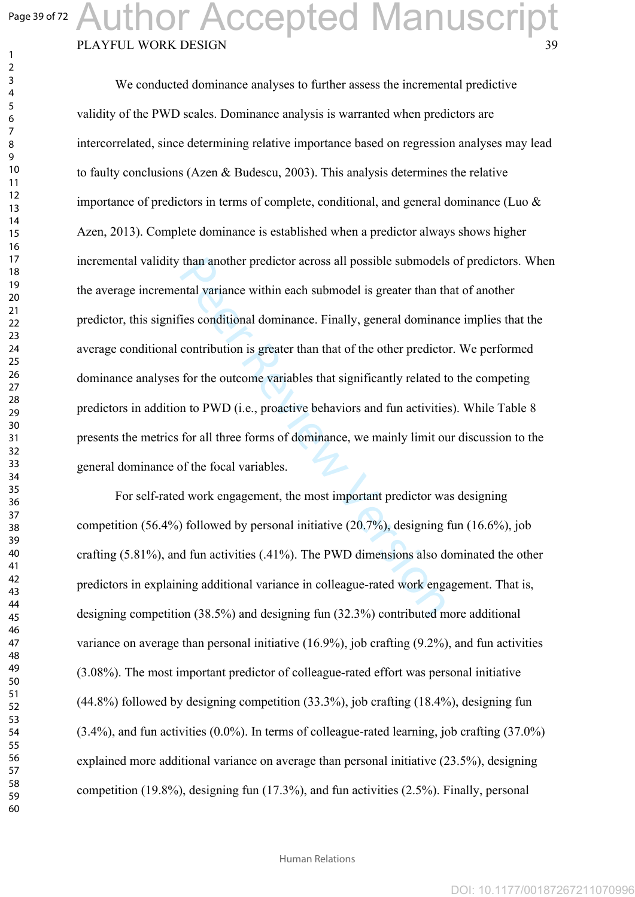$\mathbf{1}$  $\overline{2}$  $\overline{3}$  $\overline{4}$  $\overline{7}$ 

## PLAYFUL WORK DESIGN Author Accepted Manuscript

than another predictor across all possible submodels<br>ntal variance within each submodel is greater than th<br>ies conditional dominance. Finally, general dominanc<br>contribution is greater than that of the other predicto<br>for t We conducted dominance analyses to further assess the incremental predictive validity of the PWD scales. Dominance analysis is warranted when predictors are intercorrelated, since determining relative importance based on regression analyses may lead to faulty conclusions (Azen & Budescu, 2003). This analysis determines the relative importance of predictors in terms of complete, conditional, and general dominance (Luo & Azen, 2013). Complete dominance is established when a predictor always shows higher incremental validity than another predictor across all possible submodels of predictors. When the average incremental variance within each submodel is greater than that of another predictor, this signifies conditional dominance. Finally, general dominance implies that the average conditional contribution is greater than that of the other predictor. We performed dominance analyses for the outcome variables that significantly related to the competing predictors in addition to PWD (i.e., proactive behaviors and fun activities). While Table 8 presents the metrics for all three forms of dominance, we mainly limit our discussion to the general dominance of the focal variables.

For self-rated work engagement, the most important predictor was designing competition (56.4%) followed by personal initiative (20.7%), designing fun (16.6%), job crafting (5.81%), and fun activities (.41%). The PWD dimensions also dominated the other predictors in explaining additional variance in colleague-rated work engagement. That is, designing competition (38.5%) and designing fun (32.3%) contributed more additional variance on average than personal initiative (16.9%), job crafting (9.2%), and fun activities (3.08%). The most important predictor of colleague-rated effort was personal initiative (44.8%) followed by designing competition (33.3%), job crafting (18.4%), designing fun (3.4%), and fun activities (0.0%). In terms of colleague-rated learning, job crafting (37.0%) explained more additional variance on average than personal initiative (23.5%), designing competition (19.8%), designing fun (17.3%), and fun activities (2.5%). Finally, personal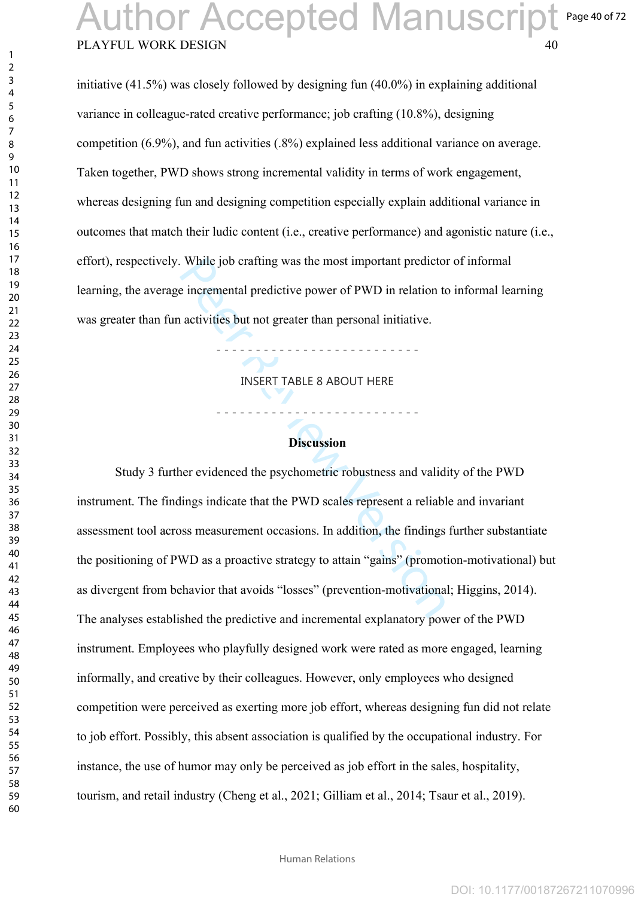#### PLAYFUL WORK DESIGN Page 40 of 72 Author Accepted Manuscript

initiative (41.5%) was closely followed by designing fun (40.0%) in explaining additional variance in colleague-rated creative performance; job crafting (10.8%), designing competition (6.9%), and fun activities (.8%) explained less additional variance on average. Taken together, PWD shows strong incremental validity in terms of work engagement, whereas designing fun and designing competition especially explain additional variance in outcomes that match their ludic content (i.e., creative performance) and agonistic nature (i.e., effort), respectively. While job crafting was the most important predictor of informal learning, the average incremental predictive power of PWD in relation to informal learning was greater than fun activities but not greater than personal initiative.

INSERT TABLE 8 ABOUT HERE

- - - - - - - - - - - - - - - - - - - - - - - - - -

- - - - - - - - - - - - - - - - - - - - - - - - - -

#### **Discussion**

While job crafting was the most important predictore<br>
incremental predictive power of PWD in relation to<br>
activities but not greater than personal initiative.<br>
INSERT TABLE 8 ABOUT HERE<br>
Discussion<br>
mer evidenced the psych Study 3 further evidenced the psychometric robustness and validity of the PWD instrument. The findings indicate that the PWD scales represent a reliable and invariant assessment tool across measurement occasions. In addition, the findings further substantiate the positioning of PWD as a proactive strategy to attain "gains" (promotion-motivational) but as divergent from behavior that avoids "losses" (prevention-motivational; Higgins, 2014). The analyses established the predictive and incremental explanatory power of the PWD instrument. Employees who playfully designed work were rated as more engaged, learning informally, and creative by their colleagues. However, only employees who designed competition were perceived as exerting more job effort, whereas designing fun did not relate to job effort. Possibly, this absent association is qualified by the occupational industry. For instance, the use of humor may only be perceived as job effort in the sales, hospitality, tourism, and retail industry (Cheng et al., 2021; Gilliam et al., 2014; Tsaur et al., 2019).

Human Relations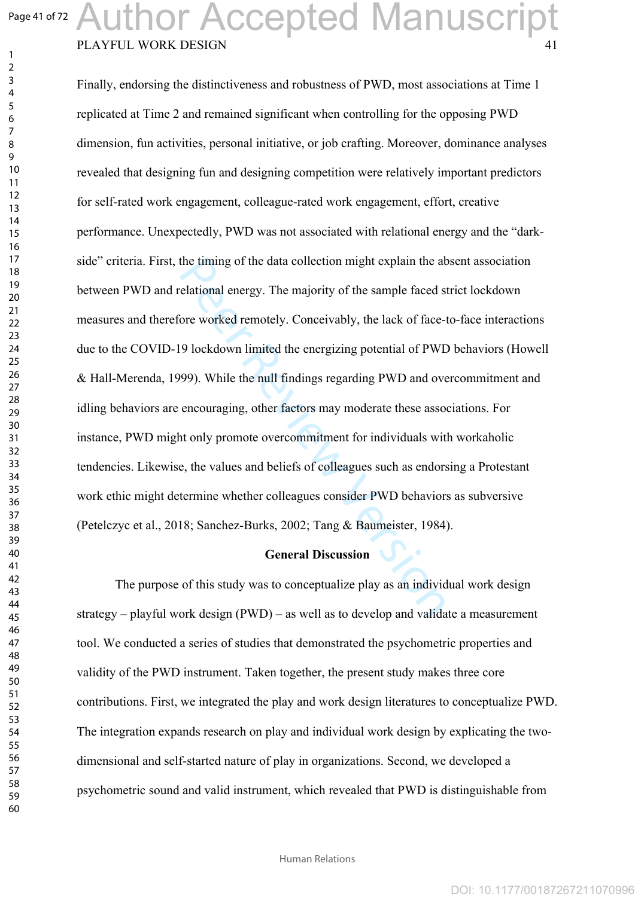$\mathbf{1}$  $\overline{2}$ 

# PLAYFUL WORK DESIGN Author Accepted Manuscript

the timing of the data collection might explain the absorbed remotely. The majority of the sample faced s<br>
Sore worked remotely. Conceivably, the lack of face-<br>
9 lockdown limited the energizing potential of PWL<br>
999). Whi Finally, endorsing the distinctiveness and robustness of PWD, most associations at Time 1 replicated at Time 2 and remained significant when controlling for the opposing PWD dimension, fun activities, personal initiative, or job crafting. Moreover, dominance analyses revealed that designing fun and designing competition were relatively important predictors for self-rated work engagement, colleague-rated work engagement, effort, creative performance. Unexpectedly, PWD was not associated with relational energy and the "darkside" criteria. First, the timing of the data collection might explain the absent association between PWD and relational energy. The majority of the sample faced strict lockdown measures and therefore worked remotely. Conceivably, the lack of face-to-face interactions due to the COVID-19 lockdown limited the energizing potential of PWD behaviors (Howell & Hall-Merenda, 1999). While the null findings regarding PWD and overcommitment and idling behaviors are encouraging, other factors may moderate these associations. For instance, PWD might only promote overcommitment for individuals with workaholic tendencies. Likewise, the values and beliefs of colleagues such as endorsing a Protestant work ethic might determine whether colleagues consider PWD behaviors as subversive (Petelczyc et al., 2018; Sanchez-Burks, 2002; Tang & Baumeister, 1984).

#### **General Discussion**

The purpose of this study was to conceptualize play as an individual work design strategy – playful work design (PWD) – as well as to develop and validate a measurement tool. We conducted a series of studies that demonstrated the psychometric properties and validity of the PWD instrument. Taken together, the present study makes three core contributions. First, we integrated the play and work design literatures to conceptualize PWD. The integration expands research on play and individual work design by explicating the twodimensional and self-started nature of play in organizations. Second, we developed a psychometric sound and valid instrument, which revealed that PWD is distinguishable from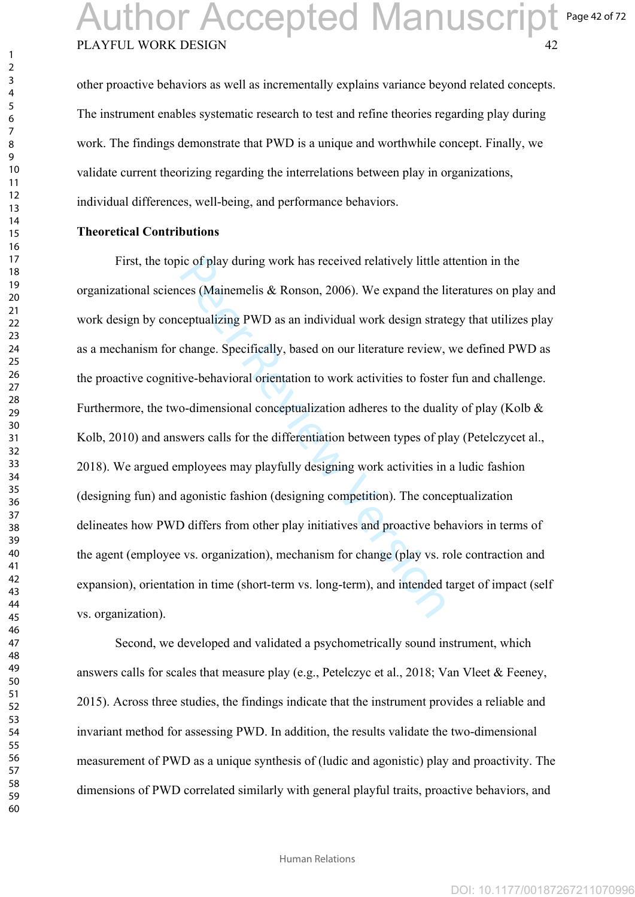### PLAYFUL WORK DESIGN Page 42 of 72 Author Accepted Manuscript

other proactive behaviors as well as incrementally explains variance beyond related concepts. The instrument enables systematic research to test and refine theories regarding play during work. The findings demonstrate that PWD is a unique and worthwhile concept. Finally, we validate current theorizing regarding the interrelations between play in organizations, individual differences, well-being, and performance behaviors.

#### **Theoretical Contributions**

ic of play during work has received relatively little a<br>ces (Mainemelis & Ronson, 2006). We expand the li<br>ceptualizing PWD as an individual work design strat<br>change. Specifically, based on our literature review,<br>ive-behavi First, the topic of play during work has received relatively little attention in the organizational sciences (Mainemelis & Ronson, 2006). We expand the literatures on play and work design by conceptualizing PWD as an individual work design strategy that utilizes play as a mechanism for change. Specifically, based on our literature review, we defined PWD as the proactive cognitive-behavioral orientation to work activities to foster fun and challenge. Furthermore, the two-dimensional conceptualization adheres to the duality of play (Kolb & Kolb, 2010) and answers calls for the differentiation between types of play (Petelczycet al., 2018). We argued employees may playfully designing work activities in a ludic fashion (designing fun) and agonistic fashion (designing competition). The conceptualization delineates how PWD differs from other play initiatives and proactive behaviors in terms of the agent (employee vs. organization), mechanism for change (play vs. role contraction and expansion), orientation in time (short-term vs. long-term), and intended target of impact (self vs. organization).

Second, we developed and validated a psychometrically sound instrument, which answers calls for scales that measure play (e.g., Petelczyc et al., 2018; Van Vleet & Feeney, 2015). Across three studies, the findings indicate that the instrument provides a reliable and invariant method for assessing PWD. In addition, the results validate the two-dimensional measurement of PWD as a unique synthesis of (ludic and agonistic) play and proactivity. The dimensions of PWD correlated similarly with general playful traits, proactive behaviors, and

 $\mathbf{1}$  $\overline{2}$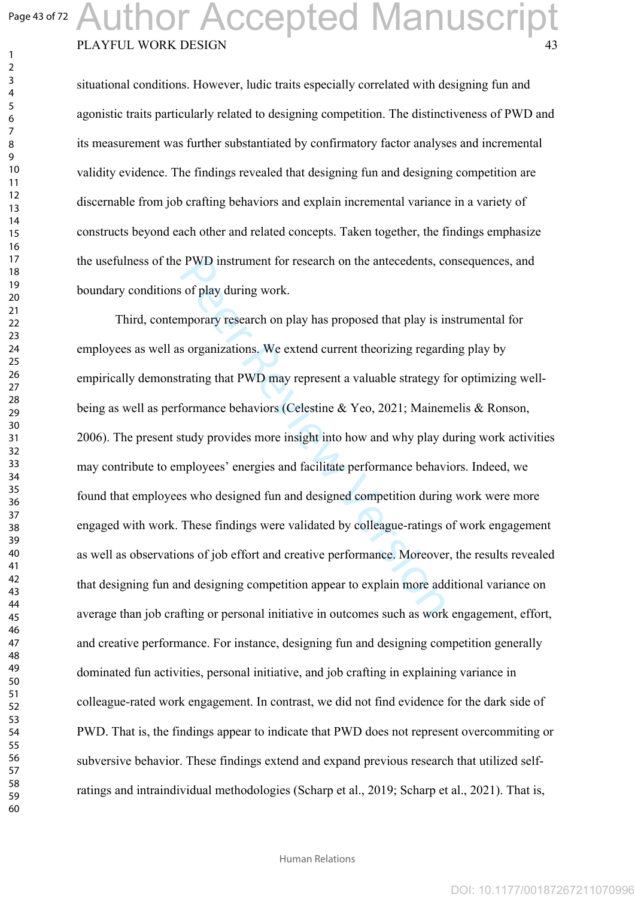$\mathbf{1}$  $\overline{2}$  $\overline{4}$  $\overline{7}$ 

# PLAYFUL WORK DESIGN Author Accepted Manuscript

situational conditions. However, ludic traits especially correlated with designing fun and agonistic traits particularly related to designing competition. The distinctiveness of PWD and its measurement was further substantiated by confirmatory factor analyses and incremental validity evidence. The findings revealed that designing fun and designing competition are discernable from job crafting behaviors and explain incremental variance in a variety of constructs beyond each other and related concepts. Taken together, the findings emphasize the usefulness of the PWD instrument for research on the antecedents, consequences, and boundary conditions of play during work.

PWD instrument for research on the antecedents, comparison of play during work.<br>
so f play during work.<br>
mporary research on play has proposed that play is in<br>
so reganizations. We extend current theorizing regard<br>
trating Third, contemporary research on play has proposed that play is instrumental for employees as well as organizations. We extend current theorizing regarding play by empirically demonstrating that PWD may represent a valuable strategy for optimizing wellbeing as well as performance behaviors (Celestine & Yeo, 2021; Mainemelis & Ronson, 2006). The present study provides more insight into how and why play during work activities may contribute to employees' energies and facilitate performance behaviors. Indeed, we found that employees who designed fun and designed competition during work were more engaged with work. These findings were validated by colleague-ratings of work engagement as well as observations of job effort and creative performance. Moreover, the results revealed that designing fun and designing competition appear to explain more additional variance on average than job crafting or personal initiative in outcomes such as work engagement, effort, and creative performance. For instance, designing fun and designing competition generally dominated fun activities, personal initiative, and job crafting in explaining variance in colleague-rated work engagement. In contrast, we did not find evidence for the dark side of PWD. That is, the findings appear to indicate that PWD does not represent overcommiting or subversive behavior. These findings extend and expand previous research that utilized selfratings and intraindividual methodologies (Scharp et al., 2019; Scharp et al., 2021). That is,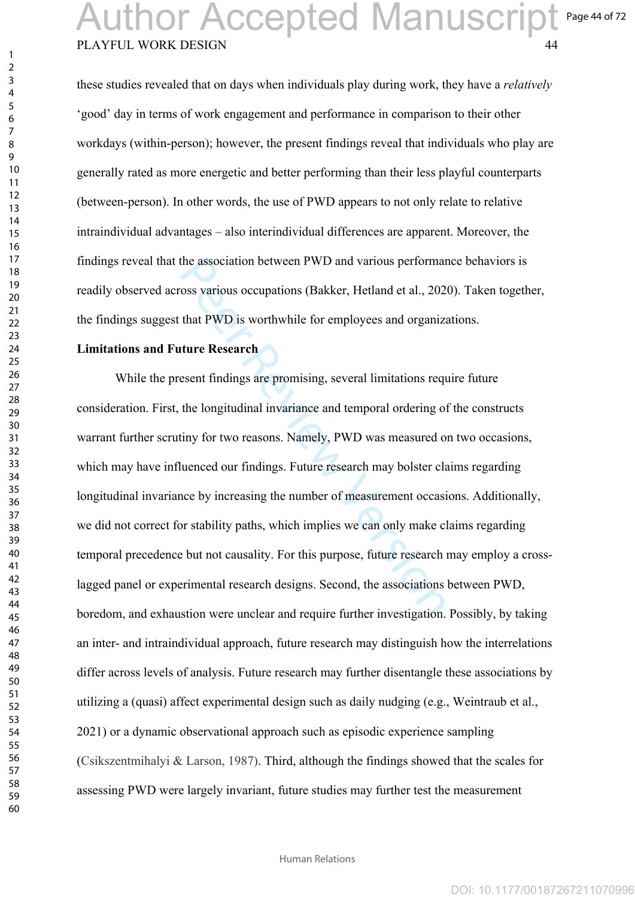#### PLAYFUL WORK DESIGN Page 44 of 72 Author Accepted Manuscript

these studies revealed that on days when individuals play during work, they have a *relatively* 'good' day in terms of work engagement and performance in comparison to their other workdays (within-person); however, the present findings reveal that individuals who play are generally rated as more energetic and better performing than their less playful counterparts (between-person). In other words, the use of PWD appears to not only relate to relative intraindividual advantages – also interindividual differences are apparent. Moreover, the findings reveal that the association between PWD and various performance behaviors is readily observed across various occupations (Bakker, Hetland et al., 2020). Taken together, the findings suggest that PWD is worthwhile for employees and organizations.

#### **Limitations and Future Research**

the association between PWD and various performat<br>oss various occupations (Bakker, Hetland et al., 202<br>that PWD is worthwhile for employees and organizat<br>**ture Research**<br>esent findings are promising, several limitations re While the present findings are promising, several limitations require future consideration. First, the longitudinal invariance and temporal ordering of the constructs warrant further scrutiny for two reasons. Namely, PWD was measured on two occasions, which may have influenced our findings. Future research may bolster claims regarding longitudinal invariance by increasing the number of measurement occasions. Additionally, we did not correct for stability paths, which implies we can only make claims regarding temporal precedence but not causality. For this purpose, future research may employ a crosslagged panel or experimental research designs. Second, the associations between PWD, boredom, and exhaustion were unclear and require further investigation. Possibly, by taking an inter- and intraindividual approach, future research may distinguish how the interrelations differ across levels of analysis. Future research may further disentangle these associations by utilizing a (quasi) affect experimental design such as daily nudging (e.g., Weintraub et al., 2021) or a dynamic observational approach such as episodic experience sampling (Csikszentmihalyi & Larson, 1987). Third, although the findings showed that the scales for assessing PWD were largely invariant, future studies may further test the measurement

 $\mathbf{1}$  $\overline{2}$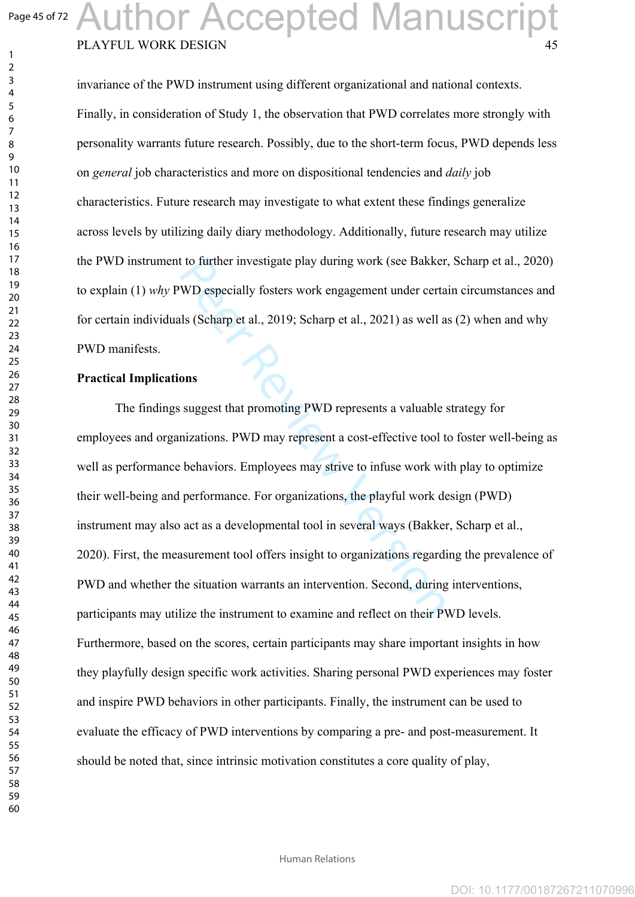$\mathbf{1}$  $\overline{2}$ 

## PLAYFUL WORK DESIGN Author Accepted Manuscript

invariance of the PWD instrument using different organizational and national contexts. Finally, in consideration of Study 1, the observation that PWD correlates more strongly with personality warrants future research. Possibly, due to the short-term focus, PWD depends less on *general* job characteristics and more on dispositional tendencies and *daily* job characteristics. Future research may investigate to what extent these findings generalize across levels by utilizing daily diary methodology. Additionally, future research may utilize the PWD instrument to further investigate play during work (see Bakker, Scharp et al., 2020) to explain (1) *why* PWD especially fosters work engagement under certain circumstances and for certain individuals (Scharp et al., 2019; Scharp et al., 2021) as well as (2) when and why PWD manifests.

#### **Practical Implications**

to further investigate play during work (see Bakker<br>WD especially fosters work engagement under certa<br>ls (Scharp et al., 2019; Scharp et al., 2021) as well a<br>**ons**<br>suggest that promoting PWD represents a valuable inization The findings suggest that promoting PWD represents a valuable strategy for employees and organizations. PWD may represent a cost-effective tool to foster well-being as well as performance behaviors. Employees may strive to infuse work with play to optimize their well-being and performance. For organizations, the playful work design (PWD) instrument may also act as a developmental tool in several ways (Bakker, Scharp et al., 2020). First, the measurement tool offers insight to organizations regarding the prevalence of PWD and whether the situation warrants an intervention. Second, during interventions, participants may utilize the instrument to examine and reflect on their PWD levels. Furthermore, based on the scores, certain participants may share important insights in how they playfully design specific work activities. Sharing personal PWD experiences may foster and inspire PWD behaviors in other participants. Finally, the instrument can be used to evaluate the efficacy of PWD interventions by comparing a pre- and post-measurement. It should be noted that, since intrinsic motivation constitutes a core quality of play,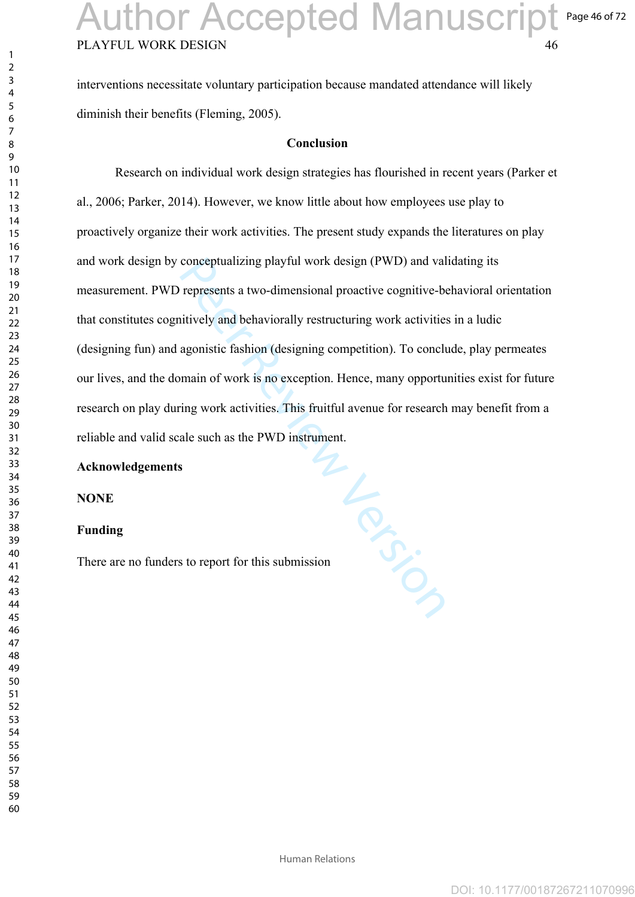interventions necessitate voluntary participation because mandated attendance will likely diminish their benefits (Fleming, 2005).

#### **Conclusion**

Research on individual work design strategies has flourished in recent years (Parker et al., 2006; Parker, 2014). However, we know little about how employees use play to proactively organize their work activities. The present study expands the literatures on play and work design by conceptualizing playful work design (PWD) and validating its measurement. PWD represents a two-dimensional proactive cognitive-behavioral orientation that constitutes cognitively and behaviorally restructuring work activities in a ludic (designing fun) and agonistic fashion (designing competition). To conclude, play permeates our lives, and the domain of work is no exception. Hence, many opportunities exist for future research on play during work activities. This fruitful avenue for research may benefit from a reliable and valid scale such as the PWD instrument.

#### **Acknowledgements**

**NONE**

#### **Funding**

i Le Cities There are no funders to report for this submission

 $\mathbf{1}$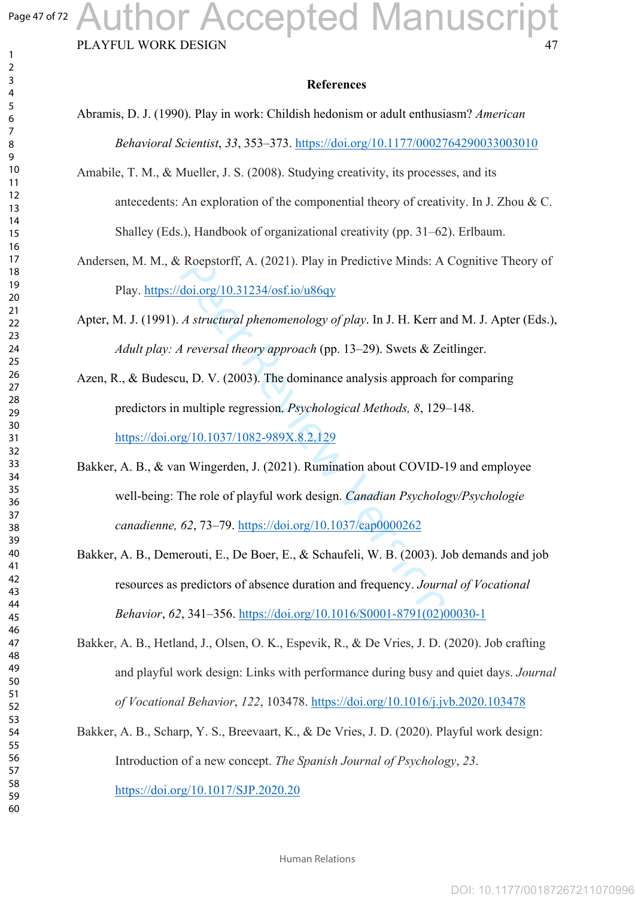$\mathbf{1}$  $\overline{2}$  $\overline{3}$  $\overline{4}$  $\overline{7}$ 

## PLAYFUL WORK DESIGN Author Accepted Manuscript

#### **References**

Abramis, D. J. (1990). Play in work: Childish hedonism or adult enthusiasm? *American Behavioral Scientist*, *33*, 353–373. <https://doi.org/10.1177/0002764290033003010>

- Amabile, T. M., & Mueller, J. S. (2008). Studying creativity, its processes, and its antecedents: An exploration of the componential theory of creativity. In J. Zhou & C. Shalley (Eds.), Handbook of organizational creativity (pp. 31 –62). Erlbaum.
- Andersen, M. M., & Roepstorff, A. (2021). Play in Predictive Minds: A Cognitive Theory of Play.<https://doi.org/10.31234/osf.io/u86qy>
- Apter, M. J. (1991). *A structural phenomenology of play*. In J. H. Kerr and M. J. Apter (Eds.), *Adult play: A reversal theory approach* (pp. 13–29). Swets & Zeitlinger.
- Roepstorff, A. (2021). Play in Predictive Minds: A<br>
<u>doi.org/10.31234/osf.io/u86qv</u><br>
A structural phenomenology of play. In J. H. K[er](https://doi.org/10.1037/cap0000262)r as<br>
A reversal theory approach (pp. 13–29). Swets & Ze<br>
u, D. V. (2003). The dominance Azen, R., & Budescu, D. V. (2003). The dominance analysis approach for comparing predictors in multiple regression. *Psychological Methods, 8*, 129–148. <https://doi.org/10.1037/1082-989X.8.2.129>
- Bakker, A. B., & van Wingerden, J. (2021). Rumination about COVID-19 and employee well-being: The role of playful work design. *Canadian Psychology/Psychologie canadienne, 62*, 73–79. https://doi.org/10.1037/cap0000262
- Bakker, A. B., Demerouti, E., De Boer, E., & Schaufeli, W. B. (2003). Job demands and job resources as predictors of absence duration and frequency. *Journal of Vocational Behavior*, *62*, 341–356. [https://doi.org/10.1016/S0001-8791\(02\)00030-1](https://doi.org/10.1016/S0001-8791(02)00030-1)
- Bakker, A. B., Hetland, J., Olsen, O. K., Espevik, R., & De Vries, J. D. (2020). Job crafting and playful work design: Links with performance during busy and quiet days. *Journal of Vocational Behavior*, *122*, 103478. <https://doi.org/10.1016/j.jvb.2020.103478>
- Bakker, A. B., Scharp, Y. S., Breevaart, K., & De Vries, J. D. (2020). Playful work design: Introduction of a new concept. *The Spanish Journal of Psychology*, *23*. <https://doi.org/10.1017/SJP.2020.20>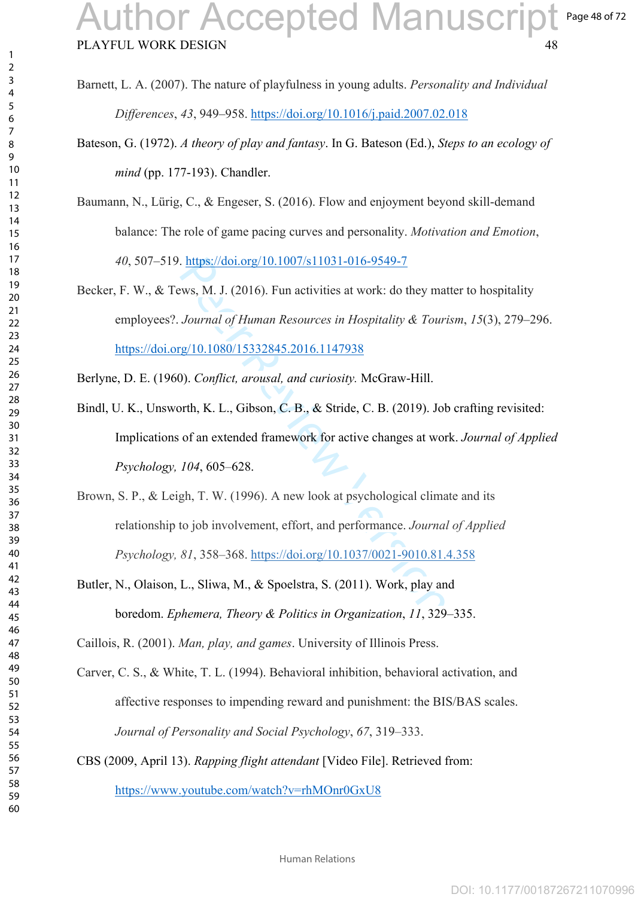Page 48 of 72

- Barnett, L. A. (2007). The nature of playfulness in young adults. *Personality and Individual Differences*, *43*, 949 –958.<https://doi.org/10.1016/j.paid.2007.02.018>
- Bateson, G. (1972). *A theory of play and fantasy*. In G. Bateson (Ed.), *Steps to an ecology of mind* (pp. 177-193). Chandler.
- Baumann, N., Lürig, C., & Engeser, S. (2016). Flow and enjoyment beyond skill-demand balance: The role of game pacing curves and personality. *Motivation and Emotion*, , 507 –519. <https://doi.org/10.1007/s11031-016-9549-7>
- . https://doi.org/10.1007/s11031-016-9549-7<br>
ews, M. J. (2016). Fun activities at work: do they ma<br>
Journal of Human Resources in Hospitality & Tour,<br>
<u>rg/10.1080/15332845.2016.1147938</u><br>
(10.1080/15332845.2016.1147938<br>
(1 Becker, F. W., & Tews, M. J. (2016). Fun activities at work: do they matter to hospitality employees?. *Journal of Human Resources in Hospitality & Tourism*, *15*(3), 279 –296. <https://doi.org/10.1080/15332845.2016.1147938>
- Berlyne, D. E. (1960). *Conflict, arousal, and curiosity.* McGraw-Hill.
- Bindl, U. K., Unsworth, K. L., Gibson, C. B., & Stride, C. B. (2019). Job crafting revisited: Implications of an extended framework for active changes at work. *Journal of Applied Psychology, 104*, 605 –628.
- Brown, S. P., & Leigh, T. W. (1996). A new look at psychological climate and its relationship to job involvement, effort, and performance. *Journal of Applied Psychology, 81*, 358–368. [https://doi.org/10.1037/0021-9010.81.4.358](https://psycnet.apa.org/doi/10.1037/0021-9010.81.4.358)
- Butler, N., Olaison, L., Sliwa, M., & Spoelstra, S. (2011). Work, play and boredom. *Ephemera, Theory & Politics in Organization*, *11*, 329–335.

Caillois, R. (2001). *Man, play, and games*. University of Illinois Press.

- Carver, C. S., & White, T. L. (1994). Behavioral inhibition, behavioral activation, and affective responses to impending reward and punishment: the BIS/BAS scales. *Journal of Personality and Social Psychology*, *67*, 319–333 .
- CBS (2009, April 13). *Rapping flight attendant* [Video File]. Retrieved from:

<https://www.youtube.com/watch?v=rhMOnr0GxU8>

 $\mathbf{1}$ 

Human Relations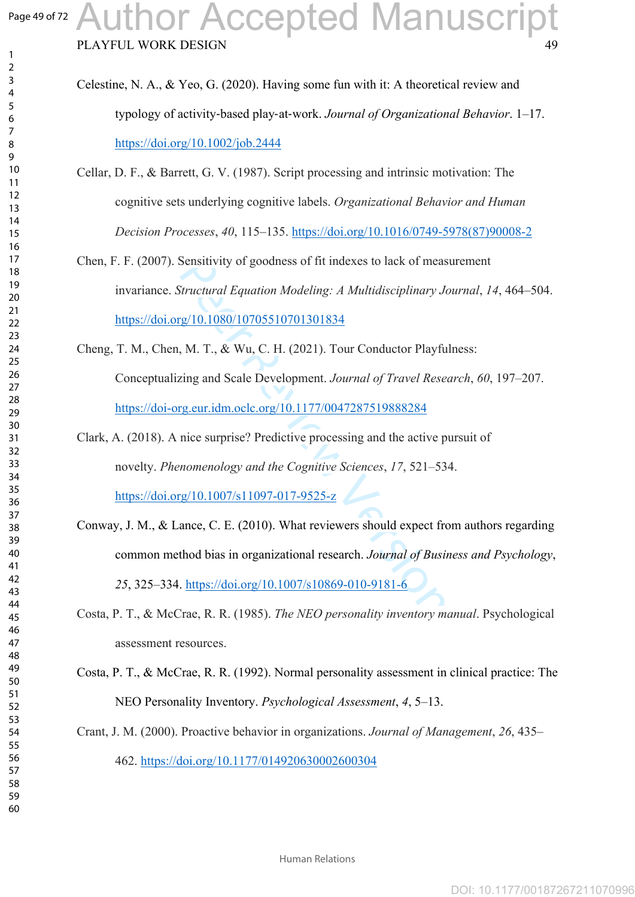### Page 49 of 72 uthor Accepted Manuscript

PLAYFUL WORK DESIGN

| Celestine, N. A., & Yeo, G. (2020). Having some fun with it: A theoretical review and         |
|-----------------------------------------------------------------------------------------------|
| typology of activity-based play-at-work. <i>Journal of Organizational Behavior</i> . $1-17$ . |
| https://doi.org/10.1002/job.2444                                                              |

- Cellar, D. F., & Barrett, G. V. (1987). Script processing and intrinsic motivation: The cognitive sets underlying cognitive labels. *Organizational Behavior and Human Decision Processes*, *40*, 115 –135. [https://doi.org/10.1016/0749-5978\(87\)90008-2](https://doi.org/10.1016/0749-5978(87)90008-2)
- Chen, F. F. (2007). Sensitivity of goodness of fit indexes to lack of measurement invariance. *Structural Equation Modeling: A Multidisciplinary Journal*, *14*, 464 –504. <https://doi.org/10.1080/10705510701301834>
- Cheng, T. M., Chen, M. T., & Wu, C. H. (2021). Tour Conductor Playfulness: Conceptualizing and Scale Development. *Journal of Travel Research*, *60*, 197 –207. <https://doi-org.eur.idm.oclc.org/10.1177/0047287519888284>
- Sensitivity [o](https://doi.org/10.1007/s10869-010-9181-6)f goodness of fit indexes to lack of meas<br>
Structural Equation Modeling: A Multidisciplinary Journal Equation Modeling: A Multidisciplinary Journal of<br>
19/10.1080/10705510701301834<br>
19. M. T., & Wu, C. H. (202 Clark, A. (2018). A nice surprise? Predictive processing and the active pursuit of novelty. *Phenomenology and the Cognitive Sciences*, *17*, 521 –534. <https://doi.org/10.1007/s11097-017-9525-z>
- Conway, J. M., & Lance, C. E. (2010). What reviewers should expect from authors regarding common method bias in organizational research. *Journal of Business and Psychology*, , 325–334. https://doi.org/10.1007/s10869-010-9181-6
- Costa, P. T., & McCrae, R. R. (1985). *The NEO personality inventory manual*. Psychological assessment resources.
- Costa, P. T., & McCrae, R. R. (1992). Normal personality assessment in clinical practice: The NEO Personality Inventory. *Psychological Assessment*, *4*, 5–13.
- Crant, J. M. (2000). Proactive behavior in organizations. *Journal of Management*, *26*, 435 –

462. <https://doi.org/10.1177/014920630002600304>

 $\mathbf{1}$  $\overline{2}$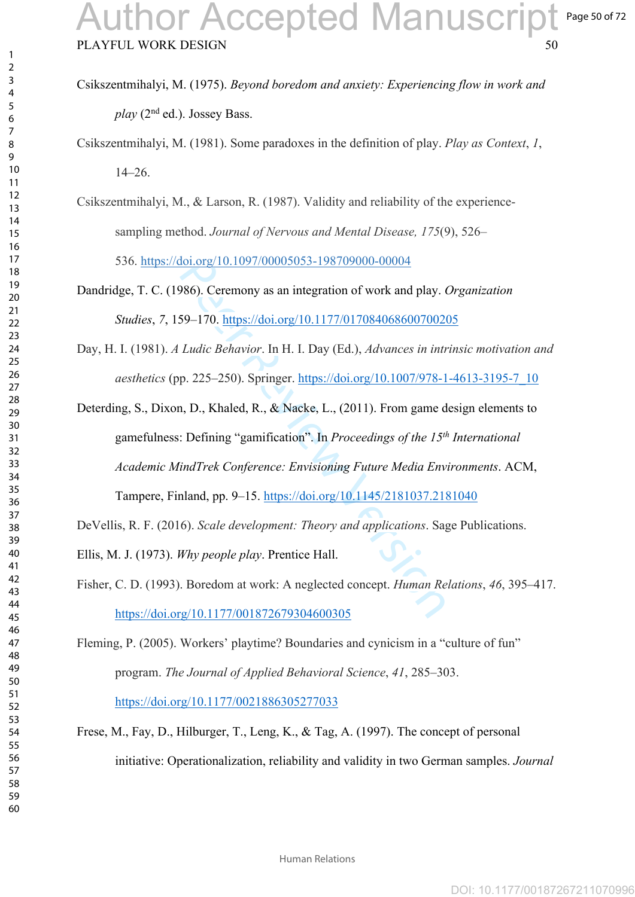- Csikszentmihalyi, M. (1975). *Beyond boredom and anxiety: Experiencing flow in work and play* (2nd ed.). Jossey Bass.
- Csikszentmihalyi, M. (1981). Some paradoxes in the definition of play. *Play as Context*, *1*, –26.
- Csikszentmihalyi, M., & Larson, R. (1987). Validity and reliability of the experiencesampling method. *Journal of Nervous and Mental Disease, 175*(9), 526–

536. [https://doi.org/10.1097/00005053-198709000-00004](https://psycnet.apa.org/doi/10.1097/00005053-198709000-00004)

- Dandridge, T. C. (1986). Ceremony as an integration of work and play. *Organization Studies*, *7*, 159–170. https://doi.org/10.1177/017084068600700205
- Day, H. I. (1981). *A Ludic Behavior*. In H. I. Day (Ed.), *Advances in intrinsic motivation and aesthetics* (pp. 225 –250). Springer. [https://doi.org/10.1007/978-1-4613-3195-7\\_10](https://doi.org/10.1007/978-1-4613-3195-7_10)
- 10.1097/00005053-198709000-00004<br>
986). Ceremony as an integration of work and play. (59–170. https://doi.org/10.1177/01708406860070020<br>
Ludic Behavior. In H. I. Day (Ed.), *Advances in intr*<br>
p. 225–250). Springer. https Deterding, S., Dixon, D., Khaled, R., & Nacke, L., (2011). From game design elements to gamefulness: Defining "gamification". In *Proceedings of the 15th International Academic MindTrek Conference: Envisioning Future Media Environments*. ACM, Tampere, Finland, pp. 9–15. https://doi.org/10.1145/2181037.2181040
- DeVellis, R. F. (2016). *Scale development: Theory and applications*. Sage Publications.
- Ellis, M. J. (1973). *Why people play*. Prentice Hall.
- Fisher, C. D. (1993). Boredom at work: A neglected concept. *Human Relations*, *46*, 395 –417. <https://doi.org/10.1177/001872679304600305>
- Fleming, P. (2005). Workers' playtime? Boundaries and cynicism in a "culture of fun" program. *The Journal of Applied Behavioral Science*, *41*, 285 –303. <https://doi.org/10.1177/0021886305277033>
- Frese, M., Fay, D., Hilburger, T., Leng, K., & Tag, A. (1997). The concept of personal initiative: Operationalization, reliability and validity in two German samples. *Journal*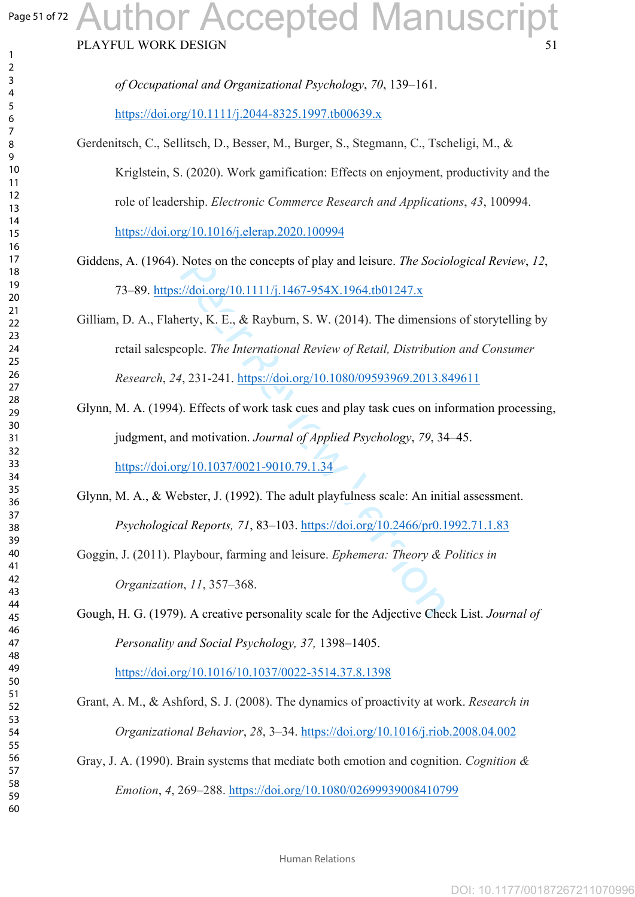### Page 51 of 72 uthor Accepted Manuscript

PLAYFUL WORK DESIGN

 $\mathbf{1}$  $\overline{2}$  $\overline{4}$  $\overline{7}$ 

Notes on the concepts of play and leisure. *The Socic*://doi.org/10.1111/j.1467-954X.1964.tb01247.x<br>erty, K. E., & Rayburn, S. W. (2014). The dimension<br>cople. *The International [Re](https://doi.org/10.1080/09593969.2013.849611)view of Retail, Distributic*<br>4, 231-241. *of Occupational and Organizational Psychology*, *70*, 139–161. <https://doi.org/10.1111/j.2044-8325.1997.tb00639.x> Gerdenitsch, C., Sellitsch, D., Besser, M., Burger, S., Stegmann, C., Tscheligi, M., & Kriglstein, S. (2020). Work gamification: Effects on enjoyment, productivity and the role of leadership. *Electronic Commerce Research and Applications*, *43*, 100994. <https://doi.org/10.1016/j.elerap.2020.100994> Giddens, A. (1964). Notes on the concepts of play and leisure. *The Sociological Review*, *12*, 73–89. https://doi.org/10.1111/j.1467-954X.1964.tb01247.x Gilliam, D. A., Flaherty, K. E., & Rayburn, S. W. (2014). The dimensions of storytelling by retail salespeople. *The International Review of Retail, Distribution and Consumer Research*, *24*, 231-241. https://doi.org/10.1080/09593969.2013.849611 Glynn, M. A. (1994). Effects of work task cues and play task cues on information processing, judgment, and motivation. *Journal of Applied Psychology*, *79*, 34–45. <https://doi.org/10.1037/0021-9010.79.1.34> Glynn, M. A., & Webster, J. (1992). The adult playfulness scale: An initial assessment. *Psychological Reports, 71*, 83–103.<https://doi.org/10.2466/pr0.1992.71.1.83> Goggin, J. (2011). Playbour, farming and leisure. *Ephemera: Theory & Politics in Organization*, *11*, 357 –368. Gough, H. G. (1979). A creative personality scale for the Adjective Check List. *Journal of Personality and Social Psychology, 37,* 1398–1405. <https://doi.org/10.1016/10.1037/0022-3514.37.8.1398> Grant, A. M., & Ashford, S. J. (2008). The dynamics of proactivity at work. *Research in Organizational Behavior*, *28*, 3 –34.<https://doi.org/10.1016/j.riob.2008.04.002> Gray, J. A. (1990). Brain systems that mediate both emotion and cognition. *Cognition & Emotion*, *4*, 269 –288. <https://doi.org/10.1080/02699939008410799>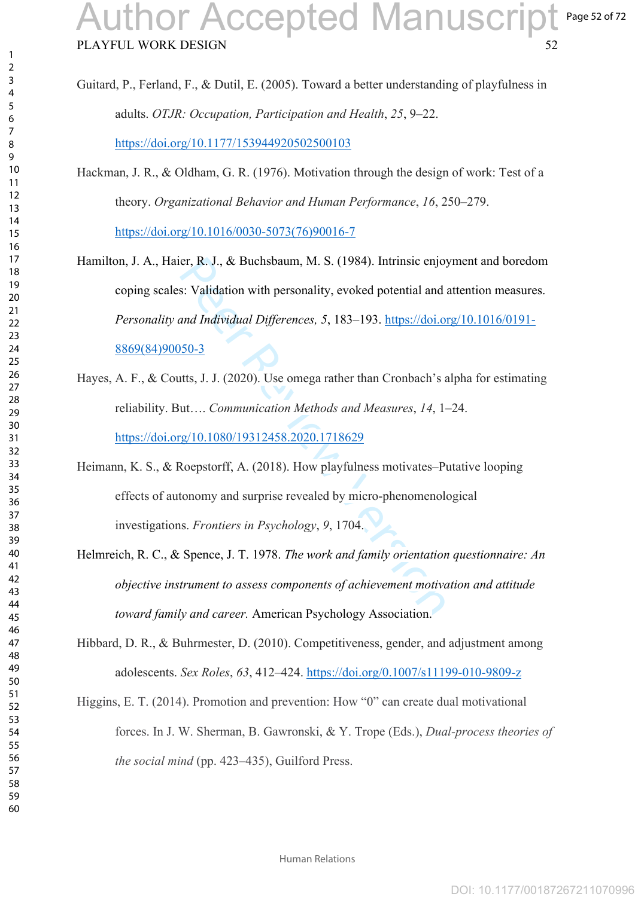Page 52 of 72

- Guitard, P., Ferland, F., & Dutil, E. (2005). Toward a better understanding of playfulness in adults. *OTJR: Occupation, Participation and Health*, *25*, 9 –22. <https://doi.org/10.1177/153944920502500103>
- Hackman, J. R., & Oldham, G. R. (1976). Motivation through the design of work: Test of a theory. *Organizational Behavior and Human Performance*, *16*, 250 –279. [https://doi.org/10.1016/0030-5073\(76\)90016-7](https://doi.org/10.1016/0030-5073(76)90016-7)
- er, R. J., & Buchsbaum, M. S. (1984). Intrinsic enjoy<br>s: Validation with personality, evoked potential and<br>*and Individual Differences, 5*, 183–193. https://doi.or<br>*htts, J. J. (2020).* Use omega rather than Cronbach's a<br>u Hamilton, J. A., Haier, R. J., & Buchsbaum, M. S. (1984). Intrinsic enjoyment and boredom coping scales: Validation with personality, evoked potential and attention measures. *Personality and Individual Differences, 5*, 183–193. [https://doi.org/10.1016/0191-](https://doi.org/10.1016/0191-8869(84)90050-3) [8869\(84\)90050-3](https://doi.org/10.1016/0191-8869(84)90050-3)
- Hayes, A. F., & Coutts, J. J. (2020). Use omega rather than Cronbach's alpha for estimating reliability. But…. *Communication Methods and Measures*, *14*, 1 –24. <https://doi.org/10.1080/19312458.2020.1718629>
- Heimann, K. S., & Roepstorff, A. (2018). How playfulness motivates–Putative looping effects of autonomy and surprise revealed by micro-phenomenological investigations. *Frontiers in Psychology*, *9*, 1704.
- Helmreich, R. C., & Spence, J. T. 1978. *The work and family orientation questionnaire: An objective instrument to assess components of achievement motivation and attitude toward family and career.* American Psychology Association.
- Hibbard, D. R., & Buhrmester, D. (2010). Competitiveness, gender, and adjustment among adolescents. *Sex Roles*, *63*, 412 –424. <https://doi.org/0.1007/s11199-010-9809-z>
- Higgins, E. T. (2014). Promotion and prevention: How "0" can create dual motivational forces. In J. W. Sherman, B. Gawronski, & Y. Trope (Eds.), *Dual-process theories of the social mind* (pp. 423–435), Guilford Press.

 $\mathbf{1}$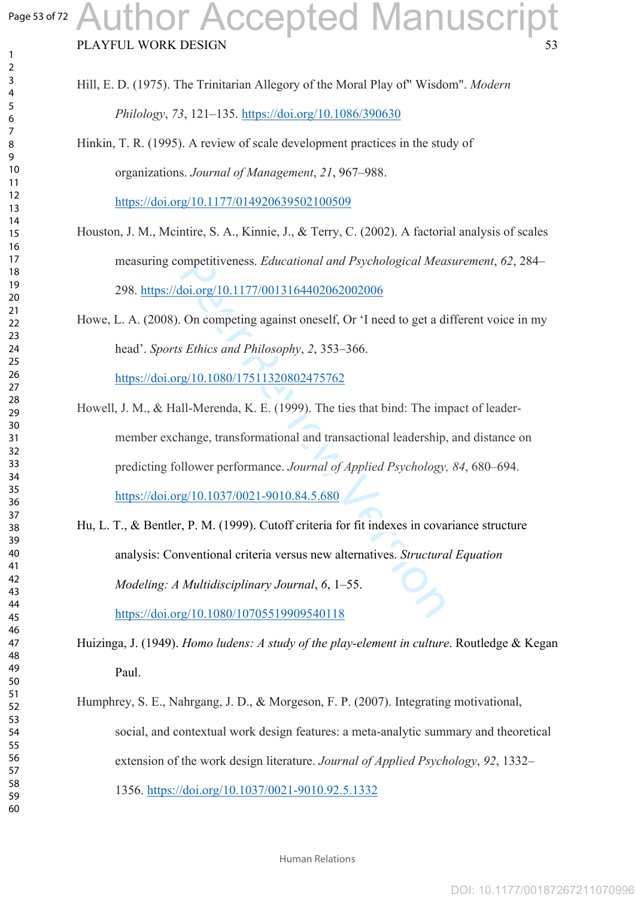### Page 53 of 72 uthor Accepted Manuscript

PLAYFUL WORK DESIGN

- Hill, E. D. (1975). The Trinitarian Allegory of the Moral Play of" Wisdom". *Modern Philology*, *73*, 121 –135. <https://doi.org/10.1086/390630>
- Hinkin, T. R. (1995). A review of scale development practices in the study of organizations. *Journal of Management*, *21*, 967 –988.

<https://doi.org/10.1177/014920639502100509>

Houston, J. M., Mcintire, S. A., Kinnie, J., & Terry, C. (2002). A factorial analysis of scales measuring competitiveness. *Educational and Psychological Measurement*, *62*, 284 – 298. <https://doi.org/10.1177/0013164402062002006>

Howe, L. A. (2008). On competing against oneself, Or 'I need to get a different voice in my head'. *Sports Ethics and Philosophy*, *2*, 353 –366. <https://doi.org/10.1080/17511320802475762>

- mpetitiveness. *Educational and Psychological Mea*<br>
doi.org/10.1177/0013164402062002006<br>
On competing against oneself, Or 'I need to get a d:<br> *s Ethics and Philosophy, 2*, 353–366.<br>
<u>rg/10.1080/17511320802475762</u><br>
Ill-Mer Howell, J. M., & Hall-Merenda, K. E. (1999). The ties that bind: The impact of leadermember exchange, transformational and transactional leadership, and distance on predicting follower performance. *Journal of Applied Psychology, 84*, 680–694. <https://doi.org/10.1037/0021-9010.84.5.680>
- Hu, L. T., & Bentler, P. M. (1999). Cutoff criteria for fit indexes in covariance structure analysis: Conventional criteria versus new alternatives. *Structural Equation Modeling: A Multidisciplinary Journal*, *6*, 1–55.

<https://doi.org/10.1080/10705519909540118>

Huizinga, J. (1949). *Homo ludens: A study of the play-element in culture*. Routledge & Kegan Paul.

Humphrey, S. E., Nahrgang, J. D., & Morgeson, F. P. (2007). Integrating motivational, social, and contextual work design features: a meta-analytic summary and theoretical extension of the work design literature. *Journal of Applied Psychology*, *92*, 1332 – 1356. <https://doi.org/10.1037/0021-9010.92.5.1332>

 $\mathbf{1}$  $\overline{2}$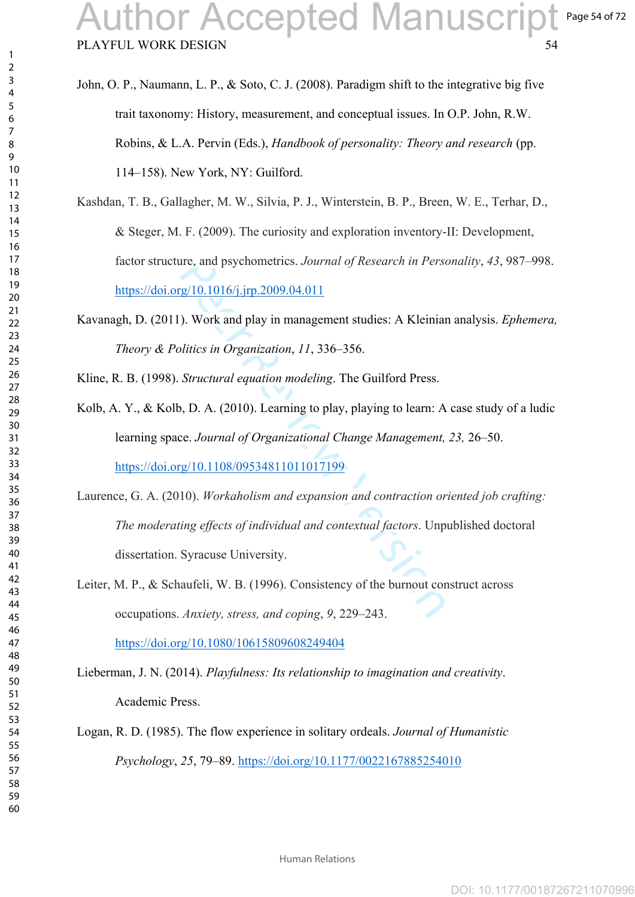- John, O. P., Naumann, L. P., & Soto, C. J. (2008). Paradigm shift to the integrative big five trait taxonomy: History, measurement, and conceptual issues. In O.P. John, R.W. Robins, & L.A. Pervin (Eds.), *Handbook of personality: Theory and research* (pp. 114–158). New York, NY: Guilford.
- Kashdan, T. B., Gallagher, M. W., Silvia, P. J., Winterstein, B. P., Breen, W. E., Terhar, D., & Steger, M. F. (2009). The curiosity and exploration inventory-II: Development, factor structure, and psychometrics. *Journal of Research in Personality*, *43*, 987 –998. <https://doi.org/10.1016/j.jrp.2009.04.011>
- Kavanagh, D. (2011). Work and play in management studies: A Kleinian analysis. *Ephemera, Theory & Politics in Organization*, *11*, 336–356.

Kline, R. B. (1998). *Structural equation modeling*. The Guilford Press.

Kolb, A. Y., & Kolb, D. A. (2010). Learning to play, playing to learn: A case study of a ludic learning space. *Journal of Organizational Change Management, 23,* 26–50. <https://doi.org/10.1108/09534811011017199>

ire, and psychometrics. *Journal of Research in Perse*<br>
<u>re</u>/10.1016/j.jrp.2009.04.011<br>
). Work and play in management studies: A Kleinian<br>
litics in *Organization*, 11, 336–356.<br> *Structural equation modeling*. The Guilfo Laurence, G. A. (2010). *Workaholism and expansion and contraction oriented job crafting: The moderating effects of individual and contextual factors*. Unpublished doctoral dissertation. Syracuse University.

Leiter, M. P., & Schaufeli, W. B. (1996). Consistency of the burnout construct across occupations. *Anxiety, stress, and coping*, *9*, 229 –243.

<https://doi.org/10.1080/10615809608249404>

Lieberman, J. N. (2014). *Playfulness: Its relationship to imagination and creativity*. Academic Press.

Logan, R. D. (1985). The flow experience in solitary ordeals. *Journal of Humanistic Psychology*, *25*, 79–89.<https://doi.org/10.1177/0022167885254010>

 $\mathbf{1}$  $\overline{2}$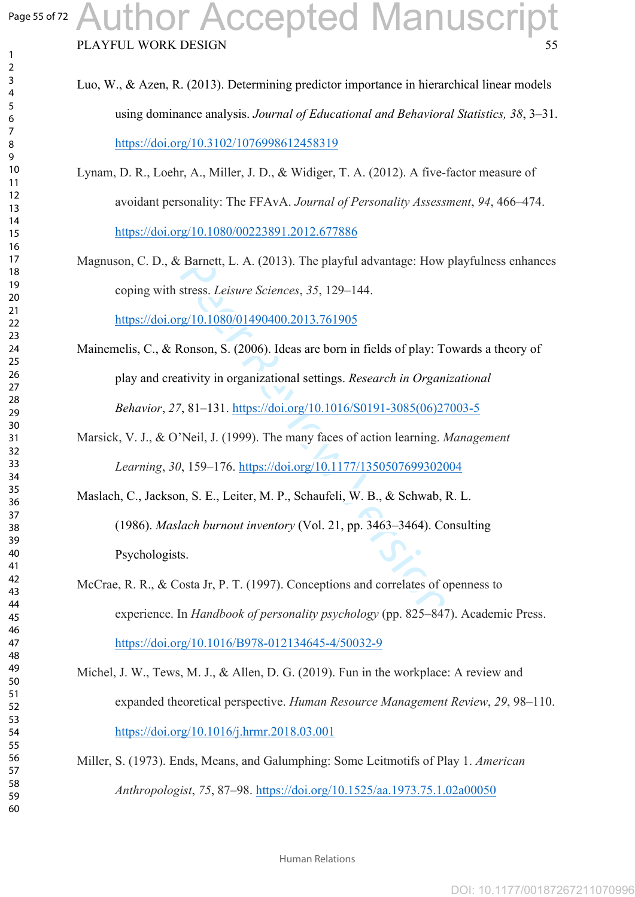$\mathbf{1}$  $\overline{2}$  $\overline{4}$  $\overline{7}$ 

# PLAYFUL WORK DESIGN 55 Author Accepted Manuscript

- Luo, W., & Azen, R. (2013). Determining predictor importance in hierarchical linear models using dominance analysis. *Journal of Educational and Behavioral Statistics, 38*, 3–31. <https://doi.org/10.3102/1076998612458319>
- Lynam, D. R., Loehr, A., Miller, J. D., & Widiger, T. A. (2012). A five-factor measure of avoidant personality: The FFAvA. *Journal of Personality Assessment*, *94*, 466 –474. <https://doi.org/10.1080/00223891.2012.677886>
- Magnuson, C. D., & Barnett, L. A. (2013). The playful advantage: How playfulness enhances coping with stress. *Leisure Sciences*, *35*, 129 –144.

<https://doi.org/10.1080/01490400.2013.761905>

- Mainemelis, C., & Ronson, S. (2006). Ideas are born in fields of play: Towards a theory of play and creativity in organizational settings. *Research in Organizational Behavior*, *27*, 81–131. [https://doi.org/10.1016/S0191-3085\(06\)27003-5](https://doi.org/10.1016/S0191-3085(06)27003-5)
- Marsick, V. J., & O'Neil, J. (1999). The many faces of action learning. *Management Learning*, *30*, 159 –176. https://doi.org/10.1177/1350507699302004

Barnett, L. A. (2013). The playful advantage: Ho[w](https://doi.org/10.1177/1350507699302004)<br>stress. *Leisure Sciences*, 35, 129–144.<br>rg/10.1080/01490400.2013.761905<br>Ronson, S. (2006). Ideas are born in fields of play: To<br>divity in organizational settings. *Researc* Maslach, C., Jackson, S. E., Leiter, M. P., Schaufeli, W. B., & Schwab, R. L. (1986). *Maslach burnout inventory* (Vol. 21, pp. 3463–3464). Consulting Psychologists.

- McCrae, R. R., & Costa Jr, P. T. (1997). Conceptions and correlates of openness to experience. In *Handbook of personality psychology* (pp. 825–847). Academic Press. <https://doi.org/10.1016/B978-012134645-4/50032-9>
- Michel, J. W., Tews, M. J., & Allen, D. G. (2019). Fun in the workplace: A review and expanded theoretical perspective. *Human Resource Management Review*, *29*, 98 –110. <https://doi.org/10.1016/j.hrmr.2018.03.001>
- Miller, S. (1973). Ends, Means, and Galumphing: Some Leitmotifs of Play 1. *American Anthropologist*, *75*, 87 –98.<https://doi.org/10.1525/aa.1973.75.1.02a00050>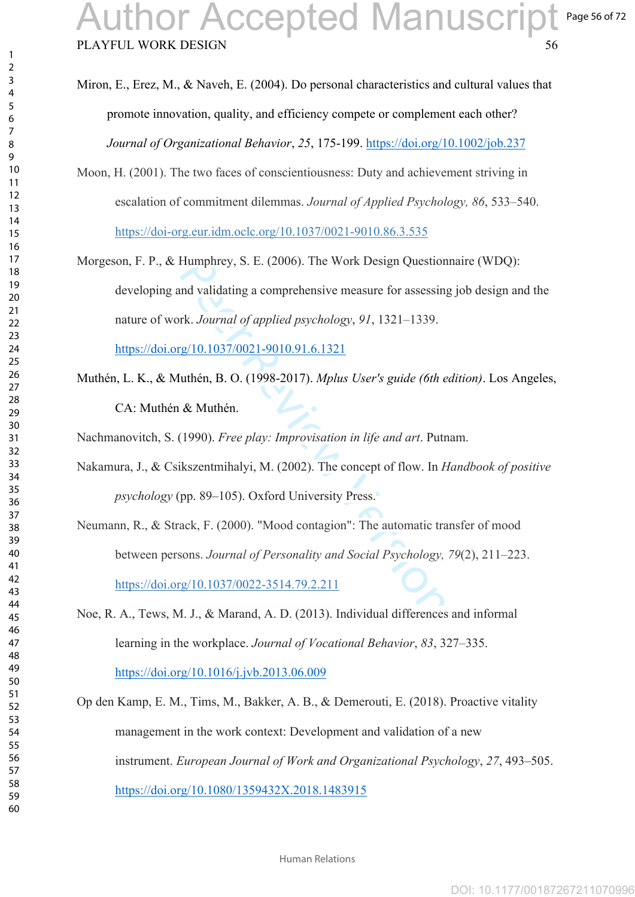Miron, E., Erez, M., & Naveh, E. (2004). Do personal characteristics and cultural values that promote innovation, quality, and efficiency compete or complement each other? *Journal of Organizational Behavior*, *25*, 175-199.<https://doi.org/10.1002/job.237>

- Moon, H. (2001). The two faces of conscientiousness: Duty and achievement striving in escalation of commitment dilemmas. *Journal of Applied Psychology, 86*, 533–540. [https://doi-org.eur.idm.oclc.org/10.1037/0021-9010.86.3.535](https://psycnet-apa-org.eur.idm.oclc.org/doi/10.1037/0021-9010.86.3.535)
- Humphrey, S. E. (2006). The Work Design Question<br>nd validating a comprehensive measure for assessing<br>rk. *Journal of applied psychology*, 91, 1321–1339.<br>rg/10.1037/0021-9010.91.6.1321<br>uthén, B. O. (1998-2017). *Mplus User'* Morgeson, F. P., & Humphrey, S. E. (2006). The Work Design Questionnaire (WDQ): developing and validating a comprehensive measure for assessing job design and the nature of work. *Journal of applied psychology*, *91*, 1321–1339 . <https://doi.org/10.1037/0021-9010.91.6.1321>
- Muthén, L. K., & Muthén, B. O. (1998-2017). *Mplus User's guide (6th edition)*. Los Angeles, CA: Muthén & Muthén.

Nachmanovitch, S. (1990). *Free play: Improvisation in life and art*. Putnam.

Nakamura, J., & Csikszentmihalyi, M. (2002). The concept of flow. In *Handbook of positive psychology* (pp. 89 –105). Oxford University Press.

Neumann, R., & Strack, F. (2000). "Mood contagion": The automatic transfer of mood between persons. *Journal of Personality and Social Psychology, 79*(2), 211–223. [https://doi.org/10.1037/0022-3514.79.2.211](https://psycnet.apa.org/doi/10.1037/0022-3514.79.2.211)

Noe, R. A., Tews, M. J., & Marand, A. D. (2013). Individual differences and informal learning in the workplace. *Journal of Vocational Behavior*, *83*, 327 –335. <https://doi.org/10.1016/j.jvb.2013.06.009>

Op den Kamp, E. M., Tims, M., Bakker, A. B., & Demerouti, E. (2018). Proactive vitality management in the work context: Development and validation of a new instrument. *European Journal of Work and Organizational Psychology*, *27*, 493 –505. <https://doi.org/10.1080/1359432X.2018.1483915>

 $\mathbf{1}$  $\overline{2}$  $\overline{3}$  $\overline{4}$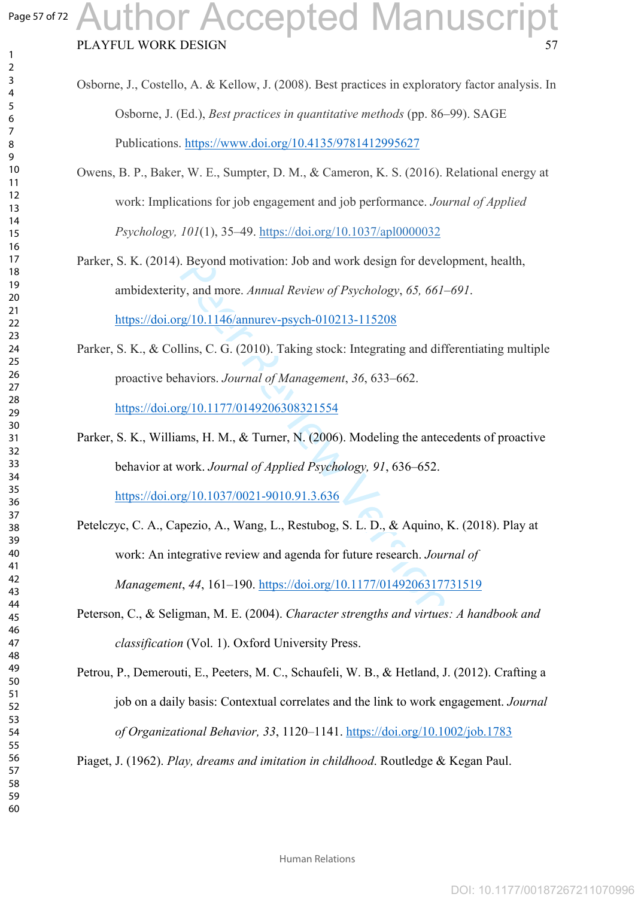$\mathbf{1}$  $\overline{2}$  $\overline{3}$  $\overline{4}$ 

## PLAYFUL WORK DESIGN Author Accepted Manuscript

| Osborne, J., Costello, A. & Kellow, J. (2008). Best practices in exploratory factor analysis. In |
|--------------------------------------------------------------------------------------------------|
| Osborne, J. (Ed.), <i>Best practices in quantitative methods</i> (pp. 86–99). SAGE               |
| Publications. https://www.doi.org/10.4135/9781412995627                                          |
| Owens, B. P., Baker, W. E., Sumpter, D. M., & Cameron, K. S. (2016). Relational energy at        |
| work: Implications for job engagement and job performance. Journal of Applied                    |
| Psychology, 101(1), 35-49. https://doi.org/10.1037/apl0000032                                    |
| Parker, S. K. (2014). Beyond motivation: Job and work design for development, health,            |
| ambidexterity, and more. Annual Review of Psychology, 65, 661-691.                               |

<https://doi.org/10.1146/annurev-psych-010213-115208>

- Parker, S. K., & Collins, C. G. (2010). Taking stock: Integrating and differentiating multiple proactive behaviors. *Journal of Management*, *36*, 633 –662. <https://doi.org/10.1177/0149206308321554>
- Parker, S. K., Williams, H. M., & Turner, N. (2006). Modeling the antecedents of proactive behavior at work. *Journal of Applied Psychology, 91*, 636–652. <https://doi.org/10.1037/0021-9010.91.3.636>
- . Beyond motivation: Job and work design for developty, and more. Annual Review of Psychology, 65, 661-<br>g/10.1146/annurev-psych-010213-115208<br>llins, C. G. (2010). Taking stock: Integrating and diff<br>haviors. Journal of Man Petelczyc, C. A., Capezio, A., Wang, L., Restubog, S. L. D., & Aquino, K. (2018). Play at work: An integrative review and agenda for future research. *Journal of Management*, *44*, 161–190. <https://doi.org/10.1177/0149206317731519>
- Peterson, C., & Seligman, M. E. (2004). *Character strengths and virtues: A handbook and classification* (Vol. 1). Oxford University Press.
- Petrou, P., Demerouti, E., Peeters, M. C., Schaufeli, W. B., & Hetland, J. (2012). Crafting a job on a daily basis: Contextual correlates and the link to work engagement. *Journal of Organizational Behavior, 33*, 1120 –1141. <https://doi.org/10.1002/job.1783>

Piaget, J. (1962). *Play, dreams and imitation in childhood*. Routledge & Kegan Paul.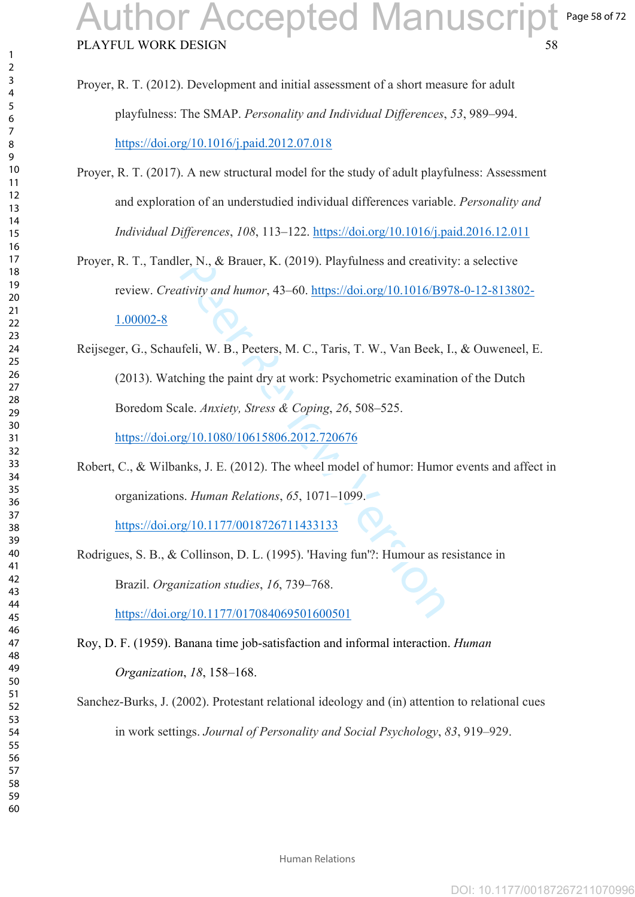- Proyer, R. T. (2012). Development and initial assessment of a short measure for adult playfulness: The SMAP. *Personality and Individual Differences*, *53*, 989 –994. <https://doi.org/10.1016/j.paid.2012.07.018>
- Proyer, R. T. (2017). A new structural model for the study of adult playfulness: Assessment and exploration of an understudied individual differences variable. *Personality and Individual Differences*, *108*, 113 –122. <https://doi.org/10.1016/j.paid.2016.12.011>
- Proyer, R. T., Tandler, N., & Brauer, K. (2019). Playfulness and creativity: a selective review. *Creativity and humor*, 43 –60. [https://doi.org/10.1016/B978-0-12-813802-](https://doi.org/10.1016/B978-0-12-813802-1.00002-8) [1.00002-8](https://doi.org/10.1016/B978-0-12-813802-1.00002-8)
- er, N., & Brauer, K. (2019). Playfulness and creativity and humor, 43–60. https://doi.org/10.1016/B9<br>titulary and humor, 43–60. https://doi.org/10.1016/B9<br>fieli, W. B., Peeters, M. C., Taris, T. W., Van Beek,<br>ching the pa Reijseger, G., Schaufeli, W. B., Peeters, M. C., Taris, T. W., Van Beek, I., & Ouweneel, E. (2013). Watching the paint dry at work: Psychometric examination of the Dutch Boredom Scale. *Anxiety, Stress & Coping*, *26*, 508 –525. <https://doi.org/10.1080/10615806.2012.720676>
- Robert, C., & Wilbanks, J. E. (2012). The wheel model of humor: Humor events and affect in organizations. *Human Relations*, *65*, 1071 –1099.

[https://doi.org/10.1177/0018726711433133](https://doi.org/10.1177%2F0018726711433133)

Rodrigues, S. B., & Collinson, D. L. (1995). 'Having fun'?: Humour as resistance in Brazil. *Organization studies*, *16*, 739 –768. <https://doi.org/10.1177/017084069501600501>

Roy, D. F. (1959). Banana time job-satisfaction and informal interaction. *Human Organization*, *18*, 158–168.

Sanchez-Burks, J. (2002). Protestant relational ideology and (in) attention to relational cues in work settings. *Journal of Personality and Social Psychology*, *83*, 919–929 .

 $\mathbf{1}$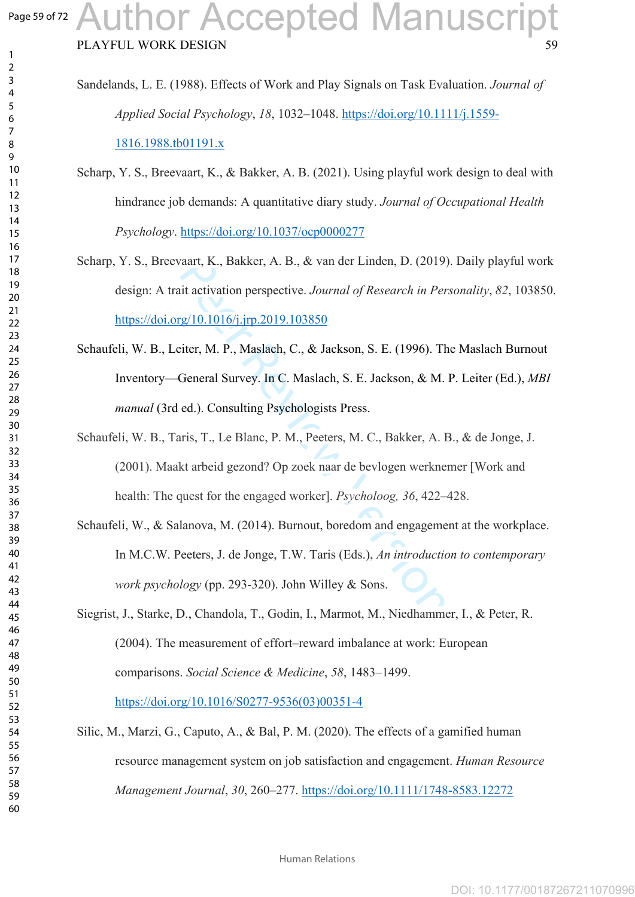$\mathbf{1}$  $\overline{2}$  $\overline{4}$  $\overline{7}$ 

- Sandelands, L. E. (1988). Effects of Work and Play Signals on Task Evaluation. *Journal of Applied Social Psychology*, *18*, 1032 –1048. [https://doi.org/10.1111/j.1559-](https://doi.org/10.1111/j.1559-1816.1988.tb01191.x) [1816.1988.tb01191.x](https://doi.org/10.1111/j.1559-1816.1988.tb01191.x)
- Scharp, Y. S., Breevaart, K., & Bakker, A. B. (2021). Using playful work design to deal with hindrance job demands: A quantitative diary study. *Journal of Occupational Health Psychology*.<https://doi.org/10.1037/ocp0000277>
- Scharp, Y. S., Breevaart, K., Bakker, A. B., & van der Linden, D. (2019). Daily playful work design: A trait activation perspective. *Journal of Research in Personality*, *82*, 103850. <https://doi.org/10.1016/j.jrp.2019.103850>
- Schaufeli, W. B., Leiter, M. P., Maslach, C., & Jackson, S. E. (1996). The Maslach Burnout Inventory—General Survey. In C. Maslach, S. E. Jackson, & M. P. Leiter (Ed.), *MBI manual* (3rd ed.). Consulting Psychologists Press.
- vaart, K., Bakker, A. B., & van der Linden, D. (2019)<br>iit activation perspective. Journal of Research in Per<br>rg/10.1016/j.jrp.2019.103850<br>iiter, M. P., Maslach, C., & Jackson, S. E. (1996). Th<br>General Survey. In C. Maslach Schaufeli, W. B., Taris, T., Le Blanc, P. M., Peeters, M. C., Bakker, A. B., & de Jonge, J. (2001). Maakt arbeid gezond? Op zoek naar de bevlogen werknemer [Work and health: The quest for the engaged worker]. *Psycholoog, 36*, 422–428.
- Schaufeli, W., & Salanova, M. (2014). Burnout, boredom and engagement at the workplace. In M.C.W. Peeters, J. de Jonge, T.W. Taris (Eds.), *An introduction to contemporary work psychology* (pp. 293-320). John Willey & Sons.
- Siegrist, J., Starke, D., Chandola, T., Godin, I., Marmot, M., Niedhammer, I., & Peter, R. (2004). The measurement of effort–reward imbalance at work: European comparisons. *Social Science & Medicine*, *58*, 1483 –1499.

[https://doi.org/10.1016/S0277-9536\(03\)00351-4](https://doi.org/10.1016/S0277-9536(03)00351-4)

Silic, M., Marzi, G., Caputo, A., & Bal, P. M. (2020). The effects of a gamified human resource management system on job satisfaction and engagement. *Human Resource Management Journal*, *30*, 260 –277. <https://doi.org/10.1111/1748-8583.12272>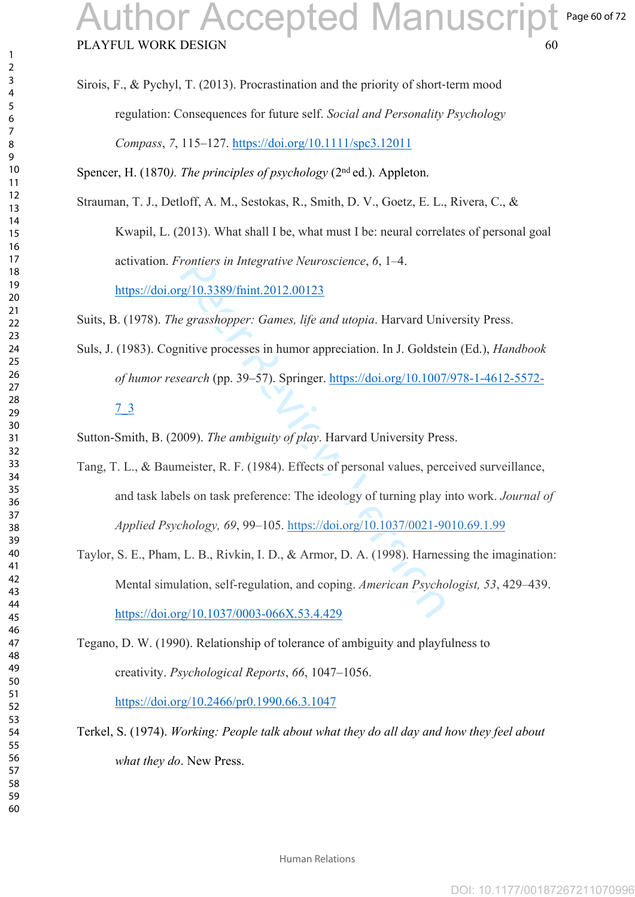Sirois, F., & Pychyl, T. (2013). Procrastination and the priority of short ‐term mood regulation: Consequences for future self. *Social and Personality Psychology Compass*, *7*, 115 –127.<https://doi.org/10.1111/spc3.12011>

Spencer, H. (1870*). The principles of psychology* (2nd ed.). Appleton.

Strauman, T. J., Detloff, A. M., Sestokas, R., Smith, D. V., Goetz, E. L., Rivera, C., &

Kwapil, L. (2013). What shall I be, what must I be: neural correlates of personal goal activation. *Frontiers in Integrative Neuroscience*, *6*, 1 –4.

<https://doi.org/10.3389/fnint.2012.00123>

Suits, B. (1978). *The grasshopper: Games, life and utopia*. Harvard University Press.

Suls, J. (1983). Cognitive processes in humor appreciation. In J. Goldstein (Ed.), *Handbook of humor research* (pp. 39 –57). Springer. [https://doi.org/10.1007/978-1-4612-5572-](https://doi.org/10.1007/978-1-4612-5572-7_3)

#### [7\\_3](https://doi.org/10.1007/978-1-4612-5572-7_3)

 $\mathbf{1}$  $\overline{2}$  $\overline{4}$  $\overline{7}$ 

Sutton-Smith, B. (2009). *The ambiguity of play*. Harvard University Press.

- *Frontiers in Integrative Neuroscience, 6, 1–4.*<br>
<u>reg/10.3389/fnint.2012.00123</u><br> *e grasshopper: Games, life and utopia.* Harvard Univitive processes in humor appreciation. In J. Goldste<br> *earch* (pp. 39–57). Springer. <u></u> Tang, T. L., & Baumeister, R. F. (1984). Effects of personal values, perceived surveillance, and task labels on task preference: The ideology of turning play into work. *Journal of Applied Psychology, 69*, 99–105. [https://doi.org/10.1037/0021-9010.69.1.99](https://psycnet.apa.org/doi/10.1037/0021-9010.69.1.99)
- Taylor, S. E., Pham, L. B., Rivkin, I. D., & Armor, D. A. (1998). Harnessing the imagination: Mental simulation, self-regulation, and coping. *American Psychologist, 53*, 429–439. <https://doi.org/10.1037/0003-066X.53.4.429>

Tegano, D. W. (1990). Relationship of tolerance of ambiguity and playfulness to creativity. *Psychological Reports*, *66*, 1047 –1056.

<https://doi.org/10.2466/pr0.1990.66.3.1047>

Terkel, S. (1974). *Working: People talk about what they do all day and how they feel about what they do*. New Press.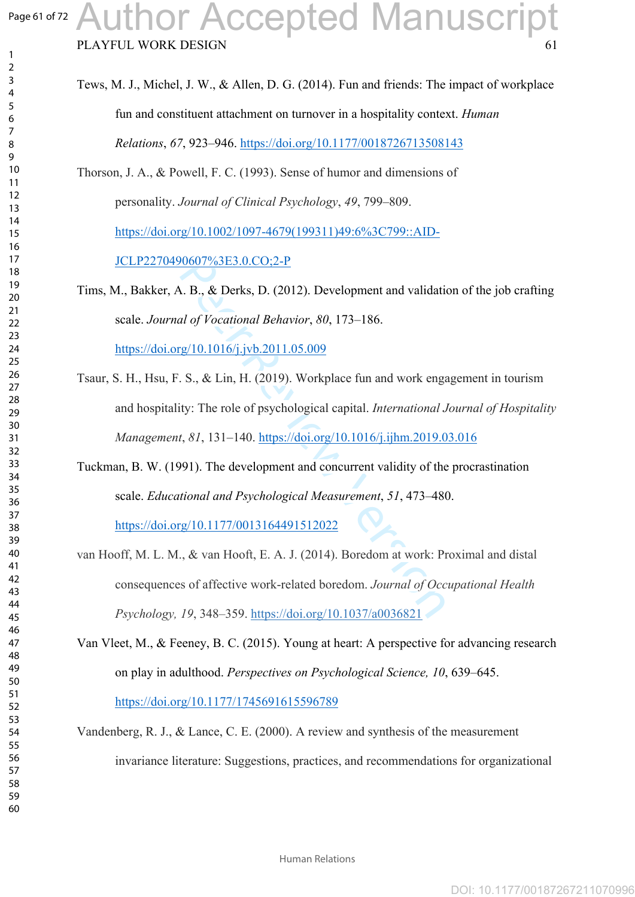$\mathbf{1}$  $\overline{2}$  $\overline{3}$  $\overline{4}$  $\overline{7}$ 

## PLAYFUL WORK DESIGN Author Accepted Manuscript

| Tews, M. J., Michel, J. W., & Allen, D. G. (2014). Fun and friends: The impact of workplace |
|---------------------------------------------------------------------------------------------|
| fun and constituent attachment on turnover in a hospitality context. <i>Human</i>           |
| <i>Relations, 67, 923–946. https://doi.org/10.1177/0018726713508143</i>                     |

Thorson, J. A., & Powell, F. C. (1993). Sense of humor and dimensions of personality. *Journal of Clinical Psychology*, *49*, 799 –809. [https://doi.org/10.1002/1097-4679\(199311\)49:6%3C799::AID-](https://doi.org/10.1002/1097-4679(199311)49:6%3C799::AID-JCLP2270490607%3E3.0.CO;2-P)

[JCLP2270490607%3E3.0.CO;2-P](https://doi.org/10.1002/1097-4679(199311)49:6%3C799::AID-JCLP2270490607%3E3.0.CO;2-P)

- 0.607%3E3.0.CO;2-P<br>
1. B., & Derks, D. (2012). Development and validaties<br>
1 of Vocational Behavior, 80, 173–186.<br>
1. S., & Lin, H. (2019). Workplace fun and work engatively: The role of psychological capital. *Internatio* Tims, M., Bakker, A. B., & Derks, D. (2012). Development and validation of the job crafting scale. *Journal of Vocational Behavior*, *80*, 173–186. <https://doi.org/10.1016/j.jvb.2011.05.009>
- Tsaur, S. H., Hsu, F. S., & Lin, H. (2019). Workplace fun and work engagement in tourism and hospitality: The role of psychological capital. *International Journal of Hospitality Management*, *81*, 131 –140. https://doi.org/10.1016/j.ijhm.2019.03.016
- Tuckman, B. W. (1991). The development and concurrent validity of the procrastination scale. *Educational and Psychological Measurement*, *51*, 473–480.

<https://doi.org/10.1177/0013164491512022>

van Hooff, M. L. M., & van Hooft, E. A. J. (2014). Boredom at work: Proximal and distal consequences of affective work-related boredom. *Journal of Occupational Health Psychology, 19*, 348–359. [https://doi.org/10.1037/a0036821](https://psycnet.apa.org/doi/10.1037/a0036821)

Van Vleet, M., & Feeney, B. C. (2015). Young at heart: A perspective for advancing research on play in adulthood. *Perspectives on Psychological Science, 10*, 639–645. <https://doi.org/10.1177/1745691615596789>

Vandenberg, R. J., & Lance, C. E. (2000). A review and synthesis of the measurement invariance literature: Suggestions, practices, and recommendations for organizational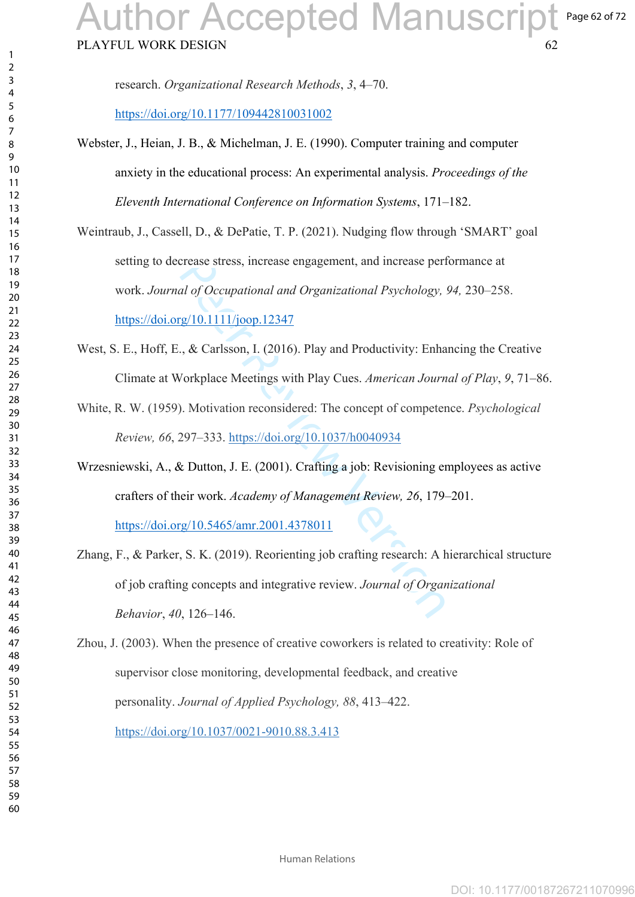#### PLAYFUL WORK DESIGN Page 62 of 72 Author Accepted Manuscript

research. *Organizational Research Methods*, *3*, 4 –70.

<https://doi.org/10.1177/109442810031002>

- Webster, J., Heian, J. B., & Michelman, J. E. (1990). Computer training and computer anxiety in the educational process: An experimental analysis. *Proceedings of the Eleventh International Conference on Information Systems*, 171–182.
- crease stress, increase engagement, and increase per<br>
al of Occupational and Organizational Psychology,<br>
<u>g/10.1111/joop.12347</u><br>
., & Carlsson, I. (2016). Play and Productivity: Enha<br>
/orkplace Meetings with Play Cues. Ame Weintraub, J., Cassell, D., & DePatie, T. P. (2021). Nudging flow through 'SMART' goal setting to decrease stress, increase engagement, and increase performance at work. *Journal of Occupational and Organizational Psychology, 94,* 230–258. <https://doi.org/10.1111/joop.12347>
- West, S. E., Hoff, E., & Carlsson, I. (2016). Play and Productivity: Enhancing the Creative Climate at Workplace Meetings with Play Cues. *American Journal of Play*, *9*, 71 –86.
- White, R. W. (1959). Motivation reconsidered: The concept of competence. *Psychological Review, 66*, 297–333. https://doi.org/10.1037/h0040934

Wrzesniewski, A., & Dutton, J. E. (2001). Crafting a job: Revisioning employees as active crafters of their work. *Academy of Management Review, 26*, 179–201. <https://doi.org/10.5465/amr.2001.4378011>

- Zhang, F., & Parker, S. K. (2019). Reorienting job crafting research: A hierarchical structure of job crafting concepts and integrative review. *Journal of Organizational Behavior*, *40*, 126 –146.
- Zhou, J. (2003). When the presence of creative coworkers is related to creativity: Role of supervisor close monitoring, developmental feedback, and creative personality. *Journal of Applied Psychology, 88*, 413–422. [https://doi.org/10.1037/0021-9010.88.3.413](https://psycnet.apa.org/doi/10.1037/0021-9010.88.3.413)

 $\mathbf{1}$ 

Human Relations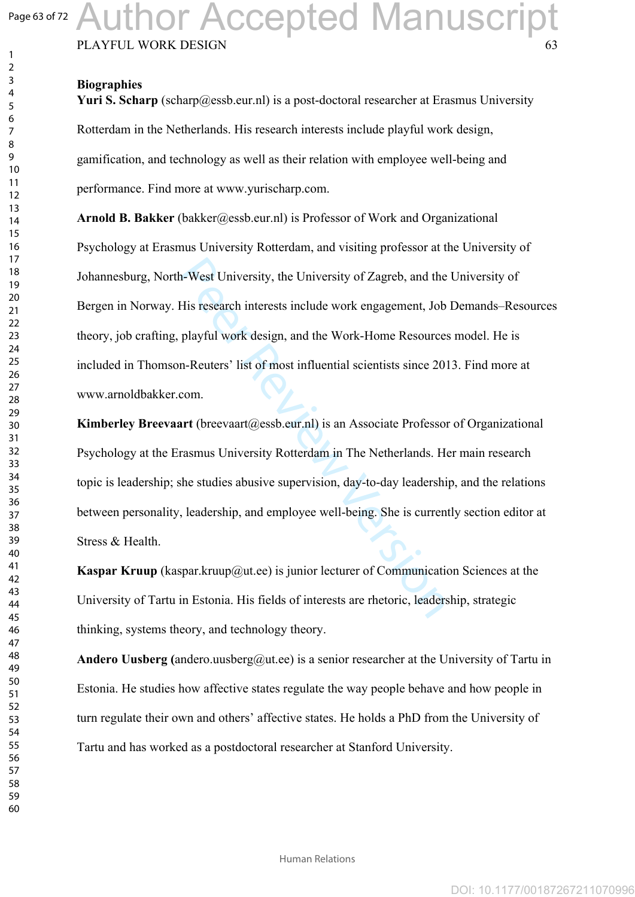### Page 63 of 72 uthor Accepted Manuscript

PLAYFUL WORK DESIGN

#### **Biographies**

**Yuri S. Scharp** (scharp@essb.eur.nl) is a post-doctoral researcher at Erasmus University Rotterdam in the Netherlands. His research interests include playful work design, gamification, and technology as well as their relation with employee well-being and performance. Find more at www.yurischarp.com.

n-West University, the University of Zagreb, and the<br>His research interests include work engagement, Job<br>playful work design, and the Work-Home Resource:<br>n-Reuters' list of most influential scientists since 20<br>com.<br>art (br **Arnold B. Bakker** (bakker@essb.eur.nl) is Professor of Work and Organizational Psychology at Erasmus University Rotterdam, and visiting professor at the University of Johannesburg, North-West University, the University of Zagreb, and the University of Bergen in Norway. His research interests include work engagement, Job Demands–Resources theory, job crafting, playful work design, and the Work-Home Resources model. He is included in Thomson-Reuters' list of most influential scientists since 2013. Find more at www.arnoldbakker.com.

**Kimberley Breevaart** (breevaart (a) essb.eur.nl) is an Associate Professor of Organizational Psychology at the Erasmus University Rotterdam in The Netherlands. Her main research topic is leadership; she studies abusive supervision, day-to-day leadership, and the relations between personality, leadership, and employee well-being. She is currently section editor at Stress & Health.

**Kaspar Kruup** (kaspar.kruup@ut.ee) is junior lecturer of Communication Sciences at the University of Tartu in Estonia. His fields of interests are rhetoric, leadership, strategic thinking, systems theory, and technology theory.

**Andero Uusberg (**andero.uusberg@ut.ee) is a senior researcher at the University of Tartu in Estonia. He studies how affective states regulate the way people behave and how people in turn regulate their own and others' affective states. He holds a PhD from the University of Tartu and has worked as a postdoctoral researcher at Stanford University.

 $\mathbf{1}$  $\overline{2}$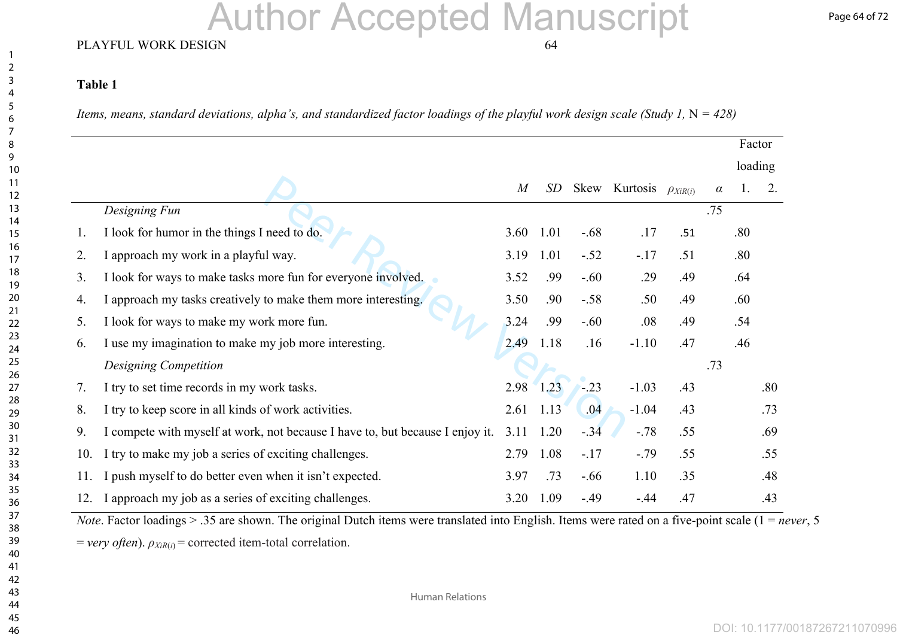# Author Accepted Manuscript

#### PLAYFUL WORK DESIGN 64

#### **Table 1**

*Items, means, standard deviations, alpha's, and standardized factor loadings of the playful work design scale (Study 1,*  $N = 428$ *)* 

|     |                                                                               |                |      |         |               |                 |          | Factor  |     |
|-----|-------------------------------------------------------------------------------|----------------|------|---------|---------------|-----------------|----------|---------|-----|
|     |                                                                               |                |      |         |               |                 |          | loading |     |
|     |                                                                               | $\overline{M}$ | SD   |         | Skew Kurtosis | $\rho_{XiR(i)}$ | $\alpha$ |         | 2.  |
|     | Designing Fun                                                                 |                |      |         |               |                 | .75      |         |     |
| 1.  | I look for humor in the things I need to do.                                  | 3.60           | 1.01 | $-0.68$ | .17           | .51             |          | .80     |     |
| 2.  | I approach my work in a playful way.                                          | 3.19           | 1.01 | $-.52$  | $-.17$        | .51             |          | .80     |     |
| 3.  | I look for ways to make tasks more fun for everyone involved.                 | 3.52           | .99  | $-.60$  | .29           | .49             |          | .64     |     |
| 4.  | approach my tasks creatively to make them more interesting.                   | 3.50           | .90  | $-.58$  | .50           | .49             |          | .60     |     |
| 5.  | I look for ways to make my work more fun.                                     | 3.24           | .99  | $-.60$  | .08           | .49             |          | .54     |     |
| 6.  | I use my imagination to make my job more interesting.                         | 2.49           | 1.18 | .16     | $-1.10$       | .47             |          | .46     |     |
|     | Designing Competition                                                         |                |      |         |               |                 | .73      |         |     |
| 7.  | I try to set time records in my work tasks.                                   | 2.98           | 1.23 | $-0.23$ | $-1.03$       | .43             |          |         | .80 |
| 8.  | I try to keep score in all kinds of work activities.                          | 2.61           | 1.13 | .04     | $-1.04$       | .43             |          |         | .73 |
| 9.  | I compete with myself at work, not because I have to, but because I enjoy it. | 3.11           | 1.20 | $-.34$  | $-.78$        | .55             |          |         | .69 |
| 10. | I try to make my job a series of exciting challenges.                         | 2.79           | 1.08 | $-.17$  | $-.79$        | .55             |          |         | .55 |
| 11. | push myself to do better even when it isn't expected.                         | 3.97           | .73  | $-.66$  | 1.10          | .35             |          |         | .48 |
| 12. | I approach my job as a series of exciting challenges.                         | 3.20           | 1.09 | $-0.49$ | $-44$         | .47             |          |         | .43 |

*Note*. Factor loadings  $> 0.35$  are shown. The original Dutch items were translated into English. Items were rated on a five-point scale  $(1 = never, 5)$  $=$  *very often*).  $\rho_{XiR(i)}$  = corrected item-total correlation.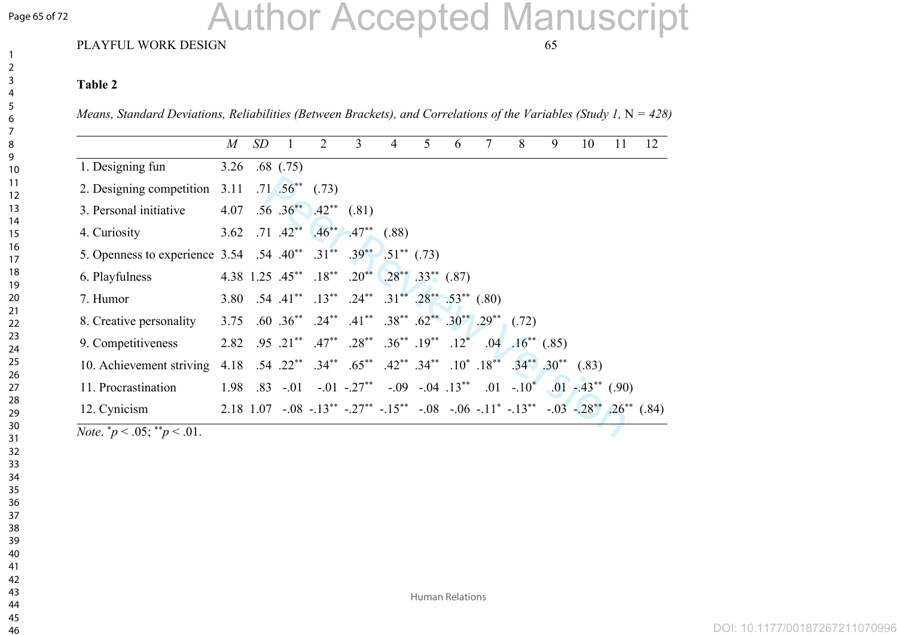#### Page 65 of 72

# Author Accepted Manuscript

#### PLAYFUL WORK DESIGN 65

#### **Table 2**

*Means, Standard Deviations, Reliabilities (Between Brackets), and Correlations of the Variables (Study 1, N = 428)* 

|                                                                                                                  | $M_{\rm}$ | SD | 1             | $\mathcal{D}_{\mathcal{L}}$      | $\overline{3}$                                                                                      | $\overline{4}$ | 5. | 6 | 7 | 8                        | 9 | 10 | 11 | 12 |
|------------------------------------------------------------------------------------------------------------------|-----------|----|---------------|----------------------------------|-----------------------------------------------------------------------------------------------------|----------------|----|---|---|--------------------------|---|----|----|----|
| 1. Designing fun                                                                                                 | 3.26      |    | $.68$ $(.75)$ |                                  |                                                                                                     |                |    |   |   |                          |   |    |    |    |
| 2. Designing competition                                                                                         | 3.11      |    |               | $.71 \cdot .56^{**} \quad (.73)$ |                                                                                                     |                |    |   |   |                          |   |    |    |    |
| 3. Personal initiative                                                                                           | 4.07      |    |               |                                  | $.56 \t0.36^{**}$ $.42^{**} \t(.81)$                                                                |                |    |   |   |                          |   |    |    |    |
| 4. Curiosity                                                                                                     | 3.62      |    |               |                                  | $.71$ $.42^{**}$ $.46^{**}$ $.47^{**}$ $(.88)$                                                      |                |    |   |   |                          |   |    |    |    |
| 5. Openness to experience 3.54 .54 .40 <sup>**</sup> .31 <sup>**</sup> .39 <sup>**</sup> .51 <sup>**</sup> (.73) |           |    |               |                                  |                                                                                                     |                |    |   |   |                          |   |    |    |    |
| 6. Playfulness                                                                                                   |           |    |               |                                  | 4.38 1.25 $.45^{**}$ $.18^{**}$ $.20^{**}$ $.28^{**}$ $.33^{**}$ $(.87)$                            |                |    |   |   |                          |   |    |    |    |
| 7. Humor                                                                                                         |           |    |               |                                  | 3.80 .54 .41** .13** .24** .31** .28** .53** (.80)                                                  |                |    |   |   |                          |   |    |    |    |
| 8. Creative personality                                                                                          | 3.75      |    |               |                                  | .60 .36** .24** .41** .38** .62** .30** .29**                                                       |                |    |   |   | (0.72)                   |   |    |    |    |
| 9. Competitiveness                                                                                               | 2.82      |    |               |                                  | $.95$ $.21^{**}$ $.47^{**}$ $.28^{**}$ $.36^{**}$ $.19^{**}$ $.12^{*}$                              |                |    |   |   | $.04$ $.16^{**}$ $(.85)$ |   |    |    |    |
| 10. Achievement striving                                                                                         |           |    |               |                                  | 4.18 .54 .22** .34** .42** .34** .10* .18** .34** .30** (.83)                                       |                |    |   |   |                          |   |    |    |    |
| 11. Procrastination                                                                                              | 1.98      |    |               |                                  | $.83$ $-.01$ $-.01$ $-.27^{**}$ $-.09$ $-.04$ $.13^{**}$ $.01$ $-.10^{*}$ $.01$ $-.43^{**}$ $(.90)$ |                |    |   |   |                          |   |    |    |    |
| 12. Cynicism                                                                                                     |           |    |               |                                  | 2.18 1.07 -.08 -.13** -.27** -.15** -.08 -.06 -.11* -.13** -.03 -.28** .26** (.84)                  |                |    |   |   |                          |   |    |    |    |

*Note.*  $^*p < .05$ ;  $^*p < .01$ .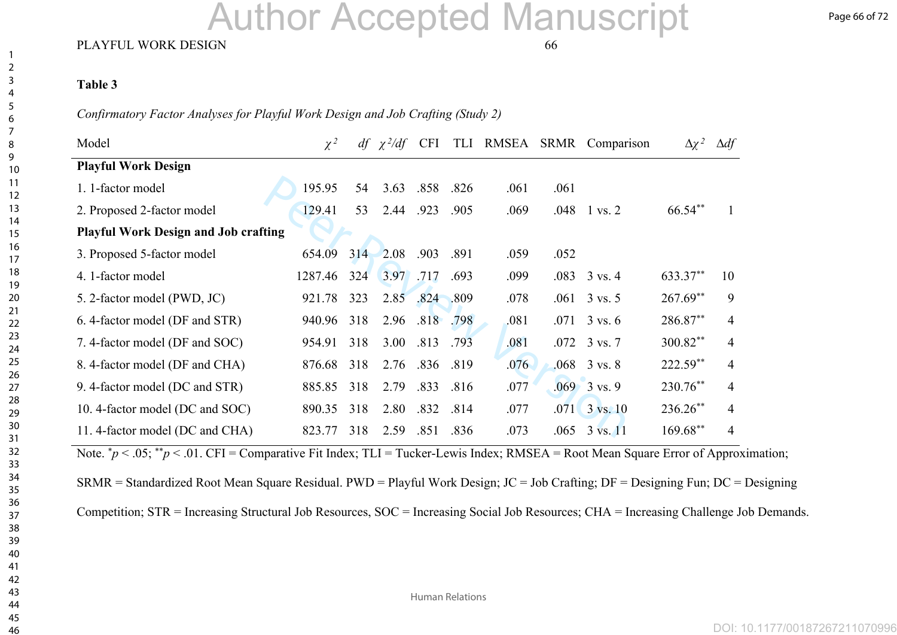# Author Accepted Manuscript

#### PLAYFUL WORK DESIGN 66

#### **Table 3**

*Confirmatory Factor Analyses for Playful Work Design and Job Crafting (Study 2)*

| Model                                       | $\chi^2$ |     | $df \chi^2/df$ | <b>CFI</b> |      | TLI RMSEA |      | SRMR Comparison               | $\Delta \chi^2$ | $\Delta df$ |
|---------------------------------------------|----------|-----|----------------|------------|------|-----------|------|-------------------------------|-----------------|-------------|
| <b>Playful Work Design</b>                  |          |     |                |            |      |           |      |                               |                 |             |
| 1. 1-factor model                           | 195.95   | 54  | 3.63           | .858       | .826 | .061      | .061 |                               |                 |             |
| 2. Proposed 2-factor model                  | 129.41   | 53  | 2.44           | .923       | .905 | .069      | .048 | $1 \text{ vs. } 2$            | 66.54**         |             |
| <b>Playful Work Design and Job crafting</b> |          |     |                |            |      |           |      |                               |                 |             |
| 3. Proposed 5-factor model                  | 654.09   | 314 | 2.08           | .903       | .891 | .059      | .052 |                               |                 |             |
| 4. 1-factor model                           | 1287.46  | 324 | 3.97           | .717       | .693 | .099      | .083 | $3 \text{ vs. } 4$            | 633.37**        | 10          |
| 5. 2-factor model (PWD, JC)                 | 921.78   | 323 | 2.85           | .824       | .809 | .078      | .061 | $3 \text{ vs. } 5$            | $267.69**$      | 9           |
| 6. 4-factor model (DF and STR)              | 940.96   | 318 | 2.96           | .818       | .798 | .081      | .071 | $3 \text{ vs. } 6$            | 286.87**        | 4           |
| 7. 4-factor model (DF and SOC)              | 954.91   | 318 | 3.00           | .813       | .793 | .081      |      | $.072 \quad 3 \text{ vs. } 7$ | 300.82**        | 4           |
| 8. 4-factor model (DF and CHA)              | 876.68   | 318 | 2.76           | .836       | .819 | .076      |      | $.068$ 3 vs. 8                | $222.59**$      | 4           |
| 9. 4-factor model (DC and STR)              | 885.85   | 318 | 2.79           | .833       | .816 | .077      |      | $.069 - 3$ vs. 9              | 230.76**        | 4           |
| 10. 4-factor model (DC and SOC)             | 890.35   | 318 | 2.80           | .832       | .814 | .077      |      | $.071$ $3$ vs. 10             | 236.26**        | 4           |
| 11. 4-factor model (DC and CHA)             | 823.77   | 318 | 2.59           | .851       | .836 | .073      | .065 | $3 \text{ vs. } 11$           | $169.68**$      | 4           |

Note.  $p < .05$ ;  $p < .01$ . CFI = Comparative Fit Index; TLI = Tucker-Lewis Index; RMSEA = Root Mean Square Error of Approximation;

SRMR = Standardized Root Mean Square Residual. PWD = Playful Work Design; JC = Job Crafting; DF = Designing Fun; DC = Designing

Competition; STR = Increasing Structural Job Resources, SOC = Increasing Social Job Resources; CHA = Increasing Challenge Job Demands.

Human Relations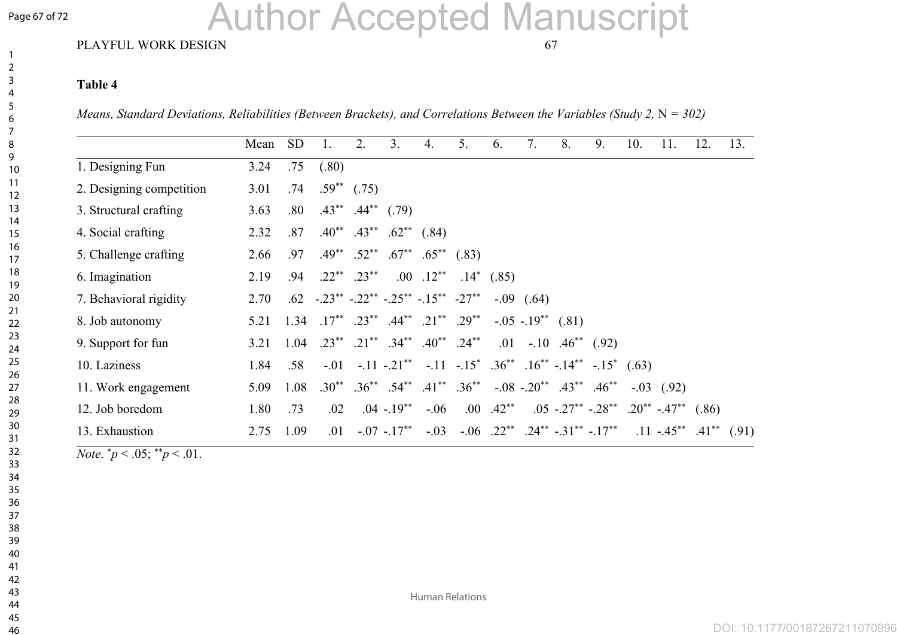#### Page 67 of 72

# Author Accepted Manuscript

#### PLAYFUL WORK DESIGN 67

#### **Table 4**

*Means, Standard Deviations, Reliabilities (Between Brackets), and Correlations Between the Variables (Study 2, N = 302)* 

|                          | Mean | <b>SD</b> |                                                                  | 2.                            | 3 <sub>1</sub>                           | $\overline{4}$ .                                       | 5. | 6.            | 7.             | 8.                                                                                          | 9. | 10. | 11.                                                          | 12. | 13. |
|--------------------------|------|-----------|------------------------------------------------------------------|-------------------------------|------------------------------------------|--------------------------------------------------------|----|---------------|----------------|---------------------------------------------------------------------------------------------|----|-----|--------------------------------------------------------------|-----|-----|
| 1. Designing Fun         | 3.24 | .75       | (.80)                                                            |                               |                                          |                                                        |    |               |                |                                                                                             |    |     |                                                              |     |     |
| 2. Designing competition | 3.01 | .74       |                                                                  | $.59^{**}$ (.75)              |                                          |                                                        |    |               |                |                                                                                             |    |     |                                                              |     |     |
| 3. Structural crafting   | 3.63 | .80       |                                                                  | $.43^{**}$ $.44^{**}$ $(.79)$ |                                          |                                                        |    |               |                |                                                                                             |    |     |                                                              |     |     |
| 4. Social crafting       | 2.32 | .87       |                                                                  |                               | $.40^{**}$ $.43^{**}$ $.62^{**}$ $(.84)$ |                                                        |    |               |                |                                                                                             |    |     |                                                              |     |     |
| 5. Challenge crafting    | 2.66 | .97       |                                                                  | $.49^{**}$ $.52^{**}$         |                                          | $.67^{**}$ $.65^{**}$ $(.83)$                          |    |               |                |                                                                                             |    |     |                                                              |     |     |
| 6. Imagination           | 2.19 | .94       |                                                                  | $.22^{**}$ $.23^{**}$         |                                          | $.00$ $.12**$                                          |    | $.14^*$ (.85) |                |                                                                                             |    |     |                                                              |     |     |
| 7. Behavioral rigidity   | 2.70 |           | $.62$ $-.23^{**}$ $-.22^{**}$ $-.25^{**}$ $-.15^{**}$ $-27^{**}$ |                               |                                          |                                                        |    |               | $-.09$ $(.64)$ |                                                                                             |    |     |                                                              |     |     |
| 8. Job autonomy          | 5.21 | 1.34      |                                                                  |                               |                                          | $.17^{**}$ $.23^{**}$ $.44^{**}$ $.21^{**}$ $.29^{**}$ |    |               |                | $-.05$ $-.19^{**}$ $(.81)$                                                                  |    |     |                                                              |     |     |
| 9. Support for fun       | 3.21 | 1.04      |                                                                  |                               |                                          | $.23^{**}$ $.21^{**}$ $.34^{**}$ $.40^{**}$ $.24^{**}$ |    | .01           |                | $-.10$ $.46^{**}$ (.92)                                                                     |    |     |                                                              |     |     |
| 10. Laziness             | 1.84 | .58       |                                                                  |                               |                                          |                                                        |    |               |                | $-0.01$ $-11$ $-21^{**}$ $-11$ $-15^{*}$ $.36^{**}$ $.16^{**}$ $-14^{**}$ $-15^{*}$ $(.63)$ |    |     |                                                              |     |     |
| 11. Work engagement      | 5.09 | 1.08      |                                                                  |                               |                                          | $.30^{**}$ $.36^{**}$ $.54^{**}$ $.41^{**}$ $.36^{**}$ |    |               |                | $-0.08$ $-0.20^{**}$ $0.43^{**}$ $0.46^{**}$                                                |    |     | $-.03$ $(.92)$                                               |     |     |
| 12. Job boredom          | 1.80 | .73       | .02                                                              |                               | $.04 - 19^{**}$                          | $-.06$                                                 |    | $.00$ $.42**$ |                |                                                                                             |    |     | $.05$ $-.27^{**}$ $-.28^{**}$ $.20^{**}$ $-.47^{**}$ $(.86)$ |     |     |
| 13. Exhaustion           | 2.75 | 1.09      | .01                                                              |                               | $-07 - 17^{**}$                          | $-.03$                                                 |    |               |                | $-0.06$ $0.22^{**}$ $0.24^{**}$ $0.31^{**}$ $0.17^{**}$                                     |    |     | $.11 - .45^{**}$ $.41^{**}$ $(.91)$                          |     |     |

*Note.*  $^*p < .05$ ;  $^*p < .01$ .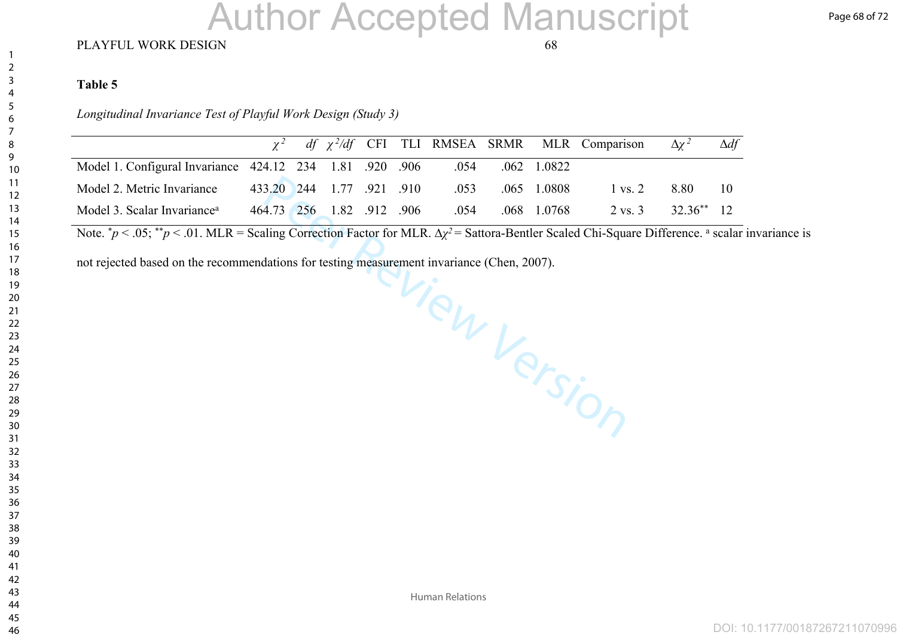# Author Accepted Manuscript

#### PLAYFUL WORK DESIGN 68

#### **Table 5**

*Longitudinal Invariance Test of Playful Work Design (Study 3)*

|                                                          |                           |  |  |      |               |               | $\chi^2$ df $\chi^2$ /df CFI TLI RMSEA SRMR MLR Comparison | $\Delta \chi^2$ | $\Delta df$ |
|----------------------------------------------------------|---------------------------|--|--|------|---------------|---------------|------------------------------------------------------------|-----------------|-------------|
| Model 1. Configural Invariance 424.12 234 1.81 .920 .906 |                           |  |  | .054 | $.062$ 1.0822 |               |                                                            |                 |             |
| Model 2. Metric Invariance                               | 433.20 244 1.77 .921 .910 |  |  | .053 |               | $.065$ 1.0808 | $1 \text{ vs. } 2$                                         | 8.80            | 10          |
| Model 3. Scalar Invariance <sup>a</sup>                  | 464.73 256 1.82 912 906   |  |  | .054 |               | .068 1.0768   | $2 \text{ vs. } 3$                                         | $32.36^{**}$ 12 |             |

Note. <sup>\*</sup>*p* < .05; <sup>\*\*</sup>*p* < .01. MLR = Scaling Correction Factor for MLR. Δ*χ*<sup>2</sup> = Sattora-Bentler Scaled Chi-Square Difference. <sup>a</sup> scalar invariance is

View Version not rejected based on the recommendations for testing measurement invariance (Chen, 2007).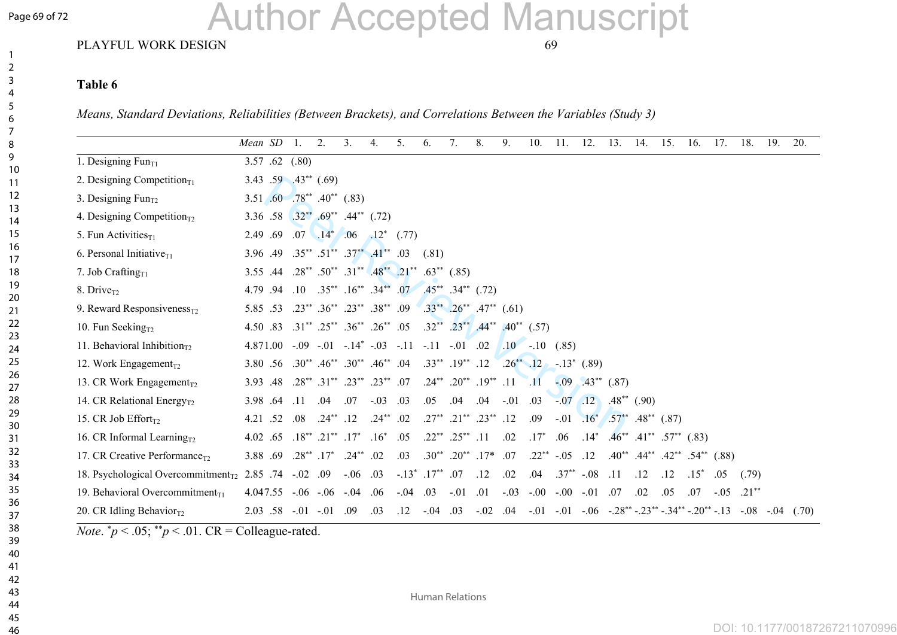#### Page 69 of 72

# Author Accepted Manuscript

#### PLAYFUL WORK DESIGN 69

#### **Table 6**

*Means, Standard Deviations, Reliabilities (Between Brackets), and Correlations Between the Variables (Study 3)*

|                                                                                | Mean SD                                                                              | $\overline{1}$ | $\overline{2}$ .                                  | 3 <sub>1</sub> | 4 <sub>1</sub> | 5.                                                     | 6.                                                            | $7_{\scriptscriptstyle{\ddot{\phantom{1}}}}$ | 8.                                       | 9.             | 10.                                                                         | 11.             | 12.            | 13.                                          | 14. | 15. | 16.    | 17.                                                 | 18.     | 19.        | 20.   |
|--------------------------------------------------------------------------------|--------------------------------------------------------------------------------------|----------------|---------------------------------------------------|----------------|----------------|--------------------------------------------------------|---------------------------------------------------------------|----------------------------------------------|------------------------------------------|----------------|-----------------------------------------------------------------------------|-----------------|----------------|----------------------------------------------|-----|-----|--------|-----------------------------------------------------|---------|------------|-------|
| 1. Designing $Fun_{T1}$                                                        | 3.57 .62 $(.80)$                                                                     |                |                                                   |                |                |                                                        |                                                               |                                              |                                          |                |                                                                             |                 |                |                                              |     |     |        |                                                     |         |            |       |
| 2. Designing Competition <sub>T1</sub>                                         | 3.43 .59 $.43**$ (.69)                                                               |                |                                                   |                |                |                                                        |                                                               |                                              |                                          |                |                                                                             |                 |                |                                              |     |     |        |                                                     |         |            |       |
| 3. Designing $Fun_{T2}$                                                        | 3.51 .60 .78** .40** (.83)                                                           |                |                                                   |                |                |                                                        |                                                               |                                              |                                          |                |                                                                             |                 |                |                                              |     |     |        |                                                     |         |            |       |
| 4. Designing Competition <sub><math>T2</math></sub>                            | 3.36 .58 .32** .69** .44** (.72)                                                     |                |                                                   |                |                |                                                        |                                                               |                                              |                                          |                |                                                                             |                 |                |                                              |     |     |        |                                                     |         |            |       |
| 5. Fun Activities $_{T1}$                                                      | 2.49 .69                                                                             |                | $.07$ $.14^*$ $.06$                               |                |                | $.12^*$ (.77)                                          |                                                               |                                              |                                          |                |                                                                             |                 |                |                                              |     |     |        |                                                     |         |            |       |
| 6. Personal Initiative $_{T1}$                                                 | $3.96$ .49 $.35^{**}$ $.51^{**}$ $.37^{**}$ $.41^{**}$ .03                           |                |                                                   |                |                |                                                        | (.81)                                                         |                                              |                                          |                |                                                                             |                 |                |                                              |     |     |        |                                                     |         |            |       |
| 7. Job Crafting $_{T1}$                                                        | 3.55 .44                                                                             |                |                                                   |                |                | $.28^{**}$ $.50^{**}$ $.31^{**}$ $.48^{**}$ $.21^{**}$ | $.63^{**}$ $(.85)$                                            |                                              |                                          |                |                                                                             |                 |                |                                              |     |     |        |                                                     |         |            |       |
| 8. Drive <sub>T2</sub>                                                         | 4.79 .94 .10                                                                         |                |                                                   |                |                | $.35^{**}$ $.16^{**}$ $.34^{**}$ $.07$                 | $.45^{**}$ $.34^{**}$ $(.72)$                                 |                                              |                                          |                |                                                                             |                 |                |                                              |     |     |        |                                                     |         |            |       |
| 9. Reward Responsiveness <sub><math>T2</math></sub>                            | 5.85 .53                                                                             |                | $.23^{**}$ $.36^{**}$ $.23^{**}$ $.38^{**}$ $.09$ |                |                |                                                        |                                                               |                                              | $.33^{**}$ $.26^{**}$ $.47^{**}$ $(.61)$ |                |                                                                             |                 |                |                                              |     |     |        |                                                     |         |            |       |
| 10. Fun Seeking $_{T2}$                                                        | 4.50 .83 .31** .25** .36** .26** .05                                                 |                |                                                   |                |                |                                                        | $.32^{**}$ $.23^{**}$ $.44^{**}$ $.40^{**}$ $(.57)$           |                                              |                                          |                |                                                                             |                 |                |                                              |     |     |        |                                                     |         |            |       |
| 11. Behavioral Inhibition <sub><math>T</math>2</sub>                           |                                                                                      |                |                                                   |                |                |                                                        | $4.871.00 - 0.09 - 0.01 - 0.14^* - 0.03 - 0.11 - 0.11 - 0.02$ |                                              |                                          | $10 - 10$      |                                                                             | (.85)           |                |                                              |     |     |        |                                                     |         |            |       |
| 12. Work Engagement <sub>T2</sub>                                              | 3.80 .56 .30 <sup>**</sup> .46 <sup>**</sup> .30 <sup>**</sup> .46 <sup>**</sup> .04 |                |                                                   |                |                |                                                        | $.33^{**}$ .19** .12                                          |                                              |                                          | $.26^{**}$ .12 |                                                                             |                 | $-.13^*$ (.89) |                                              |     |     |        |                                                     |         |            |       |
| 13. CR Work Engagement <sub>T2</sub>                                           | 3.93 .48                                                                             |                | $.28^{**}$ $.31^{**}$ $.23^{**}$ $.23^{**}$ $.07$ |                |                |                                                        |                                                               |                                              | $.24^{**}$ $.20^{**}$ $.19^{**}$ $.11$   |                | $\overline{11}$                                                             |                 |                | $-0.09$ $0.43**$ $0.87$ )                    |     |     |        |                                                     |         |            |       |
| 14. CR Relational Energy <sub><math>T2</math></sub>                            | 3.98 .64 .11                                                                         |                | .04                                               | .07            | $-.03$ .03     |                                                        | .05                                                           | .04                                          |                                          |                | $.04$ $-.01$ $.03$ $-.07$ $.12$ $.48^{**}$ $(.90)$                          |                 |                |                                              |     |     |        |                                                     |         |            |       |
| 15. CR Job Effort $_{T2}$                                                      | 4.21 .52                                                                             | .08            | $.24***$ .12                                      |                | $.24***$ .02   |                                                        |                                                               |                                              | .27** .21** .23** .12                    |                | .09                                                                         |                 |                | $-0.01$ $16^*$ $.57^{**}$ $.48^{**}$ $(.87)$ |     |     |        |                                                     |         |            |       |
| 16. CR Informal Learning <sub><math>T2</math></sub>                            | 4.02 .65                                                                             |                | $.18^{**}$ $.21^{**}$ $.17^{*}$                   |                | $.16*$         | .05                                                    |                                                               | $.22^{**}$ $.25^{**}$ $.11$                  |                                          | .02            | $.17*$                                                                      | .06             | $.14*$         | $.46^{**}$ $.41^{**}$ $.57^{**}$ $(.83)$     |     |     |        |                                                     |         |            |       |
| 17. CR Creative Performance <sub>T2</sub>                                      | 3.88 .69                                                                             | $.28***17*$    |                                                   | $.24***$ .02   |                | .03                                                    | $.30^{**}$ $.20^{**}$ $.17^*$                                 |                                              |                                          | .07            |                                                                             | $.22***-.05$    | .12            |                                              |     |     |        | $.40^{**}$ $.44^{**}$ $.42^{**}$ $.54^{**}$ $(.88)$ |         |            |       |
| 18. Psychological Overcommitment <sub><math>T_2</math></sub> 2.85 .74 -.02 .09 |                                                                                      |                |                                                   | $-.06$ .03     |                |                                                        | $-.13^*$ .17 <sup>**</sup> .07                                |                                              | .12                                      | .02            | .04                                                                         | $.37^{**}$ -.08 |                | .11                                          | .12 | .12 | $.15*$ | .05                                                 | (.79)   |            |       |
| 19. Behavioral Overcommitment <sub>T1</sub>                                    | $4.047.55 - 0.06 - 0.06 - 0.04$                                                      |                |                                                   |                | .06            | $-.04$ .03                                             |                                                               | $-.01$                                       | .01                                      | $-.03$         | $-0.00 - 0.01$ $0.07$                                                       |                 |                |                                              | .02 | .05 | .07    | $-.05$                                              | $.21**$ |            |       |
| 20. CR Idling Behavior $_{T2}$                                                 | $2.03$ $.58$ $-.01$ $-.01$ $.09$                                                     |                |                                                   |                | .03            | .12                                                    | $-0.04$                                                       | .03                                          | $-.02$ .04                               |                | $-0.01$ $-0.01$ $-0.06$ $-0.28$ ** $-0.23$ ** $-0.34$ ** $-0.20$ ** $-0.13$ |                 |                |                                              |     |     |        |                                                     |         | $-.08-.04$ | (.70) |

*Note*.  ${}^*p$  < .05;  ${}^*p$  < .01. CR = Colleague-rated.

Human Relations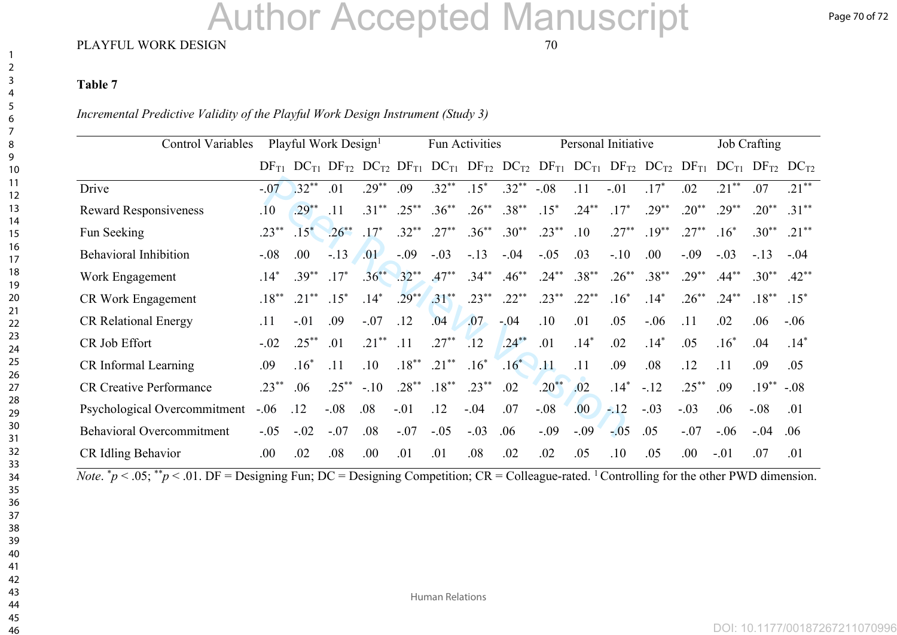# Author Accepted Manuscript

#### PLAYFUL WORK DESIGN 70

#### **Table 7**

*Incremental Predictive Validity of the Playful Work Design Instrument (Study 3)*

| <b>Control Variables</b>         | Playful Work Design <sup>1</sup> |                                                   |          | Fun Activities |          |          |          | Personal Initiative |               | <b>Job Crafting</b> |                                                                                 |          |          |           |           |                               |
|----------------------------------|----------------------------------|---------------------------------------------------|----------|----------------|----------|----------|----------|---------------------|---------------|---------------------|---------------------------------------------------------------------------------|----------|----------|-----------|-----------|-------------------------------|
|                                  |                                  | $DF_{T1}$ $DC_{T1}$ $DF_{T2}$ $DC_{T2}$ $DF_{T1}$ |          |                |          |          |          |                     |               |                     | $DC_{T1}$ $DF_{T2}$ $DC_{T2}$ $DF_{T1}$ $DC_{T1}$ $DF_{T2}$ $DC_{T2}$ $DF_{T1}$ |          |          |           |           | $DC_{T1}$ $DF_{T2}$ $DC_{T2}$ |
| Drive                            | $-.07$                           | $.32**$                                           | .01      | $29^{**}$      | .09      | $.32**$  | $15^*$   | $.32**$             | $-.08$        | .11                 | $-.01$                                                                          | $17*$    | .02      | $21**$    | .07       | $21**$                        |
| <b>Reward Responsiveness</b>     | $.10\,$                          | $.29***$                                          | .11      | $.31***$       | $.25***$ | $.36***$ | $.26***$ | $.38**$             | $.15*$        | $.24***$            | $.17*$                                                                          | $.29**$  | $.20**$  | $29^{**}$ | $20^{**}$ | $.31***$                      |
| Fun Seeking                      | $.23***$                         | $.15*$                                            | $.26***$ | $.17*$         | $.32***$ | $.27***$ | $.36***$ | $.30**$             | $.23***$      | .10                 | $27**$                                                                          | $.19***$ | $27**$   | $.16*$    | $.30**$   | $21***$                       |
| <b>Behavioral Inhibition</b>     | $-.08$                           | .00.                                              | $-13$    | .01            | $-.09$   | $-.03$   | $-.13$   | $-.04$              | $-.05$        | .03                 | $-.10$                                                                          | .00.     | $-.09$   | $-.03$    | $-.13$    | $-.04$                        |
| Work Engagement                  | $.14*$                           | $39^{**}$                                         | $.17*$   | $.36**$        | $.32***$ | $.47***$ | $.34***$ | $.46***$            | $.24***$      | $.38***$            | $.26***$                                                                        | $.38***$ | $.29***$ | $.44***$  | $.30**$   | $.42**$                       |
| <b>CR Work Engagement</b>        | $.18***$                         | $.21***$                                          | $.15*$   | $.14*$         | $.29**$  | $.31***$ | $.23***$ | $.22***$            | $.23***$      | $.22**$             | $.16*$                                                                          | $.14*$   | $.26***$ | $.24***$  | $.18***$  | $.15*$                        |
| <b>CR Relational Energy</b>      | .11                              | $-.01$                                            | .09      | $-.07$         | .12      | .04      | .07      | $-04$               | .10           | .01                 | .05                                                                             | $-.06$   | .11      | .02       | .06       | $-.06$                        |
| CR Job Effort                    | $-.02$                           | $.25***$                                          | .01      | $.21***$       | .11      | $.27***$ | .12      | $.24***$            | .01           | $.14*$              | .02                                                                             | $.14*$   | .05      | $.16*$    | .04       | $.14*$                        |
| CR Informal Learning             | .09                              | $.16*$                                            | .11      | .10            | $.18***$ | $.21***$ | $.16*$   | $.16*$              | $\bigcup .11$ | .11                 | .09                                                                             | .08      | .12      | .11       | .09       | .05                           |
| <b>CR Creative Performance</b>   | $.23***$                         | .06                                               | $.25***$ | $-.10$         | $.28**$  | $.18***$ | $.23***$ | .02                 | $.20**$       | .02                 | $.14*$                                                                          | $-12$    | $.25***$ | .09       | $.19***$  | $-.08$                        |
| Psychological Overcommitment     | $-.06$                           | .12                                               | $-.08$   | .08            | $-.01$   | .12      | $-.04$   | .07                 | $-.08$        | .00.                | $-12$                                                                           | $-.03$   | $-.03$   | .06       | $-.08$    | .01                           |
| <b>Behavioral Overcommitment</b> | $-.05$                           | $-.02$                                            | $-.07$   | .08            | $-.07$   | $-.05$   | $-.03$   | .06                 | $-.09$        | $-.09$              | $-0.05$                                                                         | .05      | $-.07$   | $-.06$    | $-.04$    | .06                           |
| CR Idling Behavior               | .00                              | .02                                               | .08      | .00.           | .01      | .01      | .08      | .02                 | .02           | .05                 | .10                                                                             | .05      | .00      | $-.01$    | .07       | .01                           |

*Note.*  $\phi$  < .05;  $\phi$  < .01. DF = Designing Fun; DC = Designing Competition; CR = Colleague-rated. <sup>1</sup> Controlling for the other PWD dimension.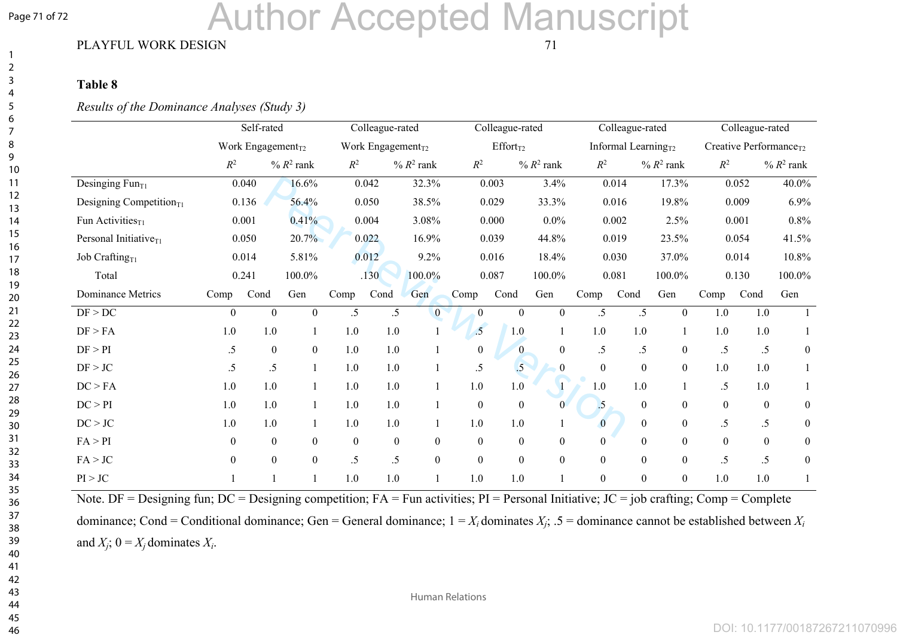#### Page 71 of 72

# Author Accepted Manuscript

#### PLAYFUL WORK DESIGN 71

#### **Table 8**

#### *Results of the Dominance Analyses (Study 3)*

|                               |                | Self-rated                    |                           |              | Colleague-rated               |                           |                  | Colleague-rated  |                           |                  | Colleague-rated           |                           |                  | Colleague-rated                    |                           |  |  |
|-------------------------------|----------------|-------------------------------|---------------------------|--------------|-------------------------------|---------------------------|------------------|------------------|---------------------------|------------------|---------------------------|---------------------------|------------------|------------------------------------|---------------------------|--|--|
|                               |                | Work Engagement <sub>T2</sub> |                           |              | Work Engagement <sub>T2</sub> |                           |                  | $Effort_{T2}$    |                           |                  | Informal Learning $_{T2}$ |                           |                  | Creative Performance <sub>T2</sub> |                           |  |  |
|                               | $\mathbb{R}^2$ |                               | $%$ $R$ <sup>2</sup> rank | $R^2$        |                               | $%$ $R$ <sup>2</sup> rank | $\mathbb{R}^2$   |                  | $%$ $R$ <sup>2</sup> rank | $R^2$            |                           | $%$ $R$ <sup>2</sup> rank |                  |                                    | $%$ $R$ <sup>2</sup> rank |  |  |
| Desinging Fun $_{T1}$         |                | 0.040                         | 16.6%                     |              | 0.042                         | 32.3%                     |                  | 0.003            | 3.4%                      |                  | 0.014                     | 17.3%                     |                  | 0.052                              | 40.0%                     |  |  |
| Designing Competition $_{T1}$ |                | 0.136                         | 56.4%                     |              | 0.050                         | 38.5%                     |                  | 0.029            | 33.3%                     |                  | 0.016                     | 19.8%                     |                  | 0.009                              | 6.9%                      |  |  |
| Fun Activities $_{T1}$        |                | 0.001                         | 0.41%                     |              | 0.004                         | 3.08%                     |                  | 0.000            | $0.0\%$                   |                  | 0.002                     | 2.5%                      |                  | 0.001                              | 0.8%                      |  |  |
| Personal Initiative $_{T1}$   |                | 0.050                         | 20.7%                     |              | 0.022                         | 16.9%                     |                  | 0.039            | 44.8%                     |                  | 0.019                     | 23.5%                     |                  | 0.054                              | 41.5%                     |  |  |
| Job Crafting <sub>T1</sub>    |                | 0.014                         | 5.81%                     |              | 0.012                         | 9.2%                      |                  | 0.016            | 18.4%                     |                  | 0.030                     | 37.0%                     |                  | 0.014                              | 10.8%                     |  |  |
| Total                         |                | 0.241                         | 100.0%                    |              | .130                          | 100.0%                    |                  | 0.087            | 100.0%                    |                  | 0.081                     | 100.0%                    |                  | 0.130                              | 100.0%                    |  |  |
| Dominance Metrics             | Comp           | Cond                          | Gen                       | Comp         | Cond                          | Gen                       | Comp             | Cond             | Gen                       | Comp             | Cond                      | Gen                       | Comp             | Cond                               | Gen                       |  |  |
| DF > DC                       | $\theta$       | $\theta$                      | $\mathbf{0}$              | .5           | $.5\,$                        | $\overline{0}$            | $\theta$         | $\theta$         | $\overline{0}$            | $\overline{.5}$  | .5                        | $\overline{0}$            | 1.0              | 1.0                                |                           |  |  |
| DF > FA                       | 1.0            | 1.0                           |                           | 1.0          | 1.0                           |                           | $\overline{.5}$  | 1.0              | 1                         | 1.0              | 1.0                       |                           | 1.0              | 1.0                                |                           |  |  |
| DF > PI                       | $\cdot$ 5      | $\boldsymbol{0}$              | $\mathbf{0}$              | 1.0          | 1.0                           |                           | $\boldsymbol{0}$ | $\mathbf{0}$     | $\boldsymbol{0}$          | $\cdot$ 5        | $.5\,$                    | $\mathbf{0}$              | .5               | $.5\,$                             | $\boldsymbol{0}$          |  |  |
| DF > JC                       | .5             | $.5\,$                        |                           | 1.0          | 1.0                           |                           | $.5\,$           | .5               | $\boldsymbol{0}$          | $\boldsymbol{0}$ | $\boldsymbol{0}$          | $\mathbf{0}$              | 1.0              | 1.0                                |                           |  |  |
| DC > FA                       | 1.0            | 1.0                           |                           | 1.0          | 1.0                           |                           | 1.0              | 1.0              | $\mathbf{I}$              | 1.0              | 1.0                       |                           | $.5\,$           | 1.0                                |                           |  |  |
| DC > PI                       | 1.0            | 1.0                           |                           | 1.0          | 1.0                           |                           | $\boldsymbol{0}$ | $\boldsymbol{0}$ | $\overline{0}$            | $\cdot$ .5       | $\boldsymbol{0}$          | $\mathbf{0}$              | $\boldsymbol{0}$ | $\boldsymbol{0}$                   | $\boldsymbol{0}$          |  |  |
| DC > JC                       | 1.0            | 1.0                           |                           | 1.0          | 1.0                           |                           | 1.0              | 1.0              |                           | $\overline{0}$   | $\boldsymbol{0}$          | $\boldsymbol{0}$          | .5               | .5                                 | $\boldsymbol{0}$          |  |  |
| FA > PI                       | $\theta$       | $\theta$                      | $\overline{0}$            | $\mathbf{0}$ | $\boldsymbol{0}$              | $\boldsymbol{0}$          | $\mathbf{0}$     | $\boldsymbol{0}$ | $\overline{0}$            | $\Omega$         | $\theta$                  | $\mathbf{0}$              | $\boldsymbol{0}$ | $\mathbf{0}$                       | $\boldsymbol{0}$          |  |  |
| FA > JC                       | $\theta$       | $\theta$                      | $\mathbf{0}$              | .5           | .5                            | $\boldsymbol{0}$          | $\mathbf{0}$     | $\theta$         | $\overline{0}$            | $\overline{0}$   | $\overline{0}$            | $\mathbf{0}$              | $\overline{.5}$  | $.5\,$                             | $\boldsymbol{0}$          |  |  |
| PI > JC                       |                |                               |                           | 1.0          | 1.0                           |                           | 1.0              | 1.0              |                           | $\boldsymbol{0}$ | $\boldsymbol{0}$          | $\boldsymbol{0}$          | 1.0              | 1.0                                |                           |  |  |

Note. DF = Designing fun; DC = Designing competition; FA = Fun activities; PI = Personal Initiative; JC = job crafting; Comp = Complete dominance; Cond = Conditional dominance; Gen = General dominance;  $1 = X_i$  dominates  $X_j$ ; .5 = dominance cannot be established between  $X_i$ and  $X_j$ ;  $0 = X_j$  dominates  $X_i$ .